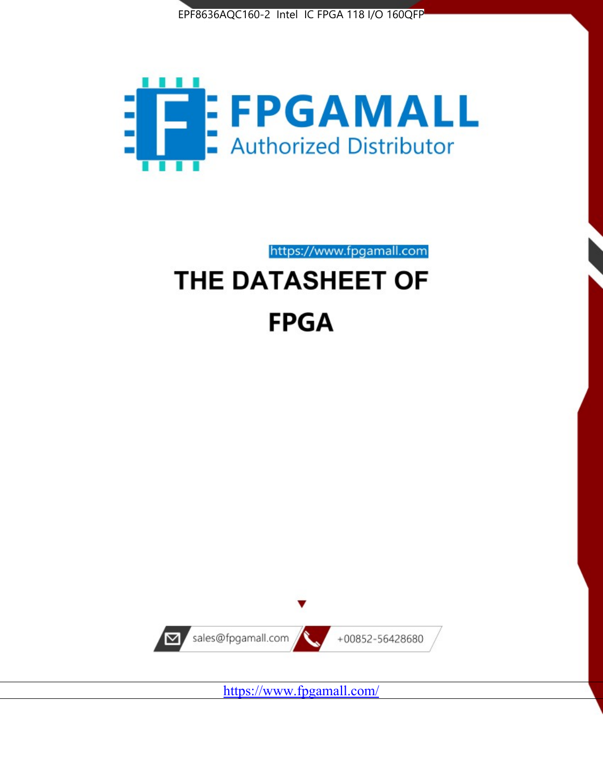



https://www.fpgamall.com THE DATASHEET OF

## **FPGA**



<https://www.fpgamall.com/>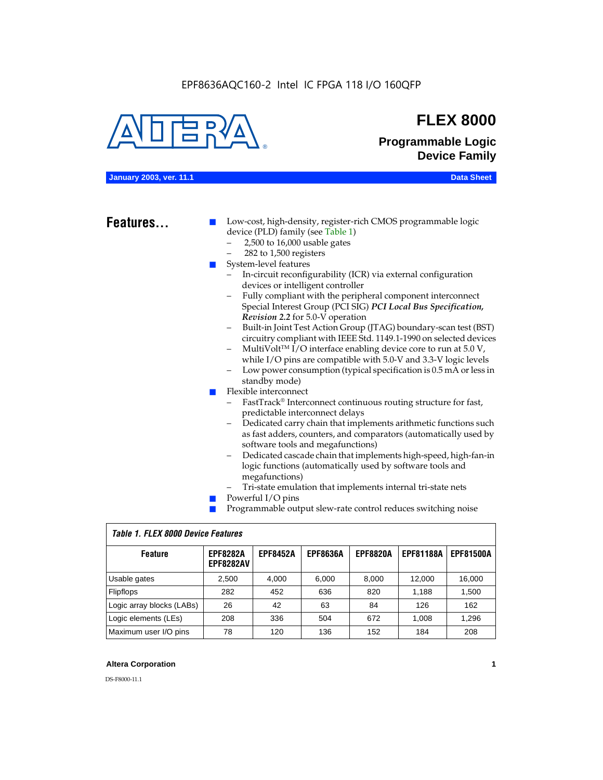#### EPF8636AQC160-2 Intel IC FPGA 118 I/O 160QFP



## **FLEX 8000**

**Programmable Logic Device Family**

#### **January 2003, ver. 11.1 Data Sheet**

## Features...

Low-cost, high-density, register-rich CMOS programmable logic device (PLD) family (see Table 1)

- 2,500 to 16,000 usable gates
- 282 to 1,500 registers
- System-level features
	- In-circuit reconfigurability (ICR) via external configuration devices or intelligent controller
	- Fully compliant with the peripheral component interconnect Special Interest Group (PCI SIG) *PCI Local Bus Specification, Revision 2.2* for 5.0-V operation
	- Built-in Joint Test Action Group (JTAG) boundary-scan test (BST) circuitry compliant with IEEE Std. 1149.1-1990 on selected devices
	- MultiVolt<sup>™</sup> I/O interface enabling device core to run at  $5.0 V$ , while I/O pins are compatible with 5.0-V and 3.3-V logic levels
	- Low power consumption (typical specification is 0.5 mA or less in standby mode)
- Flexible interconnect
	- FastTrack<sup>®</sup> Interconnect continuous routing structure for fast, predictable interconnect delays
	- Dedicated carry chain that implements arithmetic functions such as fast adders, counters, and comparators (automatically used by software tools and megafunctions)
	- Dedicated cascade chain that implements high-speed, high-fan-in logic functions (automatically used by software tools and megafunctions)
	- Tri-state emulation that implements internal tri-state nets
- Powerful I/O pins
- Programmable output slew-rate control reduces switching noise

| <b>Feature</b>            | <b>EPF8282A</b><br><b>EPF8282AV</b> | <b>EPF8452A</b> | <b>EPF8636A</b> | <b>EPF8820A</b> | <b>EPF81188A</b> | <b>EPF81500A</b> |  |  |  |  |  |
|---------------------------|-------------------------------------|-----------------|-----------------|-----------------|------------------|------------------|--|--|--|--|--|
| Usable gates              | 2.500                               | 4.000           | 6,000           | 8.000           | 12.000           | 16.000           |  |  |  |  |  |
| <b>Flipflops</b>          | 282                                 | 452             | 636             | 820             | 1.188            | 1,500            |  |  |  |  |  |
| Logic array blocks (LABs) | 26                                  | 42              | 63              | 84              | 126              | 162              |  |  |  |  |  |
| Logic elements (LEs)      | 208                                 | 336             | 504             | 672             | 1.008            | 1,296            |  |  |  |  |  |
| Maximum user I/O pins     | 78                                  | 120             | 136             | 152             | 184              | 208              |  |  |  |  |  |

#### *Table 1. FLEX 8000 Device Features*

#### **Altera Corporation 1**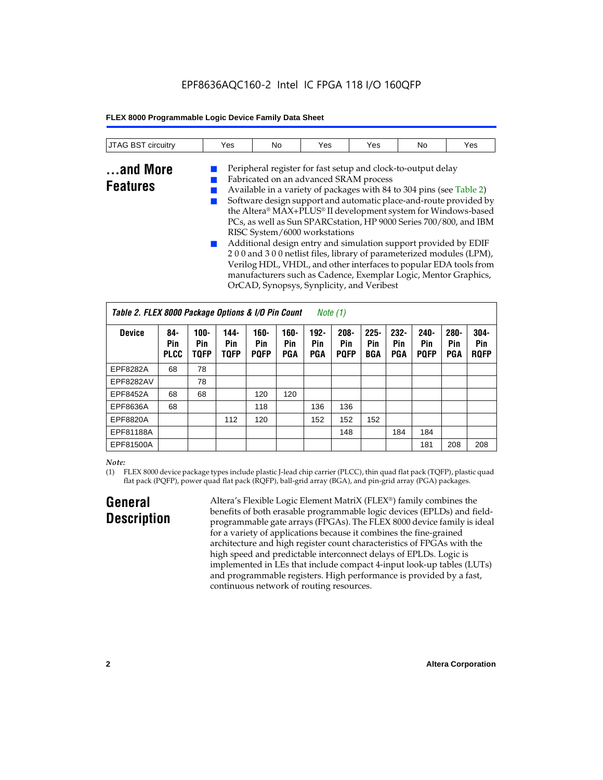## EPF8636AQC160-2 Intel IC FPGA 118 I/O 160QFP

#### **FLEX 8000 Programmable Logic Device Family Data Sheet**

| <b>JTAG BST circuitry</b>   | Yes | No | Yes                                                                                                                                                                                                                                                                                                                                                                                                                                                                      | Yes | No | Yes                                                                                                                                                                                                                                                                          |
|-----------------------------|-----|----|--------------------------------------------------------------------------------------------------------------------------------------------------------------------------------------------------------------------------------------------------------------------------------------------------------------------------------------------------------------------------------------------------------------------------------------------------------------------------|-----|----|------------------------------------------------------------------------------------------------------------------------------------------------------------------------------------------------------------------------------------------------------------------------------|
| and More<br><b>Features</b> |     |    | Peripheral register for fast setup and clock-to-output delay<br>Fabricated on an advanced SRAM process<br>Available in a variety of packages with 84 to 304 pins (see Table 2)<br>RISC System/6000 workstations<br>Additional design entry and simulation support provided by EDIF<br>200 and 300 netlist files, library of parameterized modules (LPM),<br>manufacturers such as Cadence, Exemplar Logic, Mentor Graphics,<br>OrCAD, Synopsys, Synplicity, and Veribest |     |    | Software design support and automatic place-and-route provided by<br>the Altera® MAX+PLUS® II development system for Windows-based<br>PCs, as well as Sun SPARCstation, HP 9000 Series 700/800, and IBM<br>Verilog HDL, VHDL, and other interfaces to popular EDA tools from |

| Table 2. FLEX 8000 Package Options & I/O Pin Count<br>Note $(1)$ |                           |                               |                            |                            |                              |                       |                               |                       |                              |                               |                              |                               |
|------------------------------------------------------------------|---------------------------|-------------------------------|----------------------------|----------------------------|------------------------------|-----------------------|-------------------------------|-----------------------|------------------------------|-------------------------------|------------------------------|-------------------------------|
| <b>Device</b>                                                    | 84-<br>Pin<br><b>PLCC</b> | $100 -$<br>Pin<br><b>TOFP</b> | 144-<br>Pin<br><b>TOFP</b> | 160-<br>Pin<br><b>POFP</b> | $160 -$<br>Pin<br><b>PGA</b> | $192 -$<br>Pin<br>PGA | $208 -$<br>Pin<br><b>POFP</b> | $225 -$<br>Pin<br>BGA | $232 -$<br>Pin<br><b>PGA</b> | $240 -$<br>Pin<br><b>POFP</b> | $280 -$<br>Pin<br><b>PGA</b> | $304 -$<br>Pin<br><b>ROFP</b> |
| EPF8282A                                                         | 68                        | 78                            |                            |                            |                              |                       |                               |                       |                              |                               |                              |                               |
| EPF8282AV                                                        |                           | 78                            |                            |                            |                              |                       |                               |                       |                              |                               |                              |                               |
| EPF8452A                                                         | 68                        | 68                            |                            | 120                        | 120                          |                       |                               |                       |                              |                               |                              |                               |
| EPF8636A                                                         | 68                        |                               |                            | 118                        |                              | 136                   | 136                           |                       |                              |                               |                              |                               |
| EPF8820A                                                         |                           |                               | 112                        | 120                        |                              | 152                   | 152                           | 152                   |                              |                               |                              |                               |
| EPF81188A                                                        |                           |                               |                            |                            |                              |                       | 148                           |                       | 184                          | 184                           |                              |                               |
| EPF81500A                                                        |                           |                               |                            |                            |                              |                       |                               |                       |                              | 181                           | 208                          | 208                           |

#### *Note:*

(1) FLEX 8000 device package types include plastic J-lead chip carrier (PLCC), thin quad flat pack (TQFP), plastic quad flat pack (PQFP), power quad flat pack (RQFP), ball-grid array (BGA), and pin-grid array (PGA) packages.

## **General Description**

Altera's Flexible Logic Element MatriX (FLEX®) family combines the benefits of both erasable programmable logic devices (EPLDs) and fieldprogrammable gate arrays (FPGAs). The FLEX 8000 device family is ideal for a variety of applications because it combines the fine-grained architecture and high register count characteristics of FPGAs with the high speed and predictable interconnect delays of EPLDs. Logic is implemented in LEs that include compact 4-input look-up tables (LUTs) and programmable registers. High performance is provided by a fast, continuous network of routing resources.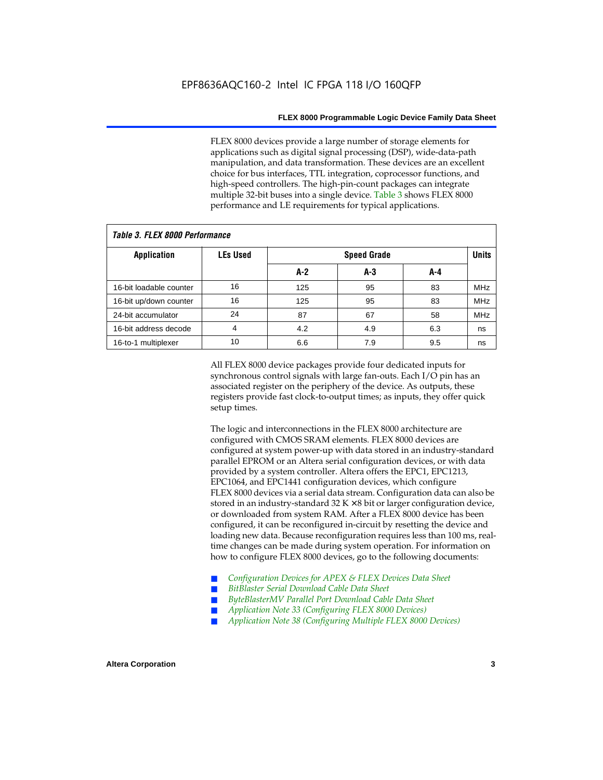FLEX 8000 devices provide a large number of storage elements for applications such as digital signal processing (DSP), wide-data-path manipulation, and data transformation. These devices are an excellent choice for bus interfaces, TTL integration, coprocessor functions, and high-speed controllers. The high-pin-count packages can integrate multiple 32-bit buses into a single device. Table 3 shows FLEX 8000 performance and LE requirements for typical applications.

| Tadie J. Flea Quuu Feituitiiaiige |                 |       |                    |     |            |  |  |  |  |  |  |
|-----------------------------------|-----------------|-------|--------------------|-----|------------|--|--|--|--|--|--|
| <b>Application</b>                | <b>LEs Used</b> |       | <b>Speed Grade</b> |     |            |  |  |  |  |  |  |
|                                   |                 | $A-2$ | A-3                | A-4 |            |  |  |  |  |  |  |
| 16-bit loadable counter           | 16              | 125   | 95                 | 83  | <b>MHz</b> |  |  |  |  |  |  |
| 16-bit up/down counter            | 16              | 125   | 95                 | 83  | <b>MHz</b> |  |  |  |  |  |  |
| 24-bit accumulator                | 24              | 87    | 67                 | 58  | <b>MHz</b> |  |  |  |  |  |  |
| 16-bit address decode             | 4               | 4.2   | 4.9                | 6.3 | ns         |  |  |  |  |  |  |
| 16-to-1 multiplexer               | 10              | 6.6   | 7.9                | 9.5 | ns         |  |  |  |  |  |  |

*Table 3. FLEX 8000 Performance*

All FLEX 8000 device packages provide four dedicated inputs for synchronous control signals with large fan-outs. Each I/O pin has an associated register on the periphery of the device. As outputs, these registers provide fast clock-to-output times; as inputs, they offer quick setup times.

The logic and interconnections in the FLEX 8000 architecture are configured with CMOS SRAM elements. FLEX 8000 devices are configured at system power-up with data stored in an industry-standard parallel EPROM or an Altera serial configuration devices, or with data provided by a system controller. Altera offers the EPC1, EPC1213, EPC1064, and EPC1441 configuration devices, which configure FLEX 8000 devices via a serial data stream. Configuration data can also be stored in an industry-standard  $32 K \times 8$  bit or larger configuration device, or downloaded from system RAM. After a FLEX 8000 device has been configured, it can be reconfigured in-circuit by resetting the device and loading new data. Because reconfiguration requires less than 100 ms, realtime changes can be made during system operation. For information on how to configure FLEX 8000 devices, go to the following documents:

- Configuration Devices for APEX & FLEX Devices Data Sheet
- $BitBlaster$  Serial Download Cable Data Sheet
- ByteBlasterMV Parallel Port Download Cable Data Sheet
- *Application Note 33 (Configuring FLEX 8000 Devices)*
- *Application Note 38 (Configuring Multiple FLEX 8000 Devices)*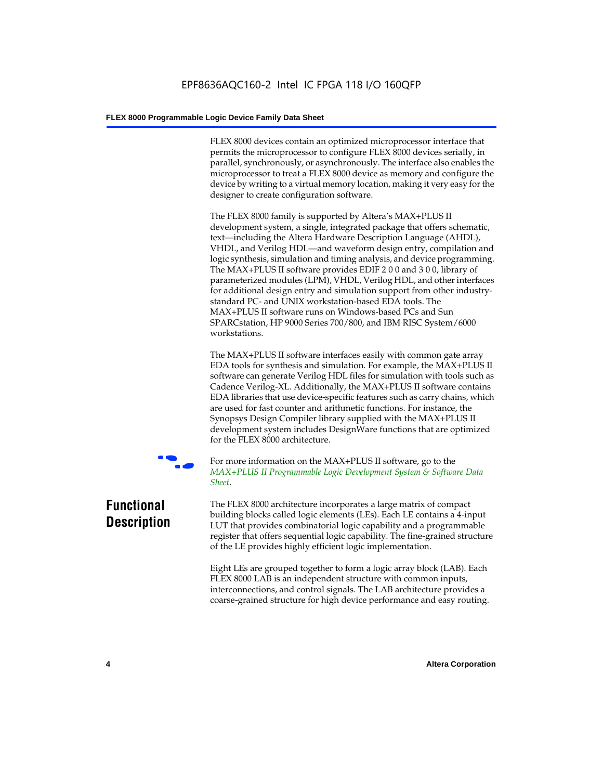FLEX 8000 devices contain an optimized microprocessor interface that permits the microprocessor to configure FLEX 8000 devices serially, in parallel, synchronously, or asynchronously. The interface also enables the microprocessor to treat a FLEX 8000 device as memory and configure the device by writing to a virtual memory location, making it very easy for the designer to create configuration software.

The FLEX 8000 family is supported by Altera's MAX+PLUS II development system, a single, integrated package that offers schematic, text—including the Altera Hardware Description Language (AHDL), VHDL, and Verilog HDL—and waveform design entry, compilation and logic synthesis, simulation and timing analysis, and device programming. The MAX+PLUS II software provides EDIF 2 0 0 and 3 0 0, library of parameterized modules (LPM), VHDL, Verilog HDL, and other interfaces for additional design entry and simulation support from other industrystandard PC- and UNIX workstation-based EDA tools. The MAX+PLUS II software runs on Windows-based PCs and Sun SPARCstation, HP 9000 Series 700/800, and IBM RISC System/6000 workstations.

The MAX+PLUS II software interfaces easily with common gate array EDA tools for synthesis and simulation. For example, the MAX+PLUS II software can generate Verilog HDL files for simulation with tools such as Cadence Verilog-XL. Additionally, the MAX+PLUS II software contains EDA libraries that use device-specific features such as carry chains, which are used for fast counter and arithmetic functions. For instance, the Synopsys Design Compiler library supplied with the MAX+PLUS II development system includes DesignWare functions that are optimized for the FLEX 8000 architecture.



For more information on the MAX+PLUS II software, go to the *MAX+PLUS II Programmable Logic Development System & Software Data Sheet*.

## **Functional Description**

The FLEX 8000 architecture incorporates a large matrix of compact building blocks called logic elements (LEs). Each LE contains a 4-input LUT that provides combinatorial logic capability and a programmable register that offers sequential logic capability. The fine-grained structure of the LE provides highly efficient logic implementation.

Eight LEs are grouped together to form a logic array block (LAB). Each FLEX 8000 LAB is an independent structure with common inputs, interconnections, and control signals. The LAB architecture provides a coarse-grained structure for high device performance and easy routing.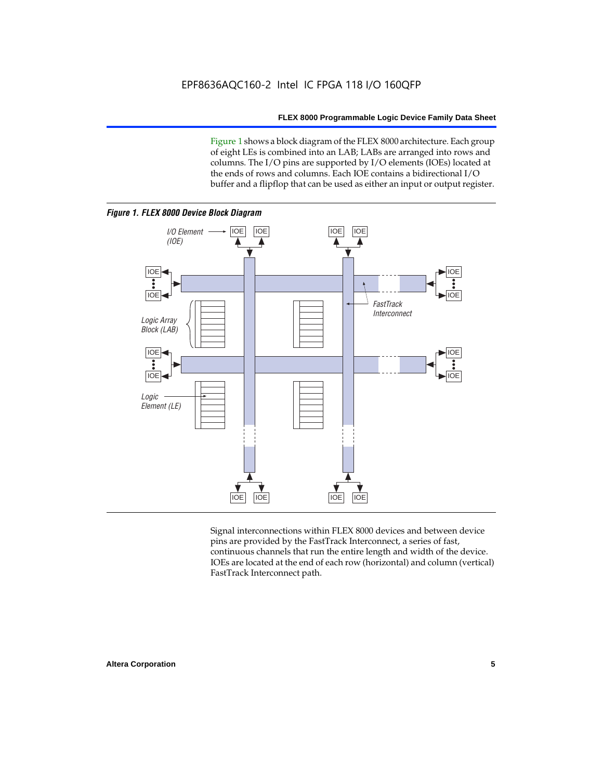Figure 1 shows a block diagram of the FLEX 8000 architecture. Each group of eight LEs is combined into an LAB; LABs are arranged into rows and columns. The I/O pins are supported by I/O elements (IOEs) located at the ends of rows and columns. Each IOE contains a bidirectional I/O buffer and a flipflop that can be used as either an input or output register.



Signal interconnections within FLEX 8000 devices and between device pins are provided by the FastTrack Interconnect, a series of fast, continuous channels that run the entire length and width of the device. IOEs are located at the end of each row (horizontal) and column (vertical) FastTrack Interconnect path.

#### **Altera Corporation 5**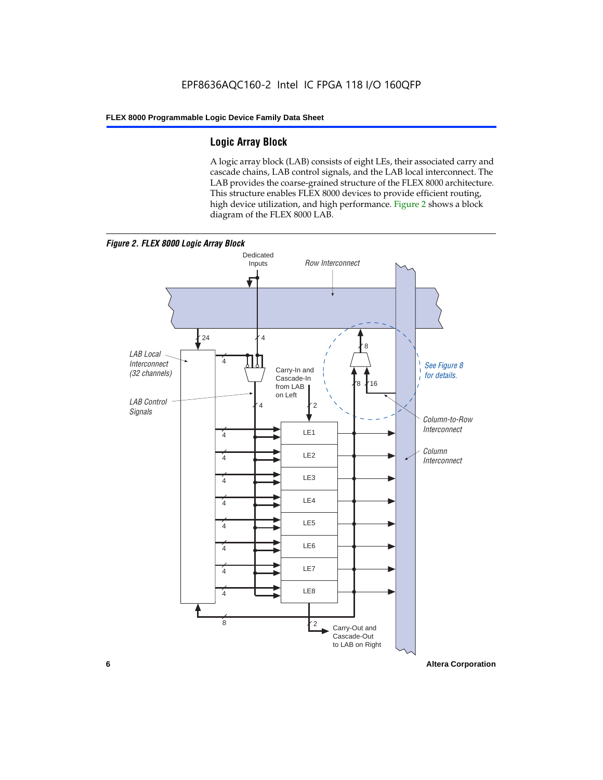## **Logic Array Block**

A logic array block (LAB) consists of eight LEs, their associated carry and cascade chains, LAB control signals, and the LAB local interconnect. The LAB provides the coarse-grained structure of the FLEX 8000 architecture. This structure enables FLEX 8000 devices to provide efficient routing, high device utilization, and high performance. Figure 2 shows a block diagram of the FLEX 8000 LAB.



**6 Altera Corporation**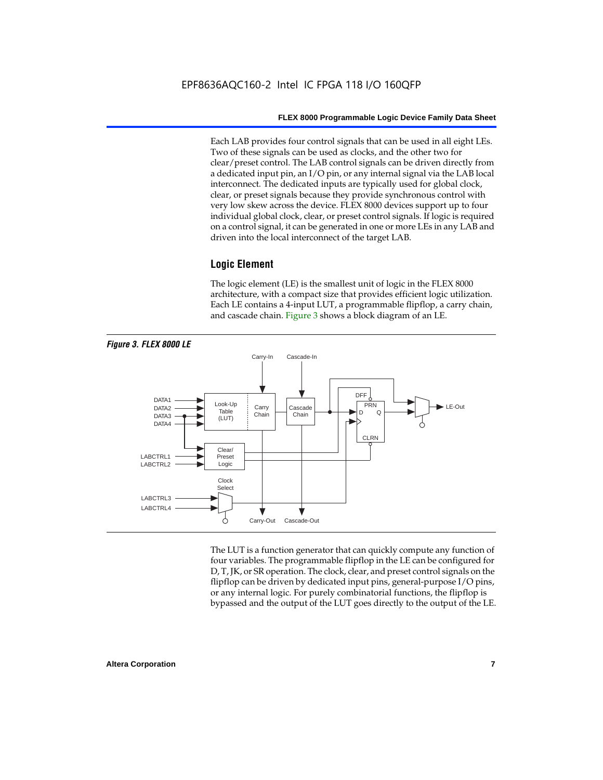Each LAB provides four control signals that can be used in all eight LEs. Two of these signals can be used as clocks, and the other two for clear/preset control. The LAB control signals can be driven directly from a dedicated input pin, an I/O pin, or any internal signal via the LAB local interconnect. The dedicated inputs are typically used for global clock, clear, or preset signals because they provide synchronous control with very low skew across the device. FLEX 8000 devices support up to four individual global clock, clear, or preset control signals. If logic is required on a control signal, it can be generated in one or more LEs in any LAB and driven into the local interconnect of the target LAB.

#### **Logic Element**

The logic element (LE) is the smallest unit of logic in the FLEX 8000 architecture, with a compact size that provides efficient logic utilization. Each LE contains a 4-input LUT, a programmable flipflop, a carry chain, and cascade chain. Figure 3 shows a block diagram of an LE.



The LUT is a function generator that can quickly compute any function of four variables. The programmable flipflop in the LE can be configured for D, T, JK, or SR operation. The clock, clear, and preset control signals on the flipflop can be driven by dedicated input pins, general-purpose I/O pins, or any internal logic. For purely combinatorial functions, the flipflop is bypassed and the output of the LUT goes directly to the output of the LE.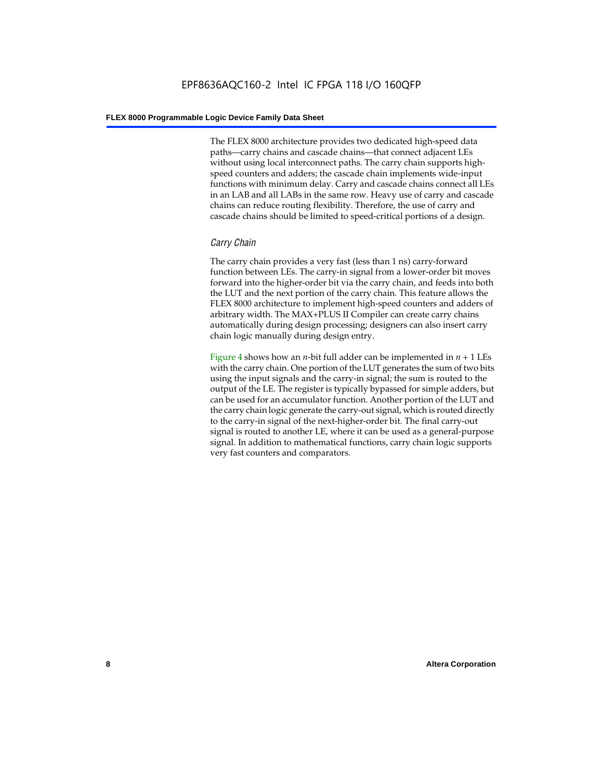The FLEX 8000 architecture provides two dedicated high-speed data paths—carry chains and cascade chains—that connect adjacent LEs without using local interconnect paths. The carry chain supports highspeed counters and adders; the cascade chain implements wide-input functions with minimum delay. Carry and cascade chains connect all LEs in an LAB and all LABs in the same row. Heavy use of carry and cascade chains can reduce routing flexibility. Therefore, the use of carry and cascade chains should be limited to speed-critical portions of a design.

#### *Carry Chain*

The carry chain provides a very fast (less than 1 ns) carry-forward function between LEs. The carry-in signal from a lower-order bit moves forward into the higher-order bit via the carry chain, and feeds into both the LUT and the next portion of the carry chain. This feature allows the FLEX 8000 architecture to implement high-speed counters and adders of arbitrary width. The MAX+PLUS II Compiler can create carry chains automatically during design processing; designers can also insert carry chain logic manually during design entry.

Figure 4 shows how an *n*-bit full adder can be implemented in *n* + 1 LEs with the carry chain. One portion of the LUT generates the sum of two bits using the input signals and the carry-in signal; the sum is routed to the output of the LE. The register is typically bypassed for simple adders, but can be used for an accumulator function. Another portion of the LUT and the carry chain logic generate the carry-out signal, which is routed directly to the carry-in signal of the next-higher-order bit. The final carry-out signal is routed to another LE, where it can be used as a general-purpose signal. In addition to mathematical functions, carry chain logic supports very fast counters and comparators.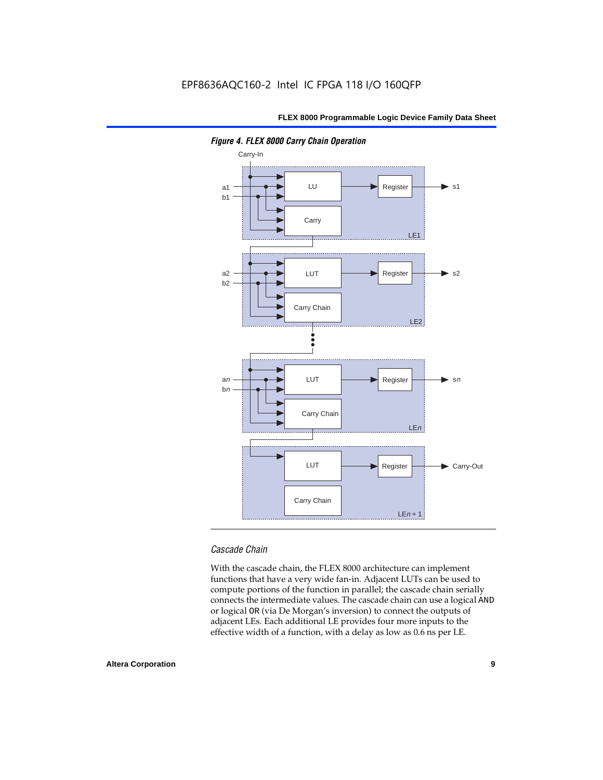

*Figure 4. FLEX 8000 Carry Chain Operation*

#### *Cascade Chain*

With the cascade chain, the FLEX 8000 architecture can implement functions that have a very wide fan-in. Adjacent LUTs can be used to compute portions of the function in parallel; the cascade chain serially connects the intermediate values. The cascade chain can use a logical AND or logical OR (via De Morgan's inversion) to connect the outputs of adjacent LEs. Each additional LE provides four more inputs to the effective width of a function, with a delay as low as 0.6 ns per LE.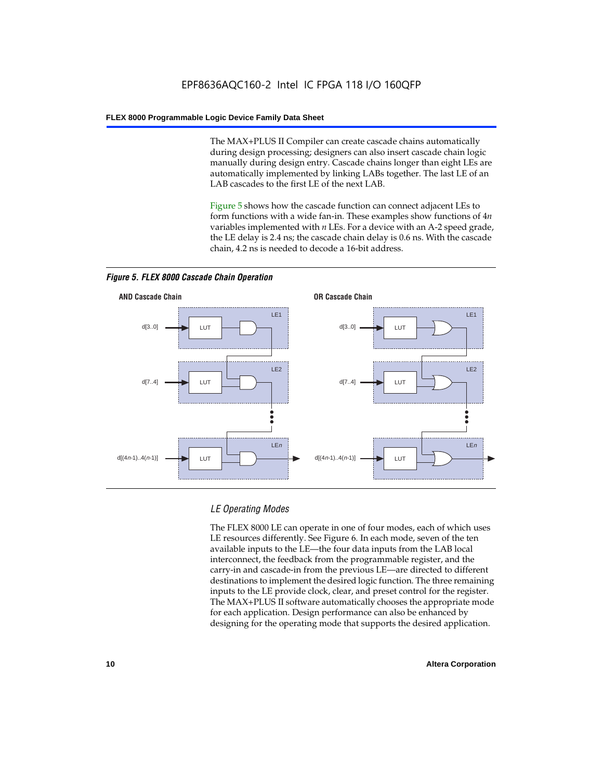The MAX+PLUS II Compiler can create cascade chains automatically during design processing; designers can also insert cascade chain logic manually during design entry. Cascade chains longer than eight LEs are automatically implemented by linking LABs together. The last LE of an LAB cascades to the first LE of the next LAB.

Figure 5 shows how the cascade function can connect adjacent LEs to form functions with a wide fan-in. These examples show functions of 4*n* variables implemented with *n* LEs. For a device with an A-2 speed grade, the LE delay is 2.4 ns; the cascade chain delay is 0.6 ns. With the cascade chain, 4.2 ns is needed to decode a 16-bit address.



*Figure 5. FLEX 8000 Cascade Chain Operation*

#### *LE Operating Modes*

The FLEX 8000 LE can operate in one of four modes, each of which uses LE resources differently. See Figure 6. In each mode, seven of the ten available inputs to the LE—the four data inputs from the LAB local interconnect, the feedback from the programmable register, and the carry-in and cascade-in from the previous LE—are directed to different destinations to implement the desired logic function. The three remaining inputs to the LE provide clock, clear, and preset control for the register. The MAX+PLUS II software automatically chooses the appropriate mode for each application. Design performance can also be enhanced by designing for the operating mode that supports the desired application.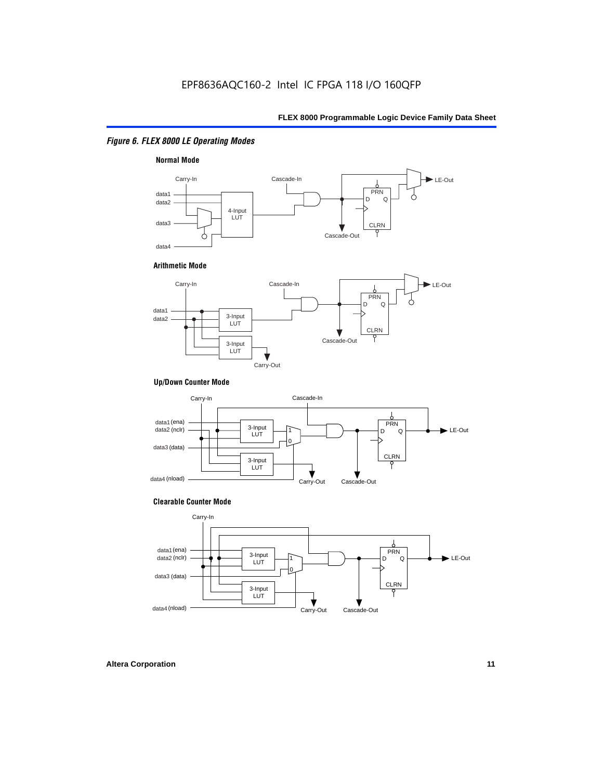#### *Figure 6. FLEX 8000 LE Operating Modes*



#### **Arithmetic Mode**



#### **Up/Down Counter Mode**



#### **Clearable Counter Mode**

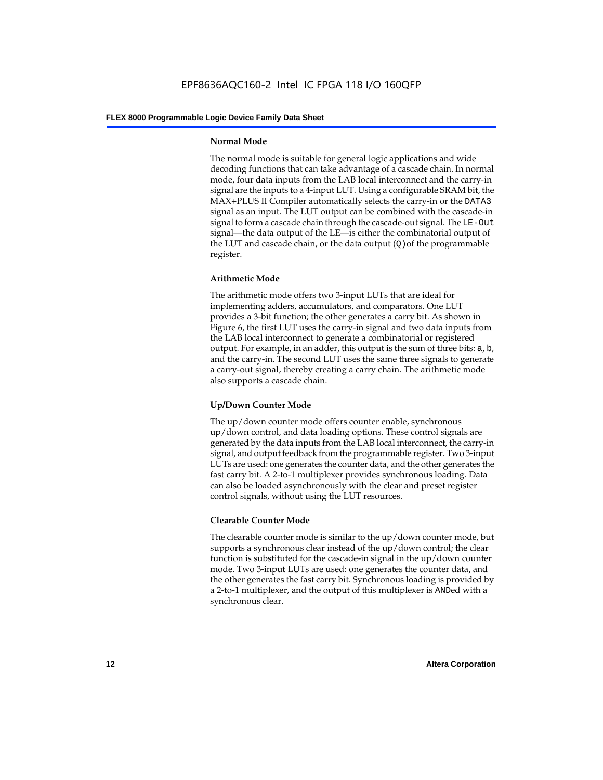#### **Normal Mode**

The normal mode is suitable for general logic applications and wide decoding functions that can take advantage of a cascade chain. In normal mode, four data inputs from the LAB local interconnect and the carry-in signal are the inputs to a 4-input LUT. Using a configurable SRAM bit, the MAX+PLUS II Compiler automatically selects the carry-in or the DATA3 signal as an input. The LUT output can be combined with the cascade-in signal to form a cascade chain through the cascade-out signal. The LE-Out signal—the data output of the LE—is either the combinatorial output of the LUT and cascade chain, or the data output  $(Q)$  of the programmable register.

#### **Arithmetic Mode**

The arithmetic mode offers two 3-input LUTs that are ideal for implementing adders, accumulators, and comparators. One LUT provides a 3-bit function; the other generates a carry bit. As shown in Figure 6, the first LUT uses the carry-in signal and two data inputs from the LAB local interconnect to generate a combinatorial or registered output. For example, in an adder, this output is the sum of three bits: a, b, and the carry-in. The second LUT uses the same three signals to generate a carry-out signal, thereby creating a carry chain. The arithmetic mode also supports a cascade chain.

#### **Up/Down Counter Mode**

The up/down counter mode offers counter enable, synchronous up/down control, and data loading options. These control signals are generated by the data inputs from the LAB local interconnect, the carry-in signal, and output feedback from the programmable register. Two 3-input LUTs are used: one generates the counter data, and the other generates the fast carry bit. A 2-to-1 multiplexer provides synchronous loading. Data can also be loaded asynchronously with the clear and preset register control signals, without using the LUT resources.

#### **Clearable Counter Mode**

The clearable counter mode is similar to the up/down counter mode, but supports a synchronous clear instead of the up/down control; the clear function is substituted for the cascade-in signal in the up/down counter mode. Two 3-input LUTs are used: one generates the counter data, and the other generates the fast carry bit. Synchronous loading is provided by a 2-to-1 multiplexer, and the output of this multiplexer is ANDed with a synchronous clear.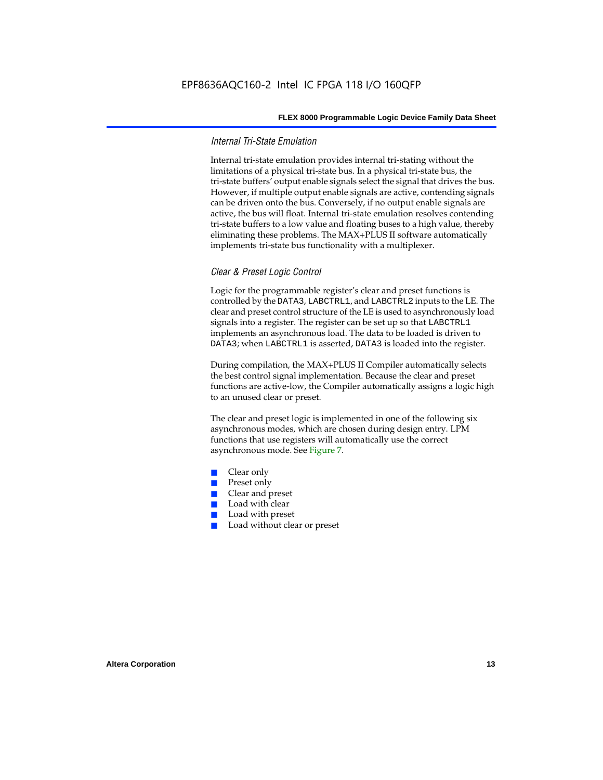#### *Internal Tri-State Emulation*

Internal tri-state emulation provides internal tri-stating without the limitations of a physical tri-state bus. In a physical tri-state bus, the tri-state buffers' output enable signals select the signal that drives the bus. However, if multiple output enable signals are active, contending signals can be driven onto the bus. Conversely, if no output enable signals are active, the bus will float. Internal tri-state emulation resolves contending tri-state buffers to a low value and floating buses to a high value, thereby eliminating these problems. The MAX+PLUS II software automatically implements tri-state bus functionality with a multiplexer.

#### *Clear & Preset Logic Control*

Logic for the programmable register's clear and preset functions is controlled by the DATA3, LABCTRL1, and LABCTRL2 inputs to the LE. The clear and preset control structure of the LE is used to asynchronously load signals into a register. The register can be set up so that LABCTRL1 implements an asynchronous load. The data to be loaded is driven to DATA3; when LABCTRL1 is asserted, DATA3 is loaded into the register.

During compilation, the MAX+PLUS II Compiler automatically selects the best control signal implementation. Because the clear and preset functions are active-low, the Compiler automatically assigns a logic high to an unused clear or preset.

The clear and preset logic is implemented in one of the following six asynchronous modes, which are chosen during design entry. LPM functions that use registers will automatically use the correct asynchronous mode. See Figure 7.

- Clear only
- Preset only
- Clear and preset
- Load with clear
- Load with preset
- Load without clear or preset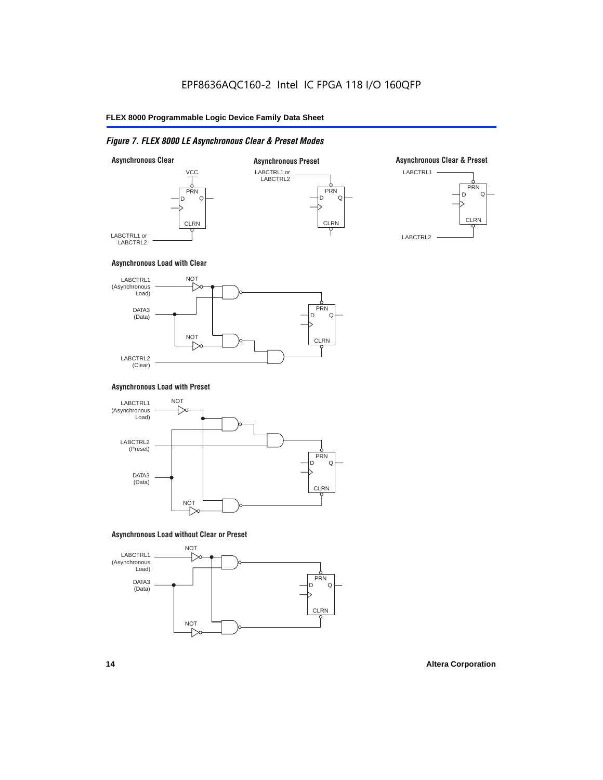#### *Figure 7. FLEX 8000 LE Asynchronous Clear & Preset Modes*



#### **Asynchronous Load with Clear**



#### **Asynchronous Load with Preset**



#### **Asynchronous Load without Clear or Preset**

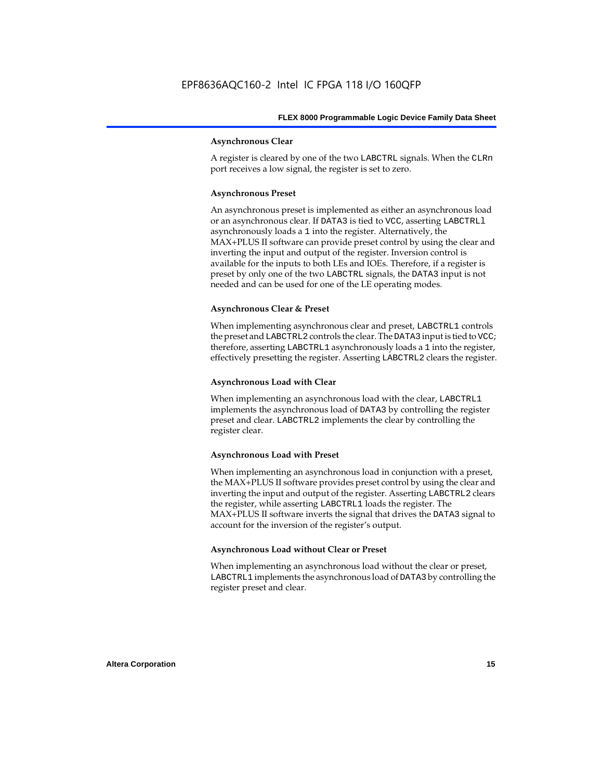#### **Asynchronous Clear**

A register is cleared by one of the two LABCTRL signals. When the CLRn port receives a low signal, the register is set to zero.

#### **Asynchronous Preset**

An asynchronous preset is implemented as either an asynchronous load or an asynchronous clear. If DATA3 is tied to VCC, asserting LABCTRLl asynchronously loads a 1 into the register. Alternatively, the MAX+PLUS II software can provide preset control by using the clear and inverting the input and output of the register. Inversion control is available for the inputs to both LEs and IOEs. Therefore, if a register is preset by only one of the two LABCTRL signals, the DATA3 input is not needed and can be used for one of the LE operating modes.

#### **Asynchronous Clear & Preset**

When implementing asynchronous clear and preset, LABCTRL1 controls the preset and LABCTRL2 controls the clear. The DATA3 input is tied to VCC; therefore, asserting LABCTRL1 asynchronously loads a 1 into the register, effectively presetting the register. Asserting LABCTRL2 clears the register.

#### **Asynchronous Load with Clear**

When implementing an asynchronous load with the clear, LABCTRL1 implements the asynchronous load of DATA3 by controlling the register preset and clear. LABCTRL2 implements the clear by controlling the register clear.

#### **Asynchronous Load with Preset**

When implementing an asynchronous load in conjunction with a preset, the MAX+PLUS II software provides preset control by using the clear and inverting the input and output of the register. Asserting LABCTRL2 clears the register, while asserting LABCTRL1 loads the register. The MAX+PLUS II software inverts the signal that drives the DATA3 signal to account for the inversion of the register's output.

#### **Asynchronous Load without Clear or Preset**

When implementing an asynchronous load without the clear or preset, LABCTRL1 implements the asynchronous load of DATA3 by controlling the register preset and clear.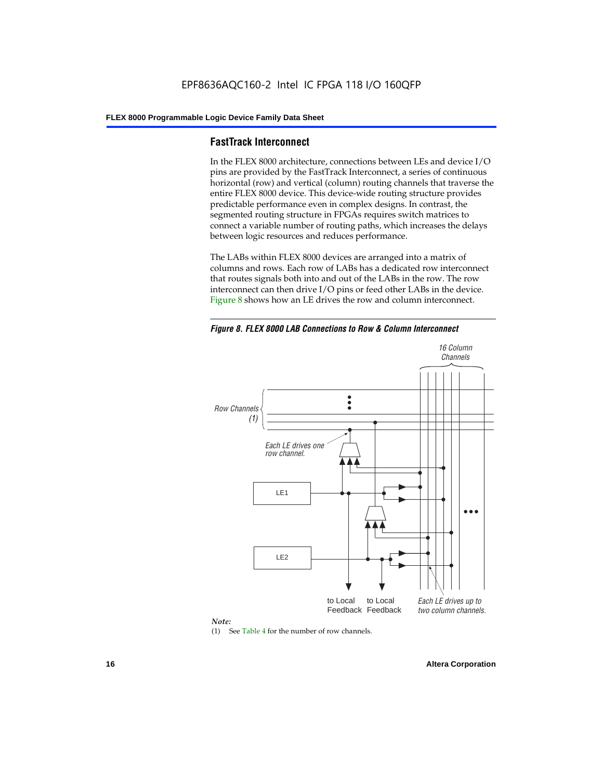#### **FastTrack Interconnect**

In the FLEX 8000 architecture, connections between LEs and device I/O pins are provided by the FastTrack Interconnect, a series of continuous horizontal (row) and vertical (column) routing channels that traverse the entire FLEX 8000 device. This device-wide routing structure provides predictable performance even in complex designs. In contrast, the segmented routing structure in FPGAs requires switch matrices to connect a variable number of routing paths, which increases the delays between logic resources and reduces performance.

The LABs within FLEX 8000 devices are arranged into a matrix of columns and rows. Each row of LABs has a dedicated row interconnect that routes signals both into and out of the LABs in the row. The row interconnect can then drive I/O pins or feed other LABs in the device. Figure 8 shows how an LE drives the row and column interconnect.

*Figure 8. FLEX 8000 LAB Connections to Row & Column Interconnect*





(1) See Table 4 for the number of row channels.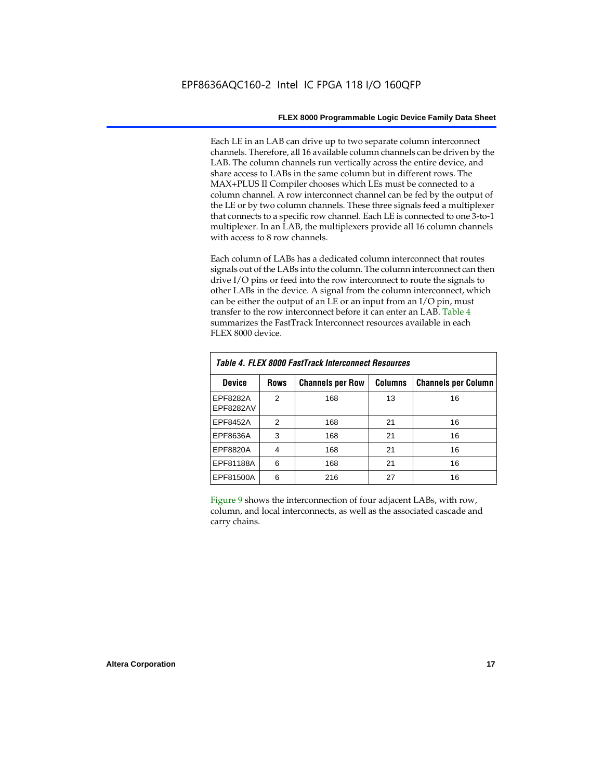Each LE in an LAB can drive up to two separate column interconnect channels. Therefore, all 16 available column channels can be driven by the LAB. The column channels run vertically across the entire device, and share access to LABs in the same column but in different rows. The MAX+PLUS II Compiler chooses which LEs must be connected to a column channel. A row interconnect channel can be fed by the output of the LE or by two column channels. These three signals feed a multiplexer that connects to a specific row channel. Each LE is connected to one 3-to-1 multiplexer. In an LAB, the multiplexers provide all 16 column channels with access to 8 row channels.

Each column of LABs has a dedicated column interconnect that routes signals out of the LABs into the column. The column interconnect can then drive I/O pins or feed into the row interconnect to route the signals to other LABs in the device. A signal from the column interconnect, which can be either the output of an LE or an input from an I/O pin, must transfer to the row interconnect before it can enter an LAB. Table 4 summarizes the FastTrack Interconnect resources available in each FLEX 8000 device.

| Table 4. FLEX 8000 FastTrack Interconnect Resources |               |                         |                |                            |  |  |  |  |  |  |
|-----------------------------------------------------|---------------|-------------------------|----------------|----------------------------|--|--|--|--|--|--|
| Device                                              | <b>Rows</b>   | <b>Channels per Row</b> | <b>Columns</b> | <b>Channels per Column</b> |  |  |  |  |  |  |
| EPF8282A<br>EPF8282AV                               | $\mathcal{P}$ | 168                     | 13             | 16                         |  |  |  |  |  |  |
| EPF8452A                                            | $\mathcal{P}$ | 168                     | 21             | 16                         |  |  |  |  |  |  |
| EPF8636A                                            | 3             | 168                     | 21             | 16                         |  |  |  |  |  |  |
| EPF8820A                                            | 4             | 168                     | 21             | 16                         |  |  |  |  |  |  |
| EPF81188A                                           | 6             | 168                     | 21             | 16                         |  |  |  |  |  |  |
| EPF81500A                                           | 6             | 216                     | 27             | 16                         |  |  |  |  |  |  |

Figure 9 shows the interconnection of four adjacent LABs, with row, column, and local interconnects, as well as the associated cascade and carry chains.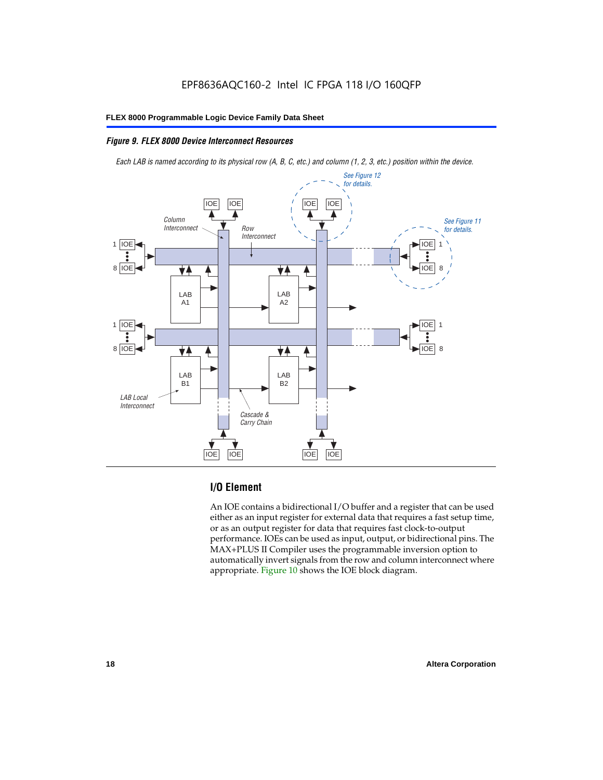#### *Figure 9. FLEX 8000 Device Interconnect Resources*

*Each LAB is named according to its physical row (A, B, C, etc.) and column (1, 2, 3, etc.) position within the device.*



## **I/O Element**

An IOE contains a bidirectional I/O buffer and a register that can be used either as an input register for external data that requires a fast setup time, or as an output register for data that requires fast clock-to-output performance. IOEs can be used as input, output, or bidirectional pins. The MAX+PLUS II Compiler uses the programmable inversion option to automatically invert signals from the row and column interconnect where appropriate. Figure 10 shows the IOE block diagram.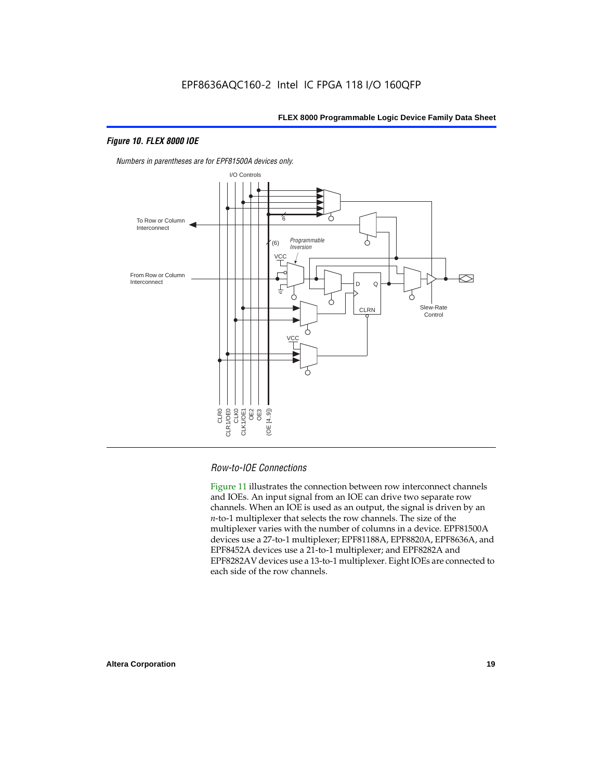#### *Figure 10. FLEX 8000 IOE*



*Numbers in parentheses are for EPF81500A devices only.*

#### *Row-to-IOE Connections*

Figure 11 illustrates the connection between row interconnect channels and IOEs. An input signal from an IOE can drive two separate row channels. When an IOE is used as an output, the signal is driven by an *n*-to-1 multiplexer that selects the row channels. The size of the multiplexer varies with the number of columns in a device. EPF81500A devices use a 27-to-1 multiplexer; EPF81188A, EPF8820A, EPF8636A, and EPF8452A devices use a 21-to-1 multiplexer; and EPF8282A and EPF8282AV devices use a 13-to-1 multiplexer. Eight IOEs are connected to each side of the row channels.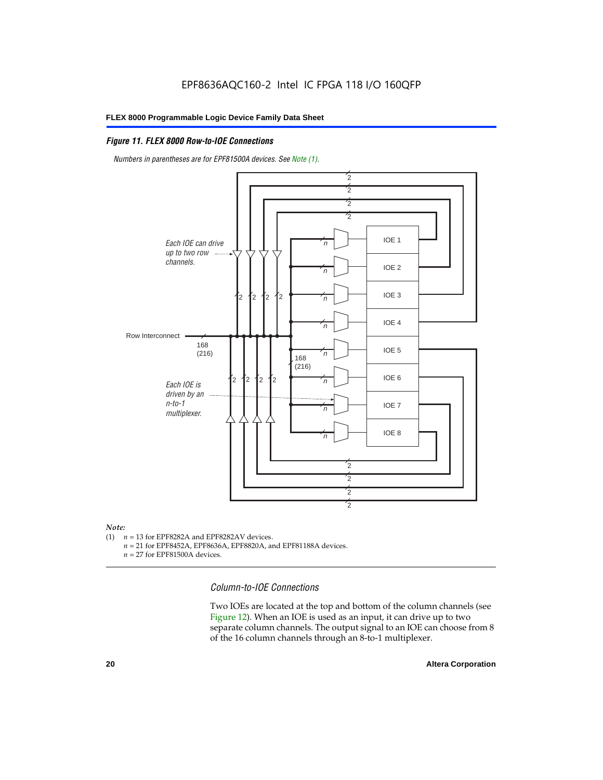#### *Figure 11. FLEX 8000 Row-to-IOE Connections*

*Numbers in parentheses are for EPF81500A devices. See Note (1).*



## *Note:*<br>(1) *n*

- $n = 13$  for EPF8282A and EPF8282AV devices.
	- *n* = 21 for EPF8452A, EPF8636A, EPF8820A, and EPF81188A devices.
	- *n* = 27 for EPF81500A devices.

*Column-to-IOE Connections*

Two IOEs are located at the top and bottom of the column channels (see Figure 12). When an IOE is used as an input, it can drive up to two separate column channels. The output signal to an IOE can choose from 8 of the 16 column channels through an 8-to-1 multiplexer.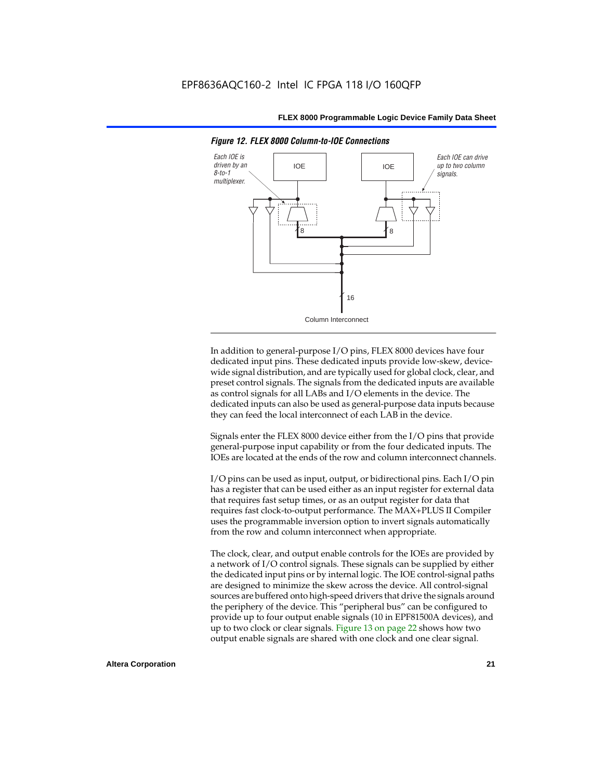

*Figure 12. FLEX 8000 Column-to-IOE Connections*

In addition to general-purpose I/O pins, FLEX 8000 devices have four dedicated input pins. These dedicated inputs provide low-skew, devicewide signal distribution, and are typically used for global clock, clear, and preset control signals. The signals from the dedicated inputs are available as control signals for all LABs and I/O elements in the device. The dedicated inputs can also be used as general-purpose data inputs because they can feed the local interconnect of each LAB in the device.

Signals enter the FLEX 8000 device either from the I/O pins that provide general-purpose input capability or from the four dedicated inputs. The IOEs are located at the ends of the row and column interconnect channels.

I/O pins can be used as input, output, or bidirectional pins. Each I/O pin has a register that can be used either as an input register for external data that requires fast setup times, or as an output register for data that requires fast clock-to-output performance. The MAX+PLUS II Compiler uses the programmable inversion option to invert signals automatically from the row and column interconnect when appropriate.

The clock, clear, and output enable controls for the IOEs are provided by a network of I/O control signals. These signals can be supplied by either the dedicated input pins or by internal logic. The IOE control-signal paths are designed to minimize the skew across the device. All control-signal sources are buffered onto high-speed drivers that drive the signals around the periphery of the device. This "peripheral bus" can be configured to provide up to four output enable signals (10 in EPF81500A devices), and up to two clock or clear signals. Figure 13 on page 22 shows how two output enable signals are shared with one clock and one clear signal.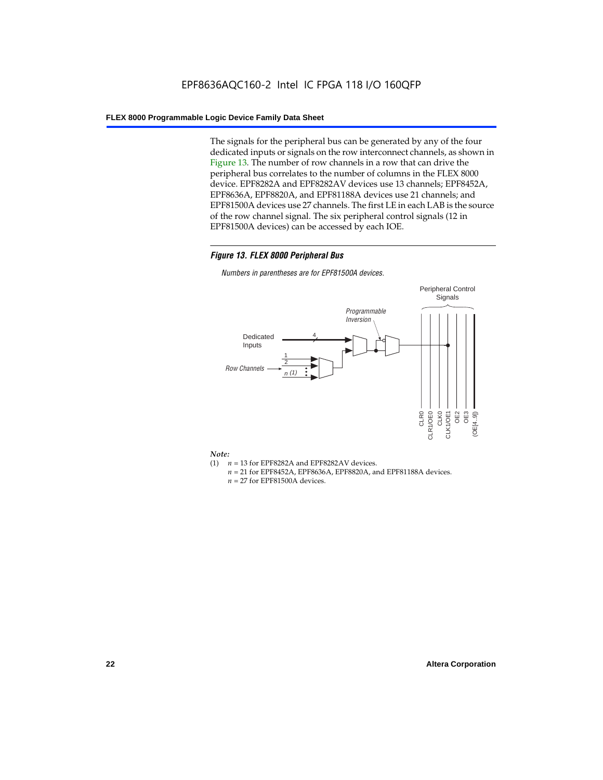The signals for the peripheral bus can be generated by any of the four dedicated inputs or signals on the row interconnect channels, as shown in Figure 13. The number of row channels in a row that can drive the peripheral bus correlates to the number of columns in the FLEX 8000 device. EPF8282A and EPF8282AV devices use 13 channels; EPF8452A, EPF8636A, EPF8820A, and EPF81188A devices use 21 channels; and EPF81500A devices use 27 channels. The first LE in each LAB is the source of the row channel signal. The six peripheral control signals (12 in EPF81500A devices) can be accessed by each IOE.

#### *Figure 13. FLEX 8000 Peripheral Bus*

*Numbers in parentheses are for EPF81500A devices.*



#### *Note:*

- (1)  $n = 13$  for EPF8282A and EPF8282AV devices.
	- *n* = 21 for EPF8452A, EPF8636A, EPF8820A, and EPF81188A devices.
	- *n* = 27 for EPF81500A devices.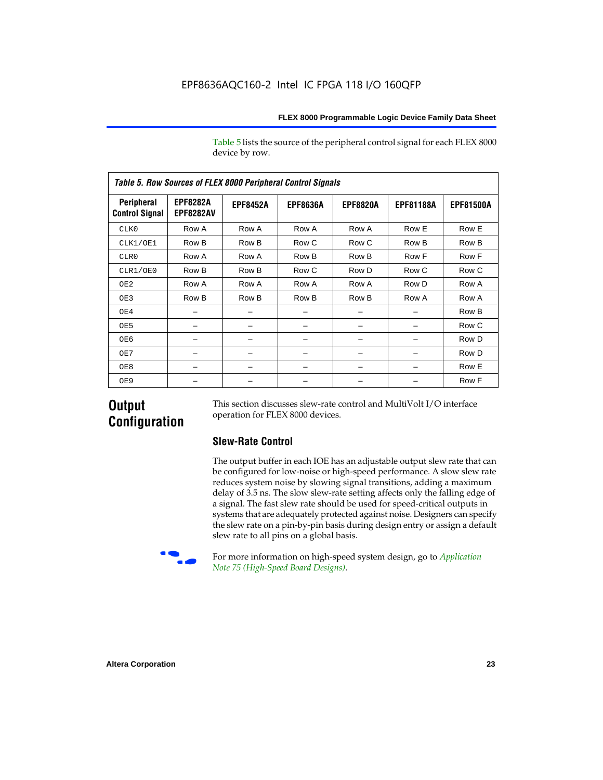Table 5 lists the source of the peripheral control signal for each FLEX 8000 device by row.

| <b>Table 5. Row Sources of FLEX 8000 Peripheral Control Signals</b> |                                     |                 |                 |                 |                  |                  |  |  |  |  |  |
|---------------------------------------------------------------------|-------------------------------------|-----------------|-----------------|-----------------|------------------|------------------|--|--|--|--|--|
| Peripheral<br><b>Control Signal</b>                                 | <b>EPF8282A</b><br><b>EPF8282AV</b> | <b>EPF8452A</b> | <b>EPF8636A</b> | <b>EPF8820A</b> | <b>EPF81188A</b> | <b>EPF81500A</b> |  |  |  |  |  |
| CLK0                                                                | Row A                               | Row A           | Row A           | Row A           | Row E            | Row E            |  |  |  |  |  |
| CLK1/OE1                                                            | Row B                               | Row B           | Row C           | Row C           | Row B            | Row B            |  |  |  |  |  |
| CLR0                                                                | Row A                               | Row A           | Row B           | Row B           | Row F            | Row F            |  |  |  |  |  |
| CLR1/OE0                                                            | Row B                               | Row B           | Row C           | Row D           | Row C            | Row C            |  |  |  |  |  |
| OE <sub>2</sub>                                                     | Row A                               | Row A           | Row A           | Row A           | Row D            | Row A            |  |  |  |  |  |
| OE3                                                                 | Row B                               | Row B           | Row B           | Row B           | Row A            | Row A            |  |  |  |  |  |
| OE4                                                                 |                                     |                 |                 |                 |                  | Row B            |  |  |  |  |  |
| OE5                                                                 |                                     |                 |                 |                 |                  | Row C            |  |  |  |  |  |
| OE6                                                                 |                                     |                 |                 |                 |                  | Row D            |  |  |  |  |  |
| OE7                                                                 |                                     |                 |                 |                 |                  | Row D            |  |  |  |  |  |
| OE8                                                                 |                                     |                 |                 |                 |                  | Row E            |  |  |  |  |  |
| OE9                                                                 |                                     |                 |                 |                 |                  | Row F            |  |  |  |  |  |

## **Output Configuration**

This section discusses slew-rate control and MultiVolt I/O interface operation for FLEX 8000 devices.

## **Slew-Rate Control**

The output buffer in each IOE has an adjustable output slew rate that can be configured for low-noise or high-speed performance. A slow slew rate reduces system noise by slowing signal transitions, adding a maximum delay of 3.5 ns. The slow slew-rate setting affects only the falling edge of a signal. The fast slew rate should be used for speed-critical outputs in systems that are adequately protected against noise. Designers can specify the slew rate on a pin-by-pin basis during design entry or assign a default slew rate to all pins on a global basis.



f For more information on high-speed system design, go to *Application Note 75 (High-Speed Board Designs)*.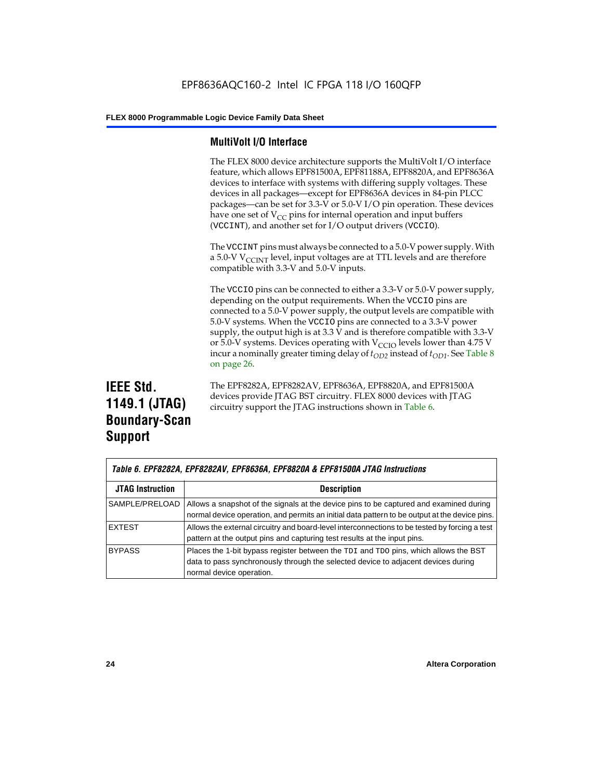#### **MultiVolt I/O Interface**

The FLEX 8000 device architecture supports the MultiVolt I/O interface feature, which allows EPF81500A, EPF81188A, EPF8820A, and EPF8636A devices to interface with systems with differing supply voltages. These devices in all packages—except for EPF8636A devices in 84-pin PLCC packages—can be set for 3.3-V or 5.0-V I/O pin operation. These devices have one set of  $V_{CC}$  pins for internal operation and input buffers (VCCINT), and another set for I/O output drivers (VCCIO).

The VCCINT pins must always be connected to a 5.0-V power supply. With a 5.0-V  $V_{\text{CCINT}}$  level, input voltages are at TTL levels and are therefore compatible with 3.3-V and 5.0-V inputs.

The VCCIO pins can be connected to either a 3.3-V or 5.0-V power supply, depending on the output requirements. When the VCCIO pins are connected to a 5.0-V power supply, the output levels are compatible with 5.0-V systems. When the VCCIO pins are connected to a 3.3-V power supply, the output high is at 3.3 V and is therefore compatible with 3.3-V or 5.0-V systems. Devices operating with  $V_{\text{C}CD}$  levels lower than 4.75 V incur a nominally greater timing delay of  $t_{OD2}$  instead of  $t_{OD1}$ . See Table 8 on page 26.

## **IEEE Std. 1149.1 (JTAG) Boundary-Scan Support**

The EPF8282A, EPF8282AV, EPF8636A, EPF8820A, and EPF81500A devices provide JTAG BST circuitry. FLEX 8000 devices with JTAG circuitry support the JTAG instructions shown in Table 6.

|                         | Table 6. EPF8282A, EPF8282AV, EPF8636A, EPF8820A & EPF81500A JTAG Instructions                                                                                                                       |  |  |  |  |  |
|-------------------------|------------------------------------------------------------------------------------------------------------------------------------------------------------------------------------------------------|--|--|--|--|--|
| <b>JTAG Instruction</b> | <b>Description</b>                                                                                                                                                                                   |  |  |  |  |  |
| SAMPLE/PRELOAD          | Allows a snapshot of the signals at the device pins to be captured and examined during<br>normal device operation, and permits an initial data pattern to be output at the device pins.              |  |  |  |  |  |
| <b>EXTEST</b>           | Allows the external circuitry and board-level interconnections to be tested by forcing a test<br>pattern at the output pins and capturing test results at the input pins.                            |  |  |  |  |  |
| <b>BYPASS</b>           | Places the 1-bit bypass register between the TDI and TDO pins, which allows the BST<br>data to pass synchronously through the selected device to adjacent devices during<br>normal device operation. |  |  |  |  |  |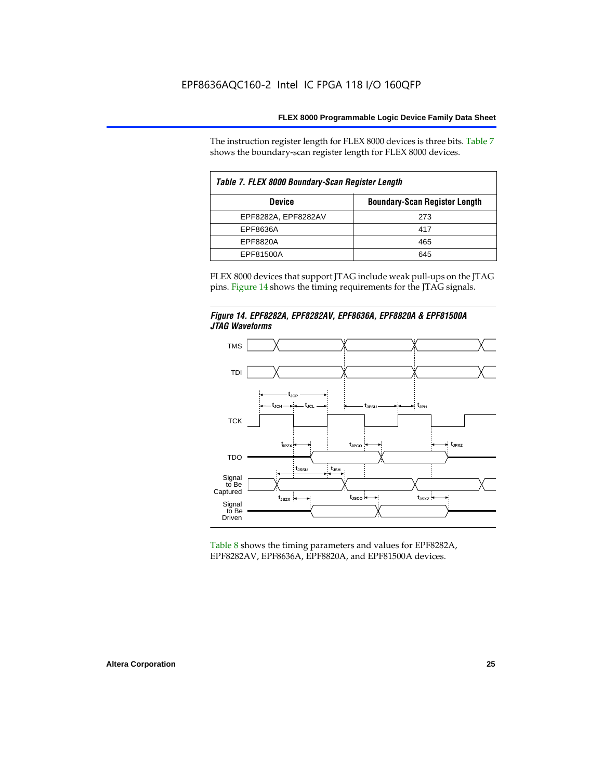The instruction register length for FLEX 8000 devices is three bits. Table 7 shows the boundary-scan register length for FLEX 8000 devices.

| Table 7. FLEX 8000 Boundary-Scan Register Length |                                      |  |  |  |  |  |  |
|--------------------------------------------------|--------------------------------------|--|--|--|--|--|--|
| <b>Device</b>                                    | <b>Boundary-Scan Register Length</b> |  |  |  |  |  |  |
| EPF8282A, EPF8282AV                              | 273                                  |  |  |  |  |  |  |
| EPF8636A                                         | 417                                  |  |  |  |  |  |  |
| EPF8820A                                         | 465                                  |  |  |  |  |  |  |
| EPF81500A                                        | 645                                  |  |  |  |  |  |  |

FLEX 8000 devices that support JTAG include weak pull-ups on the JTAG pins. Figure 14 shows the timing requirements for the JTAG signals.





Table 8 shows the timing parameters and values for EPF8282A, EPF8282AV, EPF8636A, EPF8820A, and EPF81500A devices.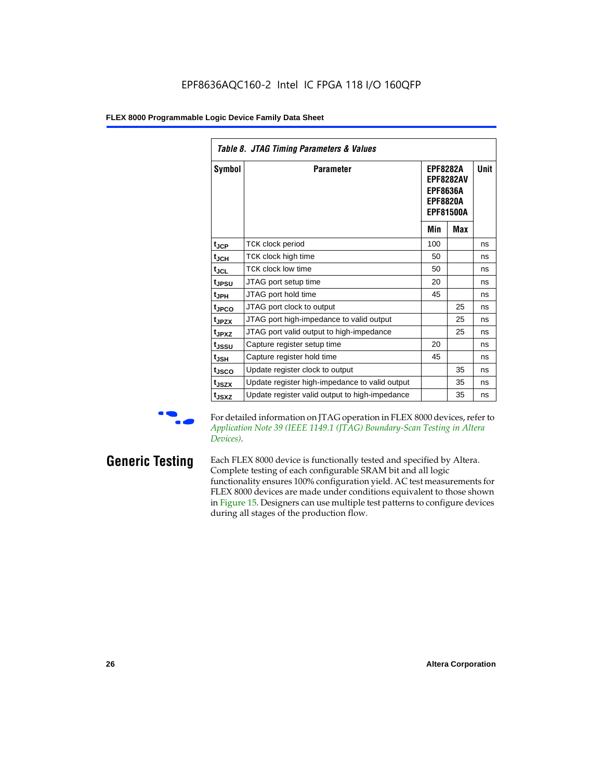| Table 8. JTAG Timing Parameters & Values |                                                |                                                                                               |     |             |  |  |  |  |  |
|------------------------------------------|------------------------------------------------|-----------------------------------------------------------------------------------------------|-----|-------------|--|--|--|--|--|
| Symbol                                   | <b>Parameter</b>                               | <b>EPF8282A</b><br><b>EPF8282AV</b><br><b>EPF8636A</b><br><b>EPF8820A</b><br><b>EPF81500A</b> |     | <b>Unit</b> |  |  |  |  |  |
|                                          |                                                | Min                                                                                           | Max |             |  |  |  |  |  |
| $t_{\rm JCP}$                            | TCK clock period                               | 100                                                                                           |     | ns          |  |  |  |  |  |
| $t_{JCH}$                                | TCK clock high time                            | 50                                                                                            |     | ns          |  |  |  |  |  |
| $t_{JCL}$                                | <b>TCK clock low time</b>                      | 50                                                                                            |     | ns          |  |  |  |  |  |
| t <sub>JPSU</sub>                        | JTAG port setup time                           | 20                                                                                            |     | ns          |  |  |  |  |  |
| t <sub>JPH</sub>                         | JTAG port hold time                            | 45                                                                                            |     | ns          |  |  |  |  |  |
| t <sub>JPCO</sub>                        | JTAG port clock to output                      |                                                                                               | 25  | ns          |  |  |  |  |  |
| t <sub>JPZX</sub>                        | JTAG port high-impedance to valid output       |                                                                                               | 25  | ns          |  |  |  |  |  |
| t <sub>JPXZ</sub>                        | JTAG port valid output to high-impedance       |                                                                                               | 25  | ns          |  |  |  |  |  |
| tjssu                                    | Capture register setup time                    | 20                                                                                            |     | ns          |  |  |  |  |  |
| $t_{JSH}$                                | Capture register hold time                     | 45                                                                                            |     | ns          |  |  |  |  |  |
| t <sub>JSCO</sub>                        | Update register clock to output                |                                                                                               | 35  | ns          |  |  |  |  |  |
| t <sub>JSZX</sub>                        | Update register high-impedance to valid output |                                                                                               | 35  | ns          |  |  |  |  |  |
| t <sub>JSXZ</sub>                        | Update register valid output to high-impedance |                                                                                               | 35  | ns          |  |  |  |  |  |

For detailed information on JTAG operation in FLEX 8000 devices, refer to *Application Note 39 (IEEE 1149.1 (JTAG) Boundary-Scan Testing in Altera Devices)*.

**Generic Testing** Each FLEX 8000 device is functionally tested and specified by Altera. Complete testing of each configurable SRAM bit and all logic functionality ensures 100% configuration yield. AC test measurements for FLEX 8000 devices are made under conditions equivalent to those shown in Figure 15. Designers can use multiple test patterns to configure devices during all stages of the production flow.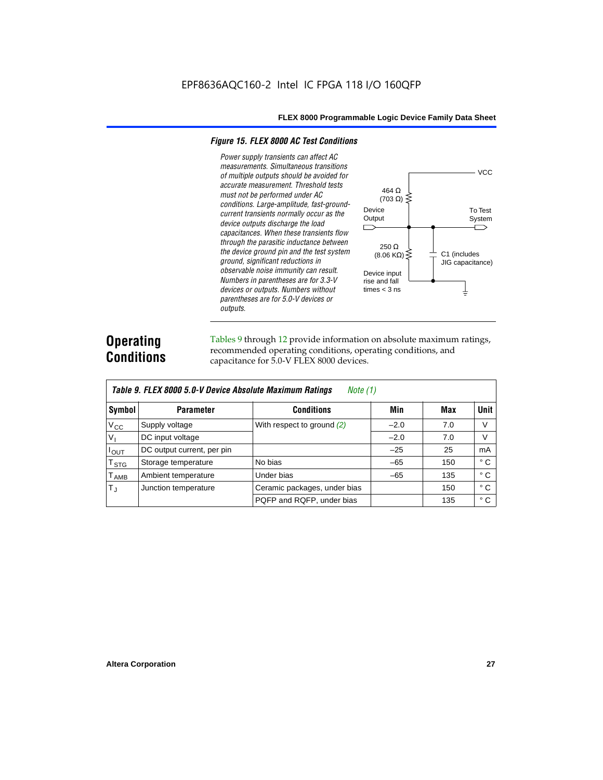#### *Figure 15. FLEX 8000 AC Test Conditions*

*Power supply transients can affect AC measurements. Simultaneous transitions of multiple outputs should be avoided for accurate measurement. Threshold tests*  464 Ω *must not be performed under AC*   $(703 \Omega)$ *conditions. Large-amplitude, fast-ground-*Device *current transients normally occur as the*  **Output** *device outputs discharge the load*   $\Box$ *capacitances. When these transients flow through the parasitic inductance between*  250 Ω *the device ground pin and the test system*   $(8.06 \text{ K}\Omega)$ C1 (includes *ground, significant reductions in*  JIG capacitance) *observable noise immunity can result.*  Device input *Numbers in parentheses are for 3.3-V*  rise and fall *devices or outputs. Numbers without*  times  $<$  3 ns ╧ *parentheses are for 5.0-V devices or outputs.*

## **Operating Conditions**

Tables 9 through 12 provide information on absolute maximum ratings, recommended operating conditions, operating conditions, and capacitance for 5.0-V FLEX 8000 devices.

|               | Table 9. FLEX 8000 5.0-V Device Absolute Maximum Ratings<br>Note (1) |                              |        |     |              |  |  |  |  |  |  |  |
|---------------|----------------------------------------------------------------------|------------------------------|--------|-----|--------------|--|--|--|--|--|--|--|
| Symbol        | <b>Parameter</b>                                                     | <b>Conditions</b>            | Min    | Max | <b>Unit</b>  |  |  |  |  |  |  |  |
| $V_{\rm CC}$  | Supply voltage                                                       | With respect to ground (2)   | $-2.0$ | 7.0 | V            |  |  |  |  |  |  |  |
| $V_{1}$       | DC input voltage                                                     |                              | $-2.0$ | 7.0 | V            |  |  |  |  |  |  |  |
| $I_{OUT}$     | DC output current, per pin                                           |                              | $-25$  | 25  | mA           |  |  |  |  |  |  |  |
| $T_{STG}$     | Storage temperature                                                  | No bias                      | $-65$  | 150 | $^{\circ}$ C |  |  |  |  |  |  |  |
| $T_{\rm AMB}$ | Ambient temperature                                                  | Under bias                   | $-65$  | 135 | $^{\circ}$ C |  |  |  |  |  |  |  |
| $T_{\rm J}$   | Junction temperature                                                 | Ceramic packages, under bias |        | 150 | $^{\circ}$ C |  |  |  |  |  |  |  |
|               |                                                                      | PQFP and RQFP, under bias    |        | 135 | ° C          |  |  |  |  |  |  |  |

**VCC** 

To Test System

⌒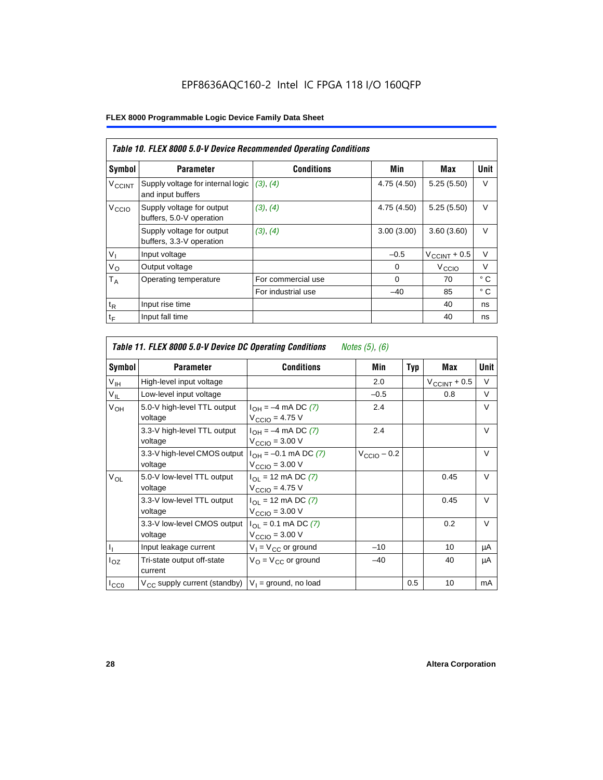## EPF8636AQC160-2 Intel IC FPGA 118 I/O 160QFP

|                          | Table 10. FLEX 8000 5.0-V Device Recommended Operating Conditions |                    |            |                          |              |  |  |  |  |  |
|--------------------------|-------------------------------------------------------------------|--------------------|------------|--------------------------|--------------|--|--|--|--|--|
| Symbol                   | <b>Parameter</b>                                                  | <b>Conditions</b>  | Min        | Max                      | Unit         |  |  |  |  |  |
| <b>V<sub>CCINT</sub></b> | Supply voltage for internal logic<br>and input buffers            | (3), (4)           | 4.75(4.50) | 5.25(5.50)               | $\vee$       |  |  |  |  |  |
| V <sub>CCIO</sub>        | Supply voltage for output<br>buffers, 5.0-V operation             | (3), (4)           | 4.75(4.50) | 5.25(5.50)               | $\vee$       |  |  |  |  |  |
|                          | Supply voltage for output<br>buffers, 3.3-V operation             | (3), (4)           | 3.00(3.00) | 3.60(3.60)               | $\vee$       |  |  |  |  |  |
| $V_{1}$                  | Input voltage                                                     |                    | $-0.5$     | $V_{\text{CCINT}} + 0.5$ | $\vee$       |  |  |  |  |  |
| $V_{\rm O}$              | Output voltage                                                    |                    | $\Omega$   | V <sub>CCIO</sub>        | $\vee$       |  |  |  |  |  |
| $T_A$                    | Operating temperature                                             | For commercial use | $\Omega$   | 70                       | $^{\circ}$ C |  |  |  |  |  |
|                          |                                                                   | For industrial use | $-40$      | 85                       | °C           |  |  |  |  |  |
| $t_{R}$                  | Input rise time                                                   |                    |            | 40                       | ns           |  |  |  |  |  |
| t <sub>F</sub>           | Input fall time                                                   |                    |            | 40                       | ns           |  |  |  |  |  |

| Table 11. FLEX 8000 5.0-V Device DC Operating Conditions<br>Notes (5), (6) |                                         |                                                                      |                         |            |                       |             |  |  |  |
|----------------------------------------------------------------------------|-----------------------------------------|----------------------------------------------------------------------|-------------------------|------------|-----------------------|-------------|--|--|--|
| Symbol                                                                     | <b>Parameter</b>                        | <b>Conditions</b>                                                    | Min                     | <b>Typ</b> | Max                   | <b>Unit</b> |  |  |  |
| $V_{IH}$                                                                   | High-level input voltage                |                                                                      | 2.0                     |            | $V_{\rm CCINT}$ + 0.5 | V           |  |  |  |
| $V_{IL}$                                                                   | Low-level input voltage                 |                                                                      | $-0.5$                  |            | 0.8                   | V           |  |  |  |
| V <sub>OH</sub>                                                            | 5.0-V high-level TTL output<br>voltage  | $I_{OH} = -4$ mA DC (7)<br>$V_{\text{CCIO}} = 4.75 V$                | 2.4                     |            |                       | V           |  |  |  |
|                                                                            | 3.3-V high-level TTL output<br>voltage  | $I_{OH} = -4$ mA DC (7)<br>$V_{CCD}$ = 3.00 V                        | 2.4                     |            |                       | V           |  |  |  |
|                                                                            | 3.3-V high-level CMOS output<br>voltage | $I_{OH} = -0.1$ mA DC (7)<br>$V_{\text{CCIO}} = 3.00 \text{ V}$      | $V_{\text{CCIO}} - 0.2$ |            |                       | $\vee$      |  |  |  |
| $V_{OL}$                                                                   | 5.0-V low-level TTL output<br>voltage   | $I_{OL}$ = 12 mA DC (7)<br>$V_{\text{CCIO}} = 4.75 V$                |                         |            | 0.45                  | $\vee$      |  |  |  |
|                                                                            | 3.3-V low-level TTL output<br>voltage   | $I_{\text{OI}}$ = 12 mA DC (7)<br>$V_{\text{CCIO}} = 3.00 \text{ V}$ |                         |            | 0.45                  | $\vee$      |  |  |  |
|                                                                            | 3.3-V low-level CMOS output<br>voltage  | $I_{\Omega I} = 0.1$ mA DC (7)<br>$V_{\text{CCIO}} = 3.00 \text{ V}$ |                         |            | 0.2                   | $\vee$      |  |  |  |
| $I_1$                                                                      | Input leakage current                   | $V_1 = V_{CC}$ or ground                                             | $-10$                   |            | 10                    | μA          |  |  |  |
| $I_{OZ}$                                                                   | Tri-state output off-state<br>current   | $V_{\Omega} = V_{\Omega}$ or ground                                  | $-40$                   |            | 40                    | μA          |  |  |  |
| $I_{CC0}$                                                                  | $V_{CC}$ supply current (standby)       | $V_1$ = ground, no load                                              |                         | 0.5        | 10                    | mA          |  |  |  |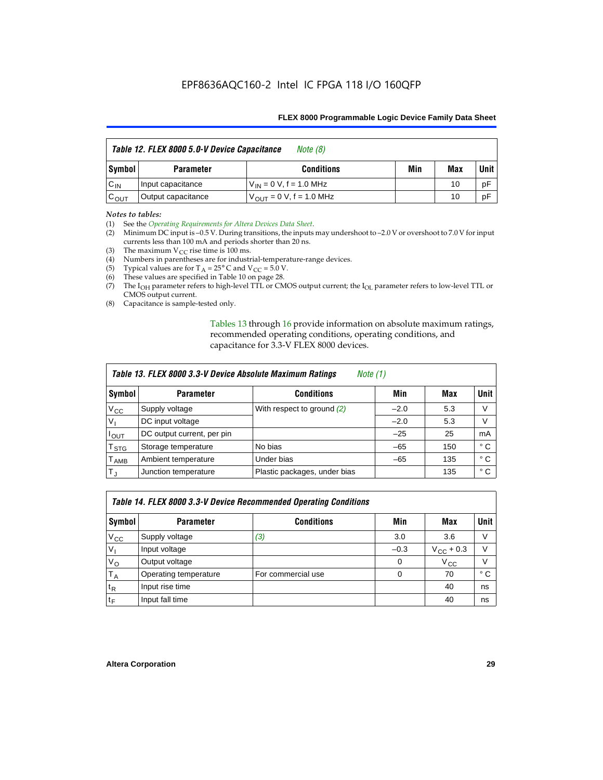| Table 12. FLEX 8000 5.0-V Device Capacitance<br>Note (8) |                    |                               |     |     |             |
|----------------------------------------------------------|--------------------|-------------------------------|-----|-----|-------------|
| Symbol                                                   | <b>Parameter</b>   | <b>Conditions</b>             | Min | Max | <b>Unit</b> |
| $C_{IN}$                                                 | Input capacitance  | $V_{IN} = 0 V, f = 1.0 MHz$   |     | 10  | рF          |
| $C_{\text{OUT}}$                                         | Output capacitance | $V_{OIII}$ = 0 V, f = 1.0 MHz |     | 10  | рF          |

#### *Notes to tables:*

(1) See the *Operating Requirements for Altera Devices Data Sheet*.

- (2) Minimum DC input is –0.5 V. During transitions, the inputs may undershoot to –2.0 V or overshoot to 7.0 V for input currents less than 100 mA and periods shorter than 20 ns.
- (3) The maximum  $V_{CC}$  rise time is 100 ms.
- (4) Numbers in parentheses are for industrial-temperature-range devices.
- (5) Typical values are for  $T_A = 25^\circ$  C and  $V_{CC} = 5.0$  V.
- (6) These values are specified in Table 10 on page 28.
- (7) The I<sub>OH</sub> parameter refers to high-level TTL or CMOS output current; the I<sub>OL</sub> parameter refers to low-level TTL or CMOS output current.
- (8) Capacitance is sample-tested only.

Tables 13 through 16 provide information on absolute maximum ratings, recommended operating conditions, operating conditions, and capacitance for 3.3-V FLEX 8000 devices.

|                         | Table 13. FLEX 8000 3.3-V Device Absolute Maximum Ratings<br><i>Note</i> $(1)$ |                              |        |     |      |  |  |
|-------------------------|--------------------------------------------------------------------------------|------------------------------|--------|-----|------|--|--|
| Symbol                  | <b>Parameter</b>                                                               | <b>Conditions</b>            | Min    | Max | Unit |  |  |
| $V_{CC}$                | Supply voltage                                                                 | With respect to ground $(2)$ | $-2.0$ | 5.3 | V    |  |  |
| V <sub>1</sub>          | DC input voltage                                                               |                              | $-2.0$ | 5.3 | v    |  |  |
| $I_{\text{OUT}}$        | DC output current, per pin                                                     |                              | $-25$  | 25  | mA   |  |  |
| T <sub>STG</sub>        | Storage temperature                                                            | No bias                      | $-65$  | 150 | ° C  |  |  |
| <b>T</b> <sub>AMB</sub> | Ambient temperature                                                            | Under bias                   | $-65$  | 135 | ° C  |  |  |
| $T_J$                   | Junction temperature                                                           | Plastic packages, under bias |        | 135 | ° C  |  |  |

|              | Table 14. FLEX 8000 3.3-V Device Recommended Operating Conditions |                    |          |                    |        |  |  |
|--------------|-------------------------------------------------------------------|--------------------|----------|--------------------|--------|--|--|
| Symbol       | <b>Parameter</b>                                                  | <b>Conditions</b>  | Min      | Max                | Unit I |  |  |
| $V_{\rm CC}$ | Supply voltage                                                    | (3)                | 3.0      | 3.6                | V      |  |  |
| $V_{1}$      | Input voltage                                                     |                    | $-0.3$   | $V_{\rm CC}$ + 0.3 | $\vee$ |  |  |
| $V_{\rm O}$  | Output voltage                                                    |                    | $\Omega$ | $V_{\rm CC}$       | $\vee$ |  |  |
| $T_A$        | Operating temperature                                             | For commercial use | 0        | 70                 | ۰c     |  |  |
| $t_{R}$      | Input rise time                                                   |                    |          | 40                 | ns     |  |  |
| $t_F$        | Input fall time                                                   |                    |          | 40                 | ns     |  |  |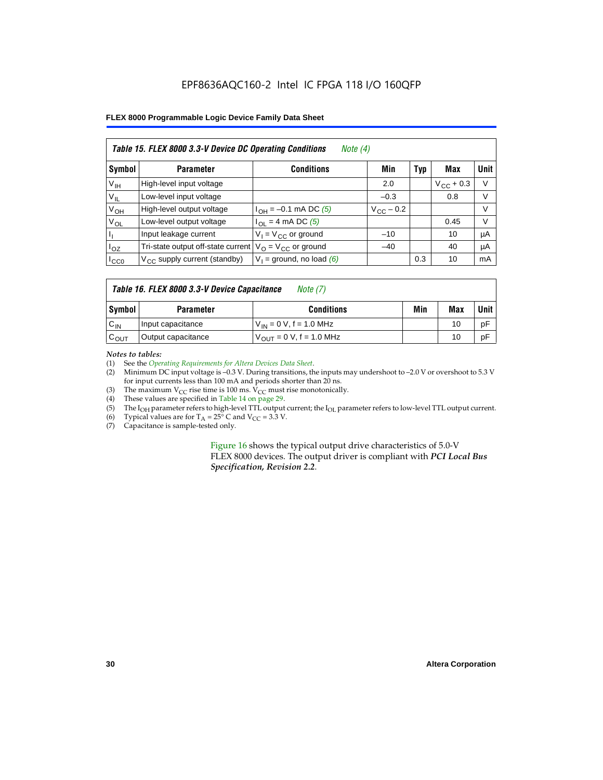## EPF8636AQC160-2 Intel IC FPGA 118 I/O 160QFP

#### **FLEX 8000 Programmable Logic Device Family Data Sheet**

|                 | Table 15. FLEX 8000 3.3-V Device DC Operating Conditions<br>Note $(4)$ |                                          |                    |     |                    |             |  |  |
|-----------------|------------------------------------------------------------------------|------------------------------------------|--------------------|-----|--------------------|-------------|--|--|
| Symbol          | <b>Parameter</b>                                                       | <b>Conditions</b>                        | Min                | Typ | Max                | <b>Unit</b> |  |  |
| V <sub>IH</sub> | High-level input voltage                                               |                                          | 2.0                |     | $V_{\rm CC}$ + 0.3 | $\vee$      |  |  |
| $V_{IL}$        | Low-level input voltage                                                |                                          | $-0.3$             |     | 0.8                | V           |  |  |
| $V_{OH}$        | High-level output voltage                                              | $I_{OH} = -0.1$ mA DC (5)                | $V_{\rm CC}$ – 0.2 |     |                    | V           |  |  |
| $V_{OL}$        | Low-level output voltage                                               | $I_{OL}$ = 4 mA DC (5)                   |                    |     | 0.45               | $\vee$      |  |  |
| Пı              | Input leakage current                                                  | $V_1 = V_{CC}$ or ground                 | $-10$              |     | 10                 | μA          |  |  |
| $I_{OZ}$        | Tri-state output off-state current                                     | $V_{\text{O}} = V_{\text{CC}}$ or ground | $-40$              |     | 40                 | μA          |  |  |
| ICCO            | $V_{\text{CC}}$ supply current (standby)                               | $V_1$ = ground, no load (6)              |                    | 0.3 | 10                 | mA          |  |  |

#### *Table 16. FLEX 8000 3.3-V Device Capacitance Note (7)*

| Symbol           | <b>Parameter</b>   | <b>Conditions</b>                   | Min | Max | Unit |
|------------------|--------------------|-------------------------------------|-----|-----|------|
| $C_{IN}$         | Input capacitance  | $V_{IN} = 0 V$ , f = 1.0 MHz        |     | 10  | рF   |
| $c_{\text{OUT}}$ | Output capacitance | $V_{\text{OUT}} = 0 V, f = 1.0 MHz$ |     | 10  | рF   |

#### *Notes to tables:*

(1) See the *Operating Requirements for Altera Devices Data Sheet*.

- (2) Minimum DC input voltage is –0.3 V. During transitions, the inputs may undershoot to –2.0 V or overshoot to 5.3 V for input currents less than 100 mA and periods shorter than 20 ns.
- (3) The maximum  $V_{CC}$  rise time is 100 ms.  $V_{CC}$  must rise monotonically.<br>(4) These values are specified in Table 14 on page 29.
- These values are specified in Table 14 on page 29.
- (5) The I<sub>OH</sub> parameter refers to high-level TTL output current; the I<sub>OL</sub> parameter refers to low-level TTL output current.<br>(6) Typical values are for T<sub>A</sub> = 25° C and V<sub>CC</sub> = 3.3 V.
- (6) Typical values are for  $T_A = 25^\circ$  C and  $V_{CC} = 3.3$  V.<br>(7) Capacitance is sample-tested only.
- Capacitance is sample-tested only.

Figure 16 shows the typical output drive characteristics of 5.0-V FLEX 8000 devices. The output driver is compliant with *PCI Local Bus Specification, Revision 2.2*.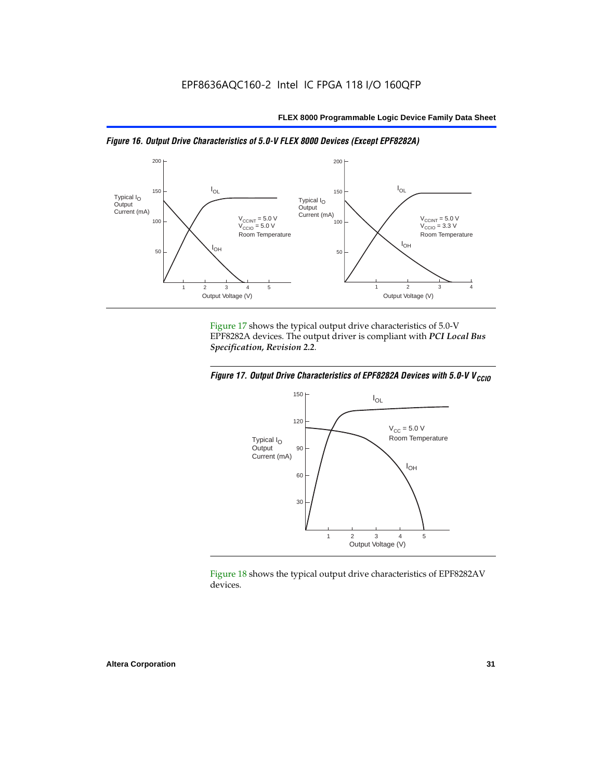



Figure 17 shows the typical output drive characteristics of 5.0-V EPF8282A devices. The output driver is compliant with *PCI Local Bus Specification, Revision 2.2*.





Figure 18 shows the typical output drive characteristics of EPF8282AV devices.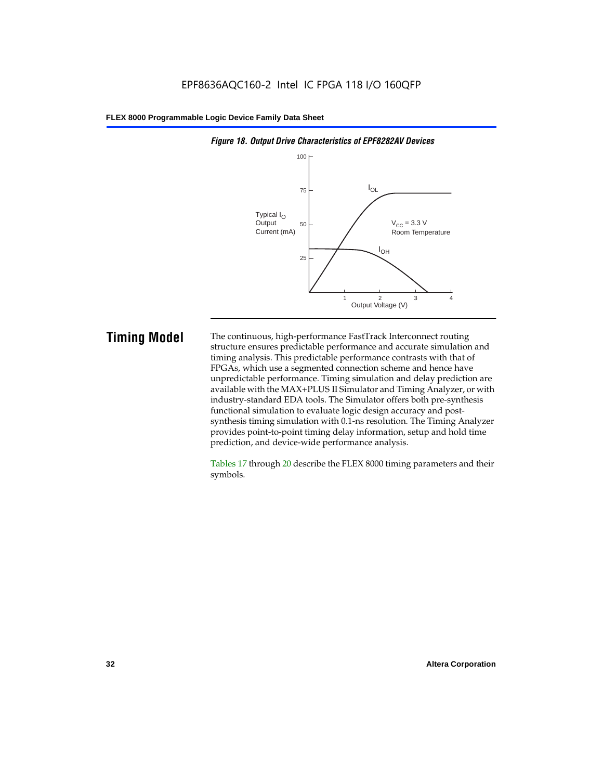

#### *Figure 18. Output Drive Characteristics of EPF8282AV Devices*

**Timing Model** The continuous, high-performance FastTrack Interconnect routing structure ensures predictable performance and accurate simulation and timing analysis. This predictable performance contrasts with that of FPGAs, which use a segmented connection scheme and hence have unpredictable performance. Timing simulation and delay prediction are available with the MAX+PLUS II Simulator and Timing Analyzer, or with industry-standard EDA tools. The Simulator offers both pre-synthesis functional simulation to evaluate logic design accuracy and postsynthesis timing simulation with 0.1-ns resolution. The Timing Analyzer provides point-to-point timing delay information, setup and hold time prediction, and device-wide performance analysis.

> Tables 17 through 20 describe the FLEX 8000 timing parameters and their symbols.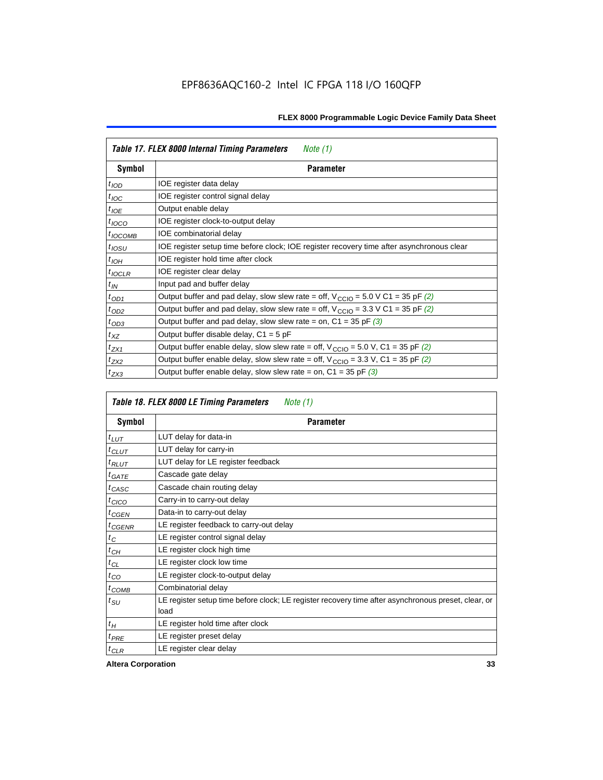|                  | Table 17. FLEX 8000 Internal Timing Parameters<br><i>Note</i> $(1)$                                          |
|------------------|--------------------------------------------------------------------------------------------------------------|
| Symbol           | <b>Parameter</b>                                                                                             |
| $t_{\text{IOD}}$ | IOE register data delay                                                                                      |
| $t_{\text{IOC}}$ | IOE register control signal delay                                                                            |
| $t_{IOE}$        | Output enable delay                                                                                          |
| $t_{IOCO}$       | IOE register clock-to-output delay                                                                           |
| $t_{IOCOMB}$     | IOE combinatorial delay                                                                                      |
| $t_{IOSU}$       | IOE register setup time before clock; IOE register recovery time after asynchronous clear                    |
| $t_{IOH}$        | IOE register hold time after clock                                                                           |
| $t_{IOCLR}$      | IOE register clear delay                                                                                     |
| $t_{IN}$         | Input pad and buffer delay                                                                                   |
| $t_{OD1}$        | Output buffer and pad delay, slow slew rate = off, $V_{\text{CCIO}} = 5.0 \text{ V C1} = 35 \text{ pF } (2)$ |
| $t_{OD2}$        | Output buffer and pad delay, slow slew rate = off, $V_{\text{CCIO}} = 3.3 \text{ V C1} = 35 \text{ pF } (2)$ |
| $t_{OD3}$        | Output buffer and pad delay, slow slew rate = on, $C1 = 35$ pF (3)                                           |
| $t_{XZ}$         | Output buffer disable delay, $C1 = 5$ pF                                                                     |
| $t_{ZX1}$        | Output buffer enable delay, slow slew rate = off, $V_{\text{CCIO}} = 5.0$ V, C1 = 35 pF (2)                  |
| $t_{ZX2}$        | Output buffer enable delay, slow slew rate = off, $V_{\text{CCIO}} = 3.3$ V, C1 = 35 pF (2)                  |
| $t_{ZX3}$        | Output buffer enable delay, slow slew rate = on, $C1 = 35$ pF (3)                                            |

|                      | Table 18. FLEX 8000 LE Timing Parameters<br>Note (1)                                                        |  |  |  |  |
|----------------------|-------------------------------------------------------------------------------------------------------------|--|--|--|--|
| Symbol               | Parameter                                                                                                   |  |  |  |  |
| $t_{LUT}$            | LUT delay for data-in                                                                                       |  |  |  |  |
| $t_{CLUT}$           | LUT delay for carry-in                                                                                      |  |  |  |  |
| $t_{RIII}$           | LUT delay for LE register feedback                                                                          |  |  |  |  |
| $t_{GATE}$           | Cascade gate delay                                                                                          |  |  |  |  |
| $t_{CASC}$           | Cascade chain routing delay                                                                                 |  |  |  |  |
| $t_{CICO}$           | Carry-in to carry-out delay                                                                                 |  |  |  |  |
| $t_{G\in\mathbb{N}}$ | Data-in to carry-out delay                                                                                  |  |  |  |  |
| ${}^{t}$ CGENR       | LE register feedback to carry-out delay                                                                     |  |  |  |  |
| $t_C$                | LE register control signal delay                                                                            |  |  |  |  |
| $t_{CH}$             | LE register clock high time                                                                                 |  |  |  |  |
| $t_{CL}$             | LE register clock low time                                                                                  |  |  |  |  |
| $t_{CO}$             | LE register clock-to-output delay                                                                           |  |  |  |  |
| $t_{COMB}$           | Combinatorial delay                                                                                         |  |  |  |  |
| $t_{SU}$             | LE register setup time before clock; LE register recovery time after asynchronous preset, clear, or<br>load |  |  |  |  |
| $t_H$                | LE register hold time after clock                                                                           |  |  |  |  |
| $t_{PRE}$            | LE register preset delay                                                                                    |  |  |  |  |
| $t_{CLR}$            | LE register clear delay                                                                                     |  |  |  |  |

**Altera Corporation 33**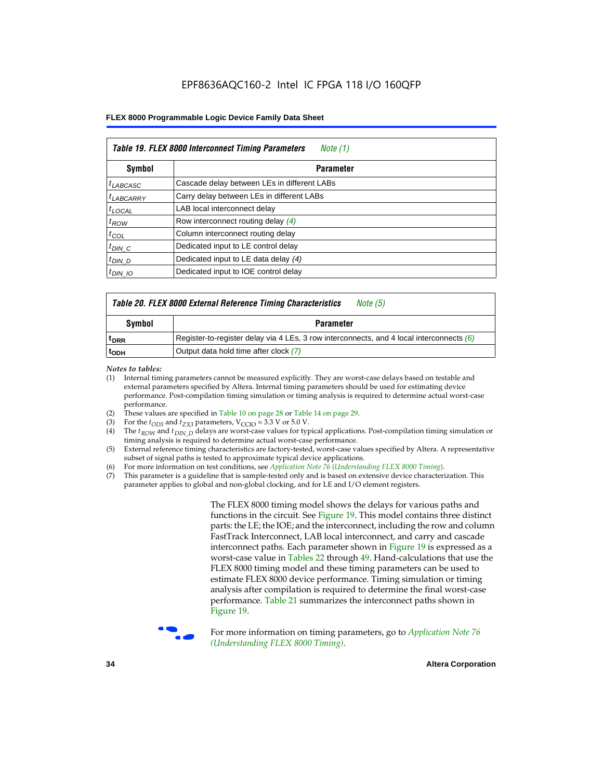| Table 19. FLEX 8000 Interconnect Timing Parameters<br>Note (1) |                                             |  |  |  |
|----------------------------------------------------------------|---------------------------------------------|--|--|--|
| Symbol                                                         | <b>Parameter</b>                            |  |  |  |
| <sup>t</sup> LABCASC                                           | Cascade delay between LEs in different LABs |  |  |  |
| $t_{LABCARRY}$                                                 | Carry delay between LEs in different LABs   |  |  |  |
| $t_{\text{LOCAL}}$                                             | LAB local interconnect delay                |  |  |  |
| $t_{ROW}$                                                      | Row interconnect routing delay (4)          |  |  |  |
| $t_{COL}$                                                      | Column interconnect routing delay           |  |  |  |
| $t_{DIN}$ $C$                                                  | Dedicated input to LE control delay         |  |  |  |
| $t_{DIN}$ D                                                    | Dedicated input to LE data delay (4)        |  |  |  |
| $t_{DIN}$ 10                                                   | Dedicated input to IOE control delay        |  |  |  |

#### *Table 20. FLEX 8000 External Reference Timing Characteristics Note (5)*

| Symbol<br>Parameter |                                                                                            |  |  |  |
|---------------------|--------------------------------------------------------------------------------------------|--|--|--|
| <sup>T</sup> DRR    | Register-to-register delay via 4 LEs, 3 row interconnects, and 4 local interconnects $(6)$ |  |  |  |
| <sup>L</sup> ODH    | Output data hold time after clock (7)                                                      |  |  |  |

*Notes to tables:*

- (1) Internal timing parameters cannot be measured explicitly. They are worst-case delays based on testable and external parameters specified by Altera. Internal timing parameters should be used for estimating device performance. Post-compilation timing simulation or timing analysis is required to determine actual worst-case performance.
- (2) These values are specified in Table 10 on page 28 or Table 14 on page 29.<br>(3) For the  $t_{OD3}$  and  $t_{ZX3}$  parameters,  $V_{CCIO} = 3.3$  V or 5.0 V.
- (3) For the  $t_{OD3}$  and  $t_{ZX3}$  parameters,  $V_{CCIO} = 3.3$  V or 5.0 V.<br>(4) The  $t_{ROM}$  and  $t_{DIN}$   $_D$  delays are worst-case values for type
- The *t<sub>ROW</sub>* and *t<sub>DIN\_D</sub>* delays are worst-case values for typical applications. Post-compilation timing simulation or timing analysis is required to determine actual worst-case performance.
- (5) External reference timing characteristics are factory-tested, worst-case values specified by Altera. A representative subset of signal paths is tested to approximate typical device applications.
- (6) For more information on test conditions, see *Application Note 76* (*Understanding FLEX 8000 Timing*).
- (7) This parameter is a guideline that is sample-tested only and is based on extensive device characterization. This parameter applies to global and non-global clocking, and for LE and I/O element registers.

The FLEX 8000 timing model shows the delays for various paths and functions in the circuit. See Figure 19. This model contains three distinct parts: the LE; the IOE; and the interconnect, including the row and column FastTrack Interconnect, LAB local interconnect, and carry and cascade interconnect paths. Each parameter shown in Figure 19 is expressed as a worst-case value in Tables 22 through 49. Hand-calculations that use the FLEX 8000 timing model and these timing parameters can be used to estimate FLEX 8000 device performance. Timing simulation or timing analysis after compilation is required to determine the final worst-case performance. Table 21 summarizes the interconnect paths shown in Figure 19.



f For more information on timing parameters, go to *Application Note 76 (Understanding FLEX 8000 Timing)*.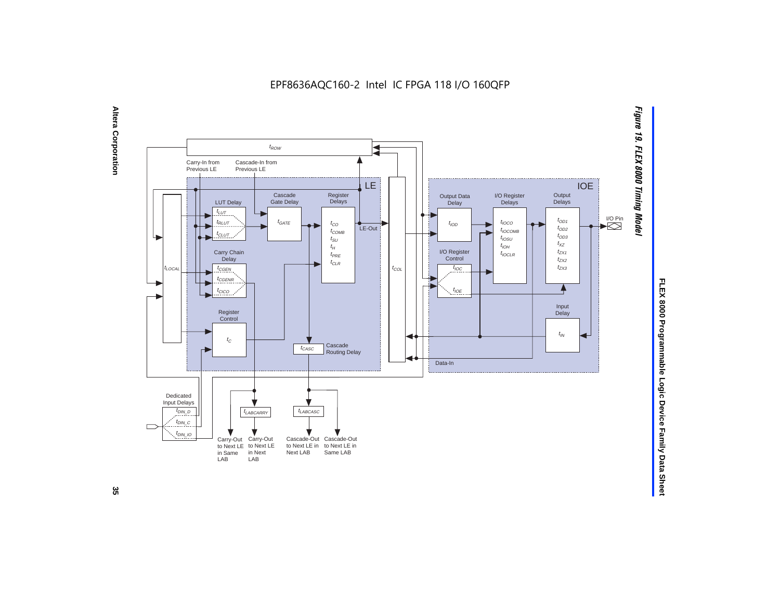EPF8636AQC160-2 Intel IC FPGA 118 I/O 160QFP





FLEX 8000 Programmable Logic Device Family Data Sheet **FLEX 8000 Programmable Logic Device Family Data Sheet**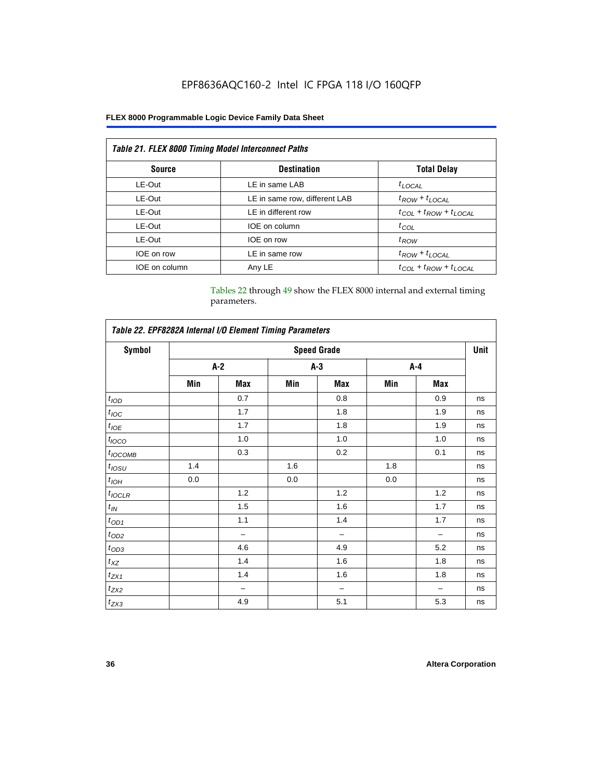## EPF8636AQC160-2 Intel IC FPGA 118 I/O 160QFP

#### **FLEX 8000 Programmable Logic Device Family Data Sheet**

| <b>Table 21. FLEX 8000 Timing Model Interconnect Paths</b> |                               |                                 |  |  |  |
|------------------------------------------------------------|-------------------------------|---------------------------------|--|--|--|
| <b>Source</b>                                              | <b>Destination</b>            | <b>Total Delay</b>              |  |  |  |
| LE-Out                                                     | LE in same LAB                | $t_{LOCAL}$                     |  |  |  |
| LE-Out                                                     | LE in same row, different LAB | $t_{ROW} + t_{LOCAL}$           |  |  |  |
| LE-Out                                                     | LE in different row           | $t_{COL} + t_{ROW} + t_{LOCAL}$ |  |  |  |
| LE-Out                                                     | IOE on column                 | $t_{COL}$                       |  |  |  |
| LE-Out                                                     | IOE on row                    | $t_{ROW}$                       |  |  |  |
| IOE on row                                                 | LE in same row                | $t_{ROW} + t_{LOCAL}$           |  |  |  |
| IOE on column                                              | Any LE                        | $t_{COL} + t_{ROW} + t_{LOCAL}$ |  |  |  |

Tables 22 through 49 show the FLEX 8000 internal and external timing parameters.

| Table 22. EPF8282A Internal I/O Element Timing Parameters |                    |       |       |                          |       |     |    |  |
|-----------------------------------------------------------|--------------------|-------|-------|--------------------------|-------|-----|----|--|
| <b>Symbol</b>                                             | <b>Speed Grade</b> |       |       |                          |       |     |    |  |
|                                                           |                    | $A-2$ | $A-3$ |                          | $A-4$ |     |    |  |
|                                                           | Min                | Max   | Min   | Max                      | Min   | Max |    |  |
| t <sub>IOD</sub>                                          |                    | 0.7   |       | 0.8                      |       | 0.9 | ns |  |
| $t_{\textit{IOC}}$                                        |                    | 1.7   |       | 1.8                      |       | 1.9 | ns |  |
| $t_{IOE}$                                                 |                    | 1.7   |       | 1.8                      |       | 1.9 | ns |  |
| $t_{IOCO}$                                                |                    | 1.0   |       | 1.0                      |       | 1.0 | ns |  |
| $t_{IOCOMB}$                                              |                    | 0.3   |       | 0.2                      |       | 0.1 | ns |  |
| $t_{IOSU}$                                                | 1.4                |       | 1.6   |                          | 1.8   |     | ns |  |
| $t_{IOH}$                                                 | 0.0                |       | 0.0   |                          | 0.0   |     | ns |  |
| $t_{IOCLR}$                                               |                    | 1.2   |       | 1.2                      |       | 1.2 | ns |  |
| $t_{I\!N}$                                                |                    | 1.5   |       | 1.6                      |       | 1.7 | ns |  |
| $t_{OD1}$                                                 |                    | 1.1   |       | 1.4                      |       | 1.7 | ns |  |
| $t_{OD2}$                                                 |                    | -     |       | -                        |       |     | ns |  |
| $t_{0\underline{\underline{\smash{0}}}}$                  |                    | 4.6   |       | 4.9                      |       | 5.2 | ns |  |
| $t_{XZ}$                                                  |                    | 1.4   |       | 1.6                      |       | 1.8 | ns |  |
| $t_{ZX1}$                                                 |                    | 1.4   |       | 1.6                      |       | 1.8 | ns |  |
| $t_{Z\!X\!Z}$                                             |                    | -     |       | $\overline{\phantom{0}}$ |       |     | ns |  |
| $t_{ZX3}$                                                 |                    | 4.9   |       | 5.1                      |       | 5.3 | ns |  |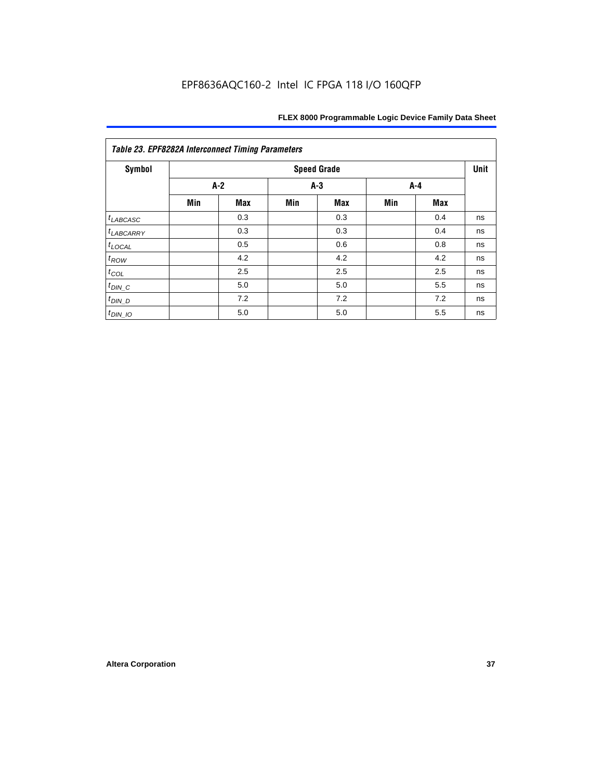| Symbol                |       |            |       | <b>Speed Grade</b> |       |     | Unit |
|-----------------------|-------|------------|-------|--------------------|-------|-----|------|
|                       | $A-2$ |            | $A-3$ |                    | $A-4$ |     |      |
|                       | Min   | <b>Max</b> | Min   | <b>Max</b>         | Min   | Max |      |
| $t_{LABCASC}$         |       | 0.3        |       | 0.3                |       | 0.4 | ns   |
| <sup>t</sup> LABCARRY |       | 0.3        |       | 0.3                |       | 0.4 | ns   |
| $t_{\text{LOCAL}}$    |       | 0.5        |       | 0.6                |       | 0.8 | ns   |
| $t_{ROW}$             |       | 4.2        |       | 4.2                |       | 4.2 | ns   |
| $t_{COL}$             |       | 2.5        |       | 2.5                |       | 2.5 | ns   |
| $t_{DIN\_C}$          |       | 5.0        |       | 5.0                |       | 5.5 | ns   |
| $t_{DIN}$ D           |       | 7.2        |       | 7.2                |       | 7.2 | ns   |
| $t_{DIN_1O}$          |       | 5.0        |       | 5.0                |       | 5.5 | ns   |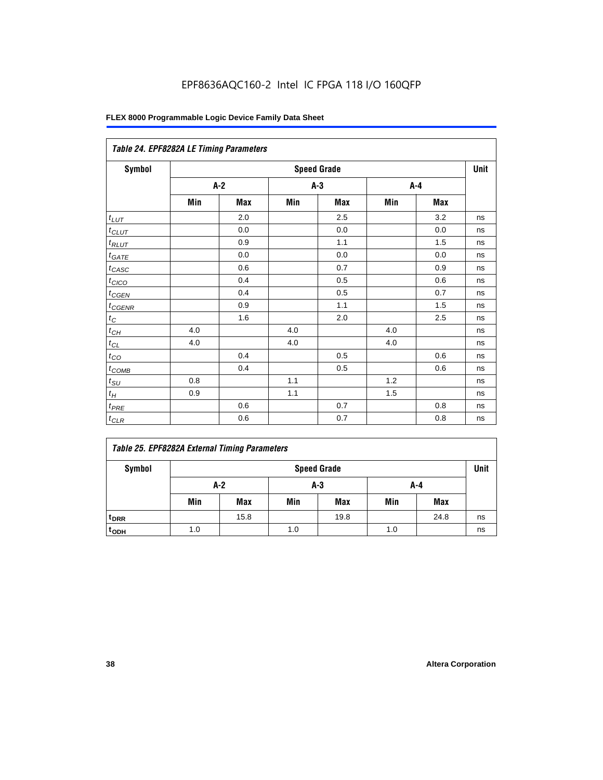## EPF8636AQC160-2 Intel IC FPGA 118 I/O 160QFP

| Table 24. EPF8282A LE Timing Parameters |     |                    |     |            |     |     |    |  |  |  |
|-----------------------------------------|-----|--------------------|-----|------------|-----|-----|----|--|--|--|
| <b>Symbol</b>                           |     | <b>Speed Grade</b> |     |            |     |     |    |  |  |  |
|                                         |     | $A-2$              |     | A-3        |     | A-4 |    |  |  |  |
|                                         | Min | <b>Max</b>         | Min | <b>Max</b> | Min | Max |    |  |  |  |
| $t_{LUT}$                               |     | 2.0                |     | 2.5        |     | 3.2 | ns |  |  |  |
| $t_{CLUT}$                              |     | 0.0                |     | 0.0        |     | 0.0 | ns |  |  |  |
| $t_{RLUT}$                              |     | 0.9                |     | 1.1        |     | 1.5 | ns |  |  |  |
| $t_{\underline{GATE}}$                  |     | 0.0                |     | 0.0        |     | 0.0 | ns |  |  |  |
| $t_{CASC}$                              |     | 0.6                |     | 0.7        |     | 0.9 | ns |  |  |  |
| $t_{CICO}$                              |     | 0.4                |     | 0.5        |     | 0.6 | ns |  |  |  |
| $t_{\text{GEN}}$                        |     | 0.4                |     | 0.5        |     | 0.7 | ns |  |  |  |
| $t_{CGENR}$                             |     | 0.9                |     | 1.1        |     | 1.5 | ns |  |  |  |
| $t_C\,$                                 |     | 1.6                |     | 2.0        |     | 2.5 | ns |  |  |  |
| $t_{CH}$                                | 4.0 |                    | 4.0 |            | 4.0 |     | ns |  |  |  |
| $t_{CL}$                                | 4.0 |                    | 4.0 |            | 4.0 |     | ns |  |  |  |
| $t_{CO}$                                |     | 0.4                |     | 0.5        |     | 0.6 | ns |  |  |  |
| $t_{COMB}$                              |     | 0.4                |     | 0.5        |     | 0.6 | ns |  |  |  |
| $t_{SU}$                                | 0.8 |                    | 1.1 |            | 1.2 |     | ns |  |  |  |
| $t_H$                                   | 0.9 |                    | 1.1 |            | 1.5 |     | ns |  |  |  |
| $t_{PRE}$                               |     | 0.6                |     | 0.7        |     | 0.8 | ns |  |  |  |
| $t_{CLR}$                               |     | 0.6                |     | 0.7        |     | 0.8 | ns |  |  |  |

| <b>Symbol</b>      | <b>Speed Grade</b> |       |       |            |     |            |    |  |
|--------------------|--------------------|-------|-------|------------|-----|------------|----|--|
|                    |                    | $A-2$ | $A-3$ |            | A-4 |            |    |  |
|                    | Min                | Max   | Min   | <b>Max</b> | Min | <b>Max</b> |    |  |
| t <sub>DRR</sub>   |                    | 15.8  |       | 19.8       |     | 24.8       | ns |  |
| $t$ <sub>ODH</sub> | 1.0                |       | 1.0   |            | 1.0 |            | ns |  |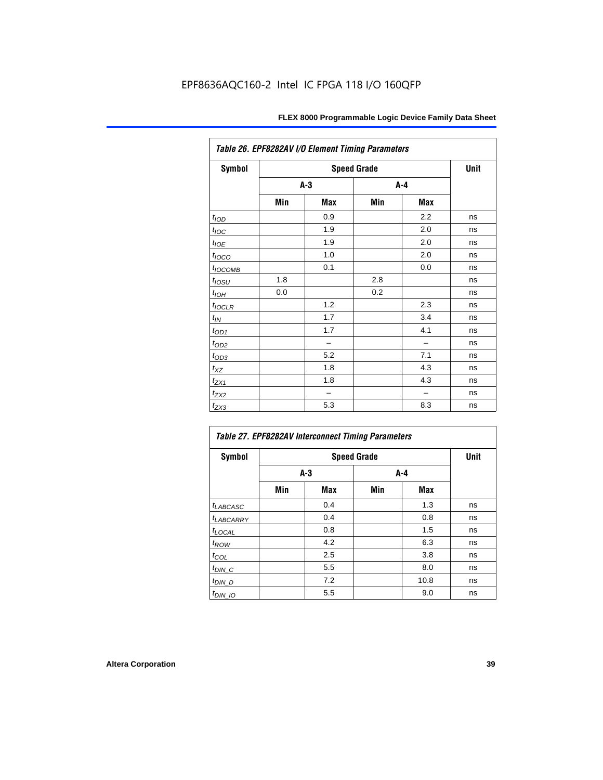| Table 26. EPF8282AV I/O Element Timing Parameters |       |      |     |       |    |  |  |  |
|---------------------------------------------------|-------|------|-----|-------|----|--|--|--|
| Symbol                                            |       | Unit |     |       |    |  |  |  |
|                                                   | $A-3$ |      |     | $A-4$ |    |  |  |  |
|                                                   | Min   | Max  | Min | Max   |    |  |  |  |
| $t_{\text{LOD}}$                                  |       | 0.9  |     | 2.2   | ns |  |  |  |
| $t_{\text{IOC}}$                                  |       | 1.9  |     | 2.0   | ns |  |  |  |
| $t_{IOE}$                                         |       | 1.9  |     | 2.0   | ns |  |  |  |
| $t_{\text{LOCO}}$                                 |       | 1.0  |     | 2.0   | ns |  |  |  |
| t <sub>IOCOMB</sub>                               |       | 0.1  |     | 0.0   | ns |  |  |  |
| $t_{IOSU}$                                        | 1.8   |      | 2.8 |       | ns |  |  |  |
| $t_{\text{LOH}}$                                  | 0.0   |      | 0.2 |       | ns |  |  |  |
| $t_{IOCLR}$                                       |       | 1.2  |     | 2.3   | ns |  |  |  |
| $t_{IN}$                                          |       | 1.7  |     | 3.4   | ns |  |  |  |
| $t_{OD1}$                                         |       | 1.7  |     | 4.1   | ns |  |  |  |
| $t_{OD2}$                                         |       |      |     | —     | ns |  |  |  |
| $t_{OD3}$                                         |       | 5.2  |     | 7.1   | ns |  |  |  |
| $t_{XZ}$                                          |       | 1.8  |     | 4.3   | ns |  |  |  |
| $t_{ZX1}$                                         |       | 1.8  |     | 4.3   | ns |  |  |  |
| $t_{ZX2}$                                         |       |      |     |       | ns |  |  |  |
| $t_{ZX3}$                                         |       | 5.3  |     | 8.3   | ns |  |  |  |

| <b>Symbol</b>            |     |       | <b>Speed Grade</b> |            | Unit |
|--------------------------|-----|-------|--------------------|------------|------|
|                          |     | $A-3$ | $A - 4$            |            |      |
|                          | Min | Max   | Min                | <b>Max</b> |      |
| $t_{LABCASC}$            |     | 0.4   |                    | 1.3        | ns   |
| t <sub>LABCARRY</sub>    |     | 0.4   |                    | 0.8        | ns   |
| t <sub>LOCAL</sub>       |     | 0.8   |                    | 1.5        | ns   |
| t <sub>ROW</sub>         |     | 4.2   |                    | 6.3        | ns   |
| $t_{COL}$                |     | 2.5   |                    | 3.8        | ns   |
| $t_{DI\underline{N\_C}}$ |     | 5.5   |                    | 8.0        | ns   |
| $t_{DIN\_D}$             |     | 7.2   |                    | 10.8       | ns   |
| $t_{DIN\_IO}$            |     | 5.5   |                    | 9.0        | ns   |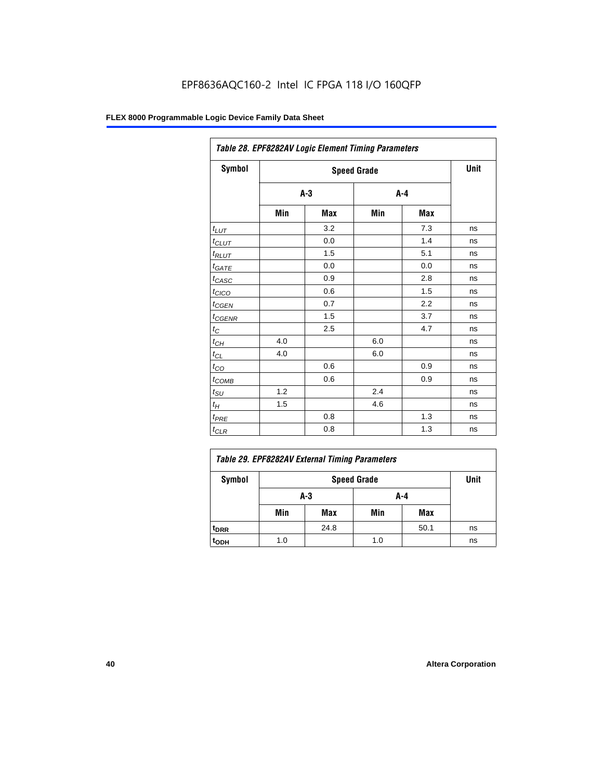|                             | Table 28. EPF8282AV Logic Element Timing Parameters |      |     |         |    |  |  |  |  |
|-----------------------------|-----------------------------------------------------|------|-----|---------|----|--|--|--|--|
| Symbol                      |                                                     | Unit |     |         |    |  |  |  |  |
|                             | $A-3$                                               |      |     | $A - 4$ |    |  |  |  |  |
|                             | Min                                                 | Max  | Min | Max     |    |  |  |  |  |
| $t_{LUT}$                   |                                                     | 3.2  |     | 7.3     | ns |  |  |  |  |
| $t_{CLUT}$                  |                                                     | 0.0  |     | 1.4     | ns |  |  |  |  |
| $t_{RLUT}$                  |                                                     | 1.5  |     | 5.1     | ns |  |  |  |  |
| $t_{GATE}$                  |                                                     | 0.0  |     | 0.0     | ns |  |  |  |  |
| $t_{CASC}$                  |                                                     | 0.9  |     | 2.8     | ns |  |  |  |  |
| $t_{CICO}$                  |                                                     | 0.6  |     | 1.5     | ns |  |  |  |  |
| $t_{CGEN}$                  |                                                     | 0.7  |     | 2.2     | ns |  |  |  |  |
| $t_{\text{GENR}}$           |                                                     | 1.5  |     | 3.7     | ns |  |  |  |  |
| $t_C$                       |                                                     | 2.5  |     | 4.7     | ns |  |  |  |  |
| $t_{CH}$                    | 4.0                                                 |      | 6.0 |         | ns |  |  |  |  |
| $t_{CL}$                    | 4.0                                                 |      | 6.0 |         | ns |  |  |  |  |
| $t_{CO}$                    |                                                     | 0.6  |     | 0.9     | ns |  |  |  |  |
| $t_{COMB}$                  |                                                     | 0.6  |     | 0.9     | ns |  |  |  |  |
| $t_{\text{S}\underline{U}}$ | 1.2                                                 |      | 2.4 |         | ns |  |  |  |  |
| $t_H$                       | 1.5                                                 |      | 4.6 |         | ns |  |  |  |  |
| $t_{PRE}$                   |                                                     | 0.8  |     | 1.3     | ns |  |  |  |  |
| $t_{CLR}$                   |                                                     | 0.8  |     | 1.3     | ns |  |  |  |  |

| Table 29. EPF8282AV External Timing Parameters |            |                    |     |      |    |  |  |  |
|------------------------------------------------|------------|--------------------|-----|------|----|--|--|--|
| Symbol                                         |            | <b>Speed Grade</b> |     |      |    |  |  |  |
|                                                | A-4<br>A-3 |                    |     |      |    |  |  |  |
|                                                | Min        | Max                | Min | Max  |    |  |  |  |
| t <sub>DRR</sub>                               |            | 24.8               |     | 50.1 | ns |  |  |  |
| t <sub>ODH</sub>                               | 1.0        |                    | 1.0 |      | ns |  |  |  |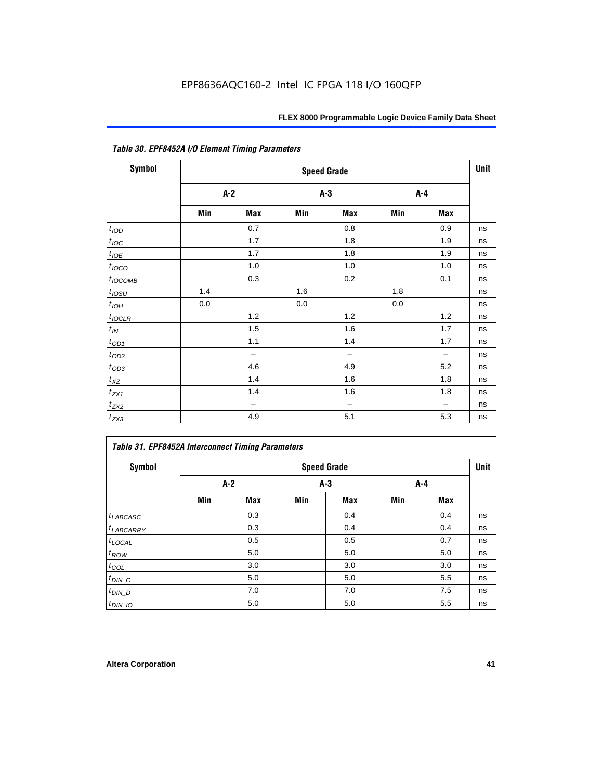| Table 30. EPF8452A I/O Element Timing Parameters |                    |                   |     |                          |     |                          |    |  |  |
|--------------------------------------------------|--------------------|-------------------|-----|--------------------------|-----|--------------------------|----|--|--|
| <b>Symbol</b>                                    | <b>Speed Grade</b> |                   |     |                          |     |                          |    |  |  |
|                                                  | $A-2$              |                   |     | $A-3$                    |     | $A-4$                    |    |  |  |
|                                                  | Min                | Max               | Min | Max                      | Min | Max                      |    |  |  |
| t <sub>IOD</sub>                                 |                    | 0.7               |     | 0.8                      |     | 0.9                      | ns |  |  |
| $t_{\text{IOC}}$                                 |                    | 1.7               |     | 1.8                      |     | 1.9                      | ns |  |  |
| $t_{IOE}$                                        |                    | 1.7               |     | 1.8                      |     | 1.9                      | ns |  |  |
| $t_{IOCO}$                                       |                    | 1.0               |     | 1.0                      |     | 1.0                      | ns |  |  |
| $t_{IOCOMB}$                                     |                    | 0.3               |     | 0.2                      |     | 0.1                      | ns |  |  |
| $t_{IOSU}$                                       | 1.4                |                   | 1.6 |                          | 1.8 |                          | ns |  |  |
| $t_{IOH}$                                        | 0.0                |                   | 0.0 |                          | 0.0 |                          | ns |  |  |
| $t_{IOCLR}$                                      |                    | 1.2               |     | 1.2                      |     | 1.2                      | ns |  |  |
| $t_{IN}$                                         |                    | 1.5               |     | 1.6                      |     | 1.7                      | ns |  |  |
| $t_{OD1}$                                        |                    | 1.1               |     | 1.4                      |     | 1.7                      | ns |  |  |
| $t_{\rm OD2}$                                    |                    | $\qquad \qquad -$ |     | $\overline{\phantom{0}}$ |     | $\overline{\phantom{0}}$ | ns |  |  |
| $t_{OD3}$                                        |                    | 4.6               |     | 4.9                      |     | 5.2                      | ns |  |  |
| $t_{XZ}$                                         |                    | 1.4               |     | 1.6                      |     | 1.8                      | ns |  |  |
| $t_{ZX1}$                                        |                    | 1.4               |     | 1.6                      |     | 1.8                      | ns |  |  |
| $t_{ZX2}$                                        |                    | $\qquad \qquad -$ |     | $\overline{\phantom{0}}$ |     | -                        | ns |  |  |
| $t_{ZX3}$                                        |                    | 4.9               |     | 5.1                      |     | 5.3                      | ns |  |  |

## *Table 31. EPF8452A Interconnect Timing Parameters*

| Symbol             | <b>Speed Grade</b> |     |     |       |     |       |    |  |  |
|--------------------|--------------------|-----|-----|-------|-----|-------|----|--|--|
|                    | $A-2$              |     |     | $A-3$ |     | $A-4$ |    |  |  |
|                    | Min                | Max | Min | Max   | Min | Max   |    |  |  |
| $t_{LABCASC}$      |                    | 0.3 |     | 0.4   |     | 0.4   | ns |  |  |
| $t_{LABCARRY}$     |                    | 0.3 |     | 0.4   |     | 0.4   | ns |  |  |
| $t_{\text{LOCAL}}$ |                    | 0.5 |     | 0.5   |     | 0.7   | ns |  |  |
| $t_{\mathit{ROW}}$ |                    | 5.0 |     | 5.0   |     | 5.0   | ns |  |  |
| $t_{COL}$          |                    | 3.0 |     | 3.0   |     | 3.0   | ns |  |  |
| $t_{DIN\_C}$       |                    | 5.0 |     | 5.0   |     | 5.5   | ns |  |  |
| $t_{DI N_D}$       |                    | 7.0 |     | 7.0   |     | 7.5   | ns |  |  |
| $t_{DIN\_IO}$      |                    | 5.0 |     | 5.0   |     | 5.5   | ns |  |  |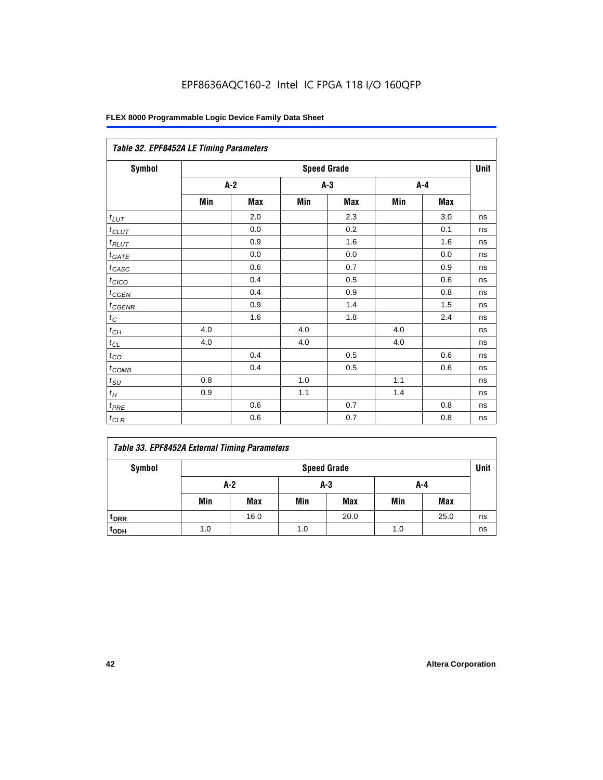## EPF8636AQC160-2 Intel IC FPGA 118 I/O 160QFP

#### **FLEX 8000 Programmable Logic Device Family Data Sheet**

| Table 32. EPF8452A LE Timing Parameters |                    |            |     |            |     |            |    |  |  |
|-----------------------------------------|--------------------|------------|-----|------------|-----|------------|----|--|--|
| <b>Symbol</b>                           | <b>Speed Grade</b> |            |     |            |     |            |    |  |  |
|                                         |                    | $A-2$      |     | $A-3$      |     | $A-4$      |    |  |  |
|                                         | Min                | <b>Max</b> | Min | <b>Max</b> | Min | <b>Max</b> |    |  |  |
| $t_{LUT}$                               |                    | 2.0        |     | 2.3        |     | 3.0        | ns |  |  |
| $t_{CLUT}$                              |                    | 0.0        |     | 0.2        |     | 0.1        | ns |  |  |
| $t_{RLUT}$                              |                    | 0.9        |     | 1.6        |     | 1.6        | ns |  |  |
| $t_{GATE}$                              |                    | 0.0        |     | 0.0        |     | 0.0        | ns |  |  |
| $t_{CASC}$                              |                    | 0.6        |     | 0.7        |     | 0.9        | ns |  |  |
| $t_{CICO}$                              |                    | 0.4        |     | 0.5        |     | 0.6        | ns |  |  |
| $t_{GEN}$                               |                    | 0.4        |     | 0.9        |     | 0.8        | ns |  |  |
| $t_{CGENR}$                             |                    | 0.9        |     | 1.4        |     | 1.5        | ns |  |  |
| $t_C$                                   |                    | 1.6        |     | 1.8        |     | 2.4        | ns |  |  |
| $t_{CH}$                                | 4.0                |            | 4.0 |            | 4.0 |            | ns |  |  |
| $t_{CL}$                                | 4.0                |            | 4.0 |            | 4.0 |            | ns |  |  |
| $t_{CO}$                                |                    | 0.4        |     | 0.5        |     | 0.6        | ns |  |  |
| $t$ <sub>COMB</sub>                     |                    | 0.4        |     | 0.5        |     | 0.6        | ns |  |  |
| $t_{\rm SU}$                            | 0.8                |            | 1.0 |            | 1.1 |            | ns |  |  |
| $t_H$                                   | 0.9                |            | 1.1 |            | 1.4 |            | ns |  |  |
| $t_{PRE}$                               |                    | 0.6        |     | 0.7        |     | 0.8        | ns |  |  |
| $t_{CLR}$                               |                    | 0.6        |     | 0.7        |     | 0.8        | ns |  |  |

#### *Table 33. EPF8452A External Timing Parameters*

| Symbol                      | <b>Speed Grade</b> |                     |     |            |     |            |    |  |  |
|-----------------------------|--------------------|---------------------|-----|------------|-----|------------|----|--|--|
|                             |                    | A-2<br>$A-3$<br>A-4 |     |            |     |            |    |  |  |
|                             | Min                | Max                 | Min | <b>Max</b> | Min | <b>Max</b> |    |  |  |
| <sup>t</sup> <sub>DRR</sub> |                    | 16.0                |     | 20.0       |     | 25.0       | ns |  |  |
| t <sub>ODH</sub>            | 1.0                |                     | 1.0 |            | 1.0 |            | ns |  |  |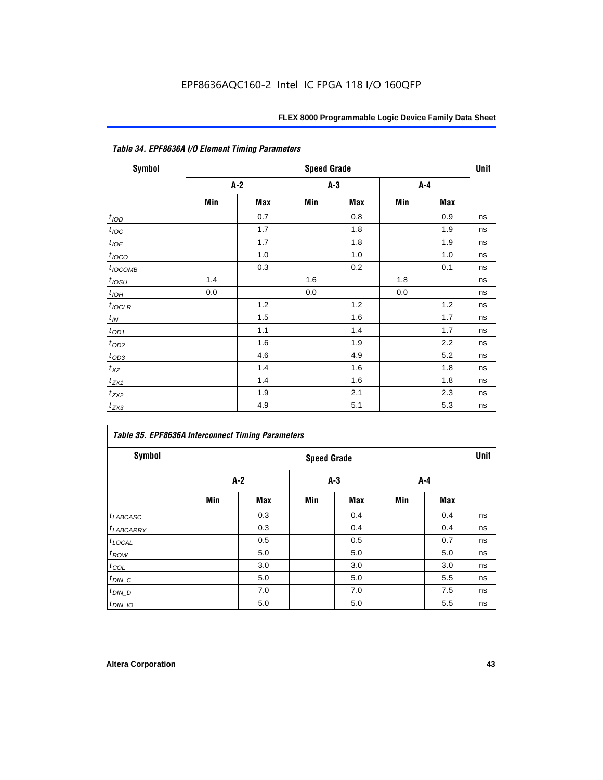| Table 34. EPF8636A I/O Element Timing Parameters |                    |     |     |       |     |            |    |  |  |
|--------------------------------------------------|--------------------|-----|-----|-------|-----|------------|----|--|--|
| <b>Symbol</b>                                    | <b>Speed Grade</b> |     |     |       |     |            |    |  |  |
|                                                  | $A-2$              |     |     | $A-3$ |     | A-4        |    |  |  |
|                                                  | Min                | Max | Min | Max   | Min | <b>Max</b> |    |  |  |
| t <sub>IOD</sub>                                 |                    | 0.7 |     | 0.8   |     | 0.9        | ns |  |  |
| $t_{\text{IOC}}$                                 |                    | 1.7 |     | 1.8   |     | 1.9        | ns |  |  |
| $t_{IOE}$                                        |                    | 1.7 |     | 1.8   |     | 1.9        | ns |  |  |
| $t_{IOCO}$                                       |                    | 1.0 |     | 1.0   |     | 1.0        | ns |  |  |
| $t_{IOCOMB}$                                     |                    | 0.3 |     | 0.2   |     | 0.1        | ns |  |  |
| $t_{IOSU}$                                       | 1.4                |     | 1.6 |       | 1.8 |            | ns |  |  |
| $t_{IOH}$                                        | 0.0                |     | 0.0 |       | 0.0 |            | ns |  |  |
| $t_{IOCLR}$                                      |                    | 1.2 |     | 1.2   |     | 1.2        | ns |  |  |
| $t_{I\!N}$                                       |                    | 1.5 |     | 1.6   |     | 1.7        | ns |  |  |
| $t_{OD1}$                                        |                    | 1.1 |     | 1.4   |     | 1.7        | ns |  |  |
| $t_{OD2}$                                        |                    | 1.6 |     | 1.9   |     | 2.2        | ns |  |  |
| $t_{OD3}$                                        |                    | 4.6 |     | 4.9   |     | 5.2        | ns |  |  |
| $t_{XZ}$                                         |                    | 1.4 |     | 1.6   |     | 1.8        | ns |  |  |
| $t_{ZX1}$                                        |                    | 1.4 |     | 1.6   |     | 1.8        | ns |  |  |
| $t_{ZX2}$                                        |                    | 1.9 |     | 2.1   |     | 2.3        | ns |  |  |
| $t_{ZX3}$                                        |                    | 4.9 |     | 5.1   |     | 5.3        | ns |  |  |

| <b>Table 35. EPF8636A Interconnect Timing Parameters</b> |     |                    |       |            |     |     |    |  |  |  |
|----------------------------------------------------------|-----|--------------------|-------|------------|-----|-----|----|--|--|--|
| Symbol                                                   |     | <b>Speed Grade</b> |       |            |     |     |    |  |  |  |
|                                                          | A-2 |                    | $A-3$ |            | A-4 |     |    |  |  |  |
|                                                          | Min | <b>Max</b>         | Min   | <b>Max</b> | Min | Max |    |  |  |  |
| $t_{LABCASC}$                                            |     | 0.3                |       | 0.4        |     | 0.4 | ns |  |  |  |
| <sup>t</sup> LABCARRY                                    |     | 0.3                |       | 0.4        |     | 0.4 | ns |  |  |  |
| $t_{\text{LOCAL}}$                                       |     | 0.5                |       | 0.5        |     | 0.7 | ns |  |  |  |
| $t_{ROW}$                                                |     | 5.0                |       | 5.0        |     | 5.0 | ns |  |  |  |
| $t_{COL}$                                                |     | 3.0                |       | 3.0        |     | 3.0 | ns |  |  |  |
| $t_{DIN\_C}$                                             |     | 5.0                |       | 5.0        |     | 5.5 | ns |  |  |  |
| $t_{DIN\_D}$                                             |     | 7.0                |       | 7.0        |     | 7.5 | ns |  |  |  |
| $t_{DIN\_IO}$                                            |     | 5.0                |       | 5.0        |     | 5.5 | ns |  |  |  |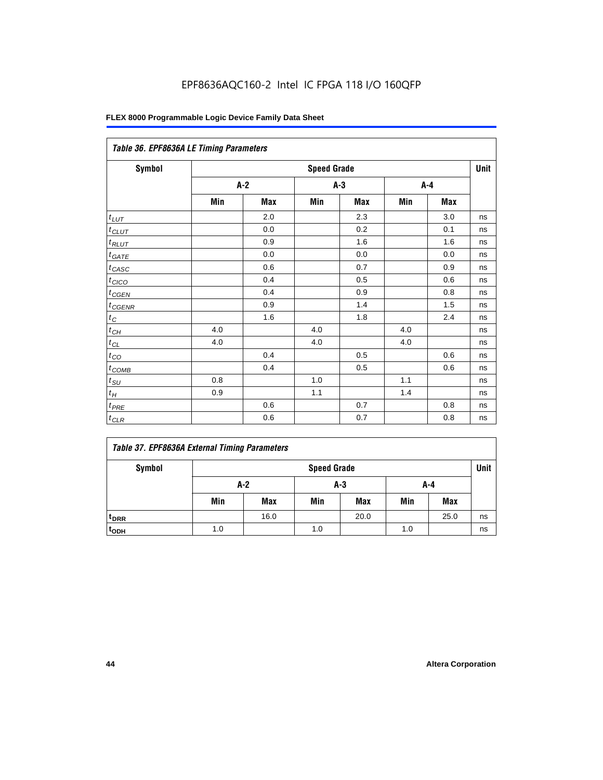| Table 36. EPF8636A LE Timing Parameters |                    |       |       |            |     |            |    |  |  |
|-----------------------------------------|--------------------|-------|-------|------------|-----|------------|----|--|--|
| <b>Symbol</b>                           | <b>Speed Grade</b> |       |       |            |     |            |    |  |  |
|                                         |                    | $A-2$ | $A-3$ |            | A-4 |            |    |  |  |
|                                         | Min                | Max   | Min   | <b>Max</b> | Min | <b>Max</b> |    |  |  |
| $t_{LUT}$                               |                    | 2.0   |       | 2.3        |     | 3.0        | ns |  |  |
| $t_{CLUT}$                              |                    | 0.0   |       | 0.2        |     | 0.1        | ns |  |  |
| $t_{RLUT}$                              |                    | 0.9   |       | 1.6        |     | 1.6        | ns |  |  |
| $t_{GATE}$                              |                    | 0.0   |       | 0.0        |     | 0.0        | ns |  |  |
| $t_{CASC}$                              |                    | 0.6   |       | 0.7        |     | 0.9        | ns |  |  |
| $t_{CICO}$                              |                    | 0.4   |       | 0.5        |     | 0.6        | ns |  |  |
| $t_{GEN}$                               |                    | 0.4   |       | 0.9        |     | 0.8        | ns |  |  |
| $t_{CGENR}$                             |                    | 0.9   |       | 1.4        |     | 1.5        | ns |  |  |
| $t_C$                                   |                    | 1.6   |       | 1.8        |     | 2.4        | ns |  |  |
| $t_{CH}$                                | 4.0                |       | 4.0   |            | 4.0 |            | ns |  |  |
| $t_{CL}$                                | 4.0                |       | 4.0   |            | 4.0 |            | ns |  |  |
| $t_{CO}$                                |                    | 0.4   |       | 0.5        |     | 0.6        | ns |  |  |
| $t$ <sub>COMB</sub>                     |                    | 0.4   |       | 0.5        |     | 0.6        | ns |  |  |
| $t_{SU}$                                | 0.8                |       | 1.0   |            | 1.1 |            | ns |  |  |
| $t_H$                                   | 0.9                |       | 1.1   |            | 1.4 |            | ns |  |  |
| $t_{PRE}$                               |                    | 0.6   |       | 0.7        |     | 0.8        | ns |  |  |
| $t_{CLR}$                               |                    | 0.6   |       | 0.7        |     | 0.8        | ns |  |  |

#### *Table 37. EPF8636A External Timing Parameters*

| Symbol           | <b>Speed Grade</b> |                     |     |            |     |      |    |  |  |
|------------------|--------------------|---------------------|-----|------------|-----|------|----|--|--|
|                  |                    | $A-2$<br>A-3<br>A-4 |     |            |     |      |    |  |  |
|                  | Min                | <b>Max</b>          | Min | <b>Max</b> | Min | Max  |    |  |  |
| t <sub>DRR</sub> |                    | 16.0                |     | 20.0       |     | 25.0 | ns |  |  |
| t <sub>ODH</sub> | 1.0                |                     | 1.0 |            | 1.0 |      | ns |  |  |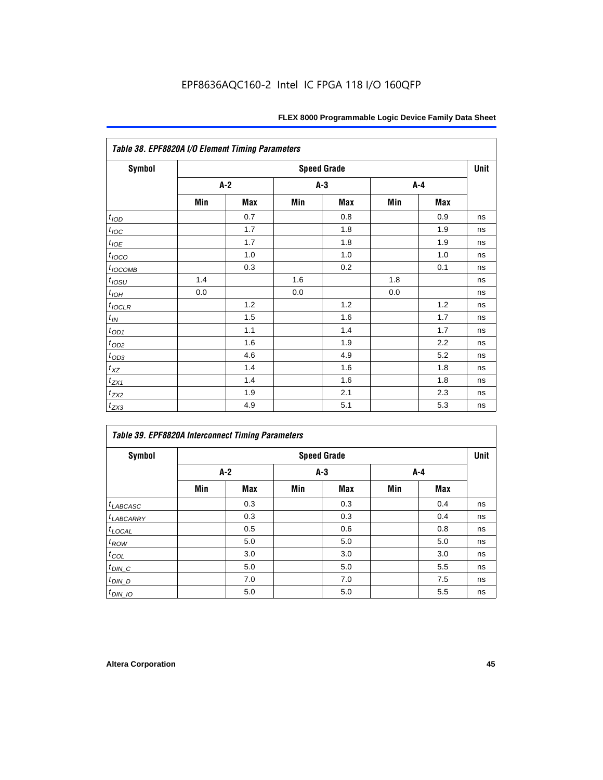|                                 | Table 38. EPF8820A I/O Element Timing Parameters |     |     |                    |     |            |      |  |  |  |  |  |
|---------------------------------|--------------------------------------------------|-----|-----|--------------------|-----|------------|------|--|--|--|--|--|
| Symbol                          |                                                  |     |     | <b>Speed Grade</b> |     |            | Unit |  |  |  |  |  |
|                                 |                                                  | A-2 | A-3 |                    |     | A-4        |      |  |  |  |  |  |
|                                 | Min                                              | Max | Min | <b>Max</b>         | Min | <b>Max</b> |      |  |  |  |  |  |
| $t_{\textit{\scriptsize{IOD}}}$ |                                                  | 0.7 |     | 0.8                |     | 0.9        | ns   |  |  |  |  |  |
| $t_{\text{IOC}}$                |                                                  | 1.7 |     | 1.8                |     | 1.9        | ns   |  |  |  |  |  |
| $t_{IOE}$                       |                                                  | 1.7 |     | 1.8                |     | 1.9        | ns   |  |  |  |  |  |
| $t_{IOCO}$                      |                                                  | 1.0 |     | 1.0                |     | 1.0        | ns   |  |  |  |  |  |
| $t_{IOCOMB}$                    |                                                  | 0.3 |     | 0.2                |     | 0.1        | ns   |  |  |  |  |  |
| $t_{IOSU}$                      | 1.4                                              |     | 1.6 |                    | 1.8 |            | ns   |  |  |  |  |  |
| $t_{IOH}$                       | 0.0                                              |     | 0.0 |                    | 0.0 |            | ns   |  |  |  |  |  |
| $t_{IOCLR}$                     |                                                  | 1.2 |     | 1.2                |     | 1.2        | ns   |  |  |  |  |  |
| $t_{I\!N}$                      |                                                  | 1.5 |     | 1.6                |     | 1.7        | ns   |  |  |  |  |  |
| $t_{OD1}$                       |                                                  | 1.1 |     | 1.4                |     | 1.7        | ns   |  |  |  |  |  |
| $t_{\text{OD2}}$                |                                                  | 1.6 |     | 1.9                |     | 2.2        | ns   |  |  |  |  |  |
| $t_{OD3}$                       |                                                  | 4.6 |     | 4.9                |     | 5.2        | ns   |  |  |  |  |  |
| $t_{\text{XZ}}$                 |                                                  | 1.4 |     | 1.6                |     | 1.8        | ns   |  |  |  |  |  |
| $t_{ZX1}$                       |                                                  | 1.4 |     | 1.6                |     | 1.8        | ns   |  |  |  |  |  |
| $t_{ZX2}$                       |                                                  | 1.9 |     | 2.1                |     | 2.3        | ns   |  |  |  |  |  |
| $t_{ZX3}$                       |                                                  | 4.9 |     | 5.1                |     | 5.3        | ns   |  |  |  |  |  |

| <b>Table 39. EPF8820A Interconnect Timing Parameters</b> |       |     |     |                    |     |     |      |
|----------------------------------------------------------|-------|-----|-----|--------------------|-----|-----|------|
| Symbol                                                   |       |     |     | <b>Speed Grade</b> |     |     | Unit |
|                                                          | $A-2$ |     |     | $A-3$              |     | A-4 |      |
|                                                          | Min   | Max | Min | Max                | Min | Max |      |
| $t_{LABCASC}$                                            |       | 0.3 |     | 0.3                |     | 0.4 | ns   |
| $t_{LABCARY}$                                            |       | 0.3 |     | 0.3                |     | 0.4 | ns   |
| $t_{\text{LOCAL}}$                                       |       | 0.5 |     | 0.6                |     | 0.8 | ns   |
| $t_{ROW}$                                                |       | 5.0 |     | 5.0                |     | 5.0 | ns   |
| $t_{COL}$                                                |       | 3.0 |     | 3.0                |     | 3.0 | ns   |
| $t_{DIN\_C}$                                             |       | 5.0 |     | 5.0                |     | 5.5 | ns   |
| $t$ <sub>DIN_D</sub>                                     |       | 7.0 |     | 7.0                |     | 7.5 | ns   |
| $t_{DIN\_IO}$                                            |       | 5.0 |     | 5.0                |     | 5.5 | ns   |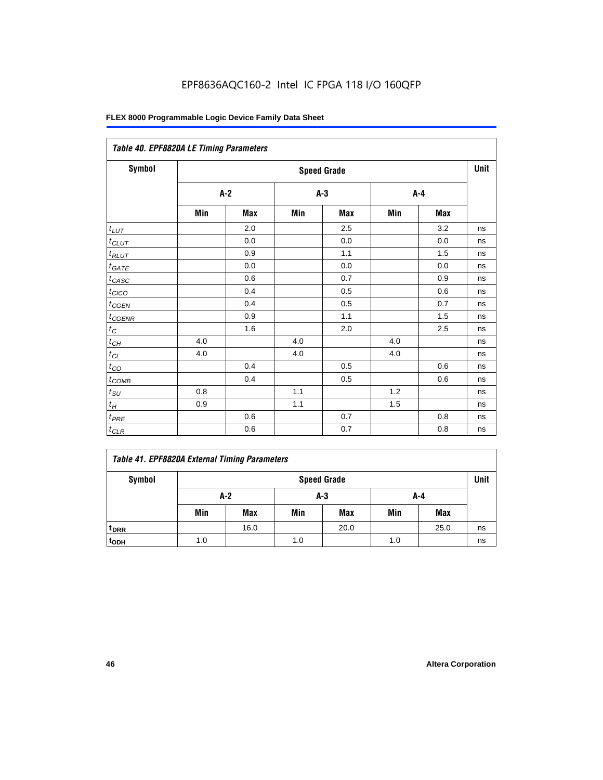|                   | Table 40. EPF8820A LE Timing Parameters |         |     |                    |     |         |      |  |  |  |  |  |
|-------------------|-----------------------------------------|---------|-----|--------------------|-----|---------|------|--|--|--|--|--|
| Symbol            |                                         |         |     | <b>Speed Grade</b> |     |         | Unit |  |  |  |  |  |
|                   |                                         | $A-2$   |     | $A-3$              |     | $A - 4$ |      |  |  |  |  |  |
|                   | Min                                     | Max     | Min | Max                | Min | Max     |      |  |  |  |  |  |
| $t_{LUT}$         |                                         | 2.0     |     | 2.5                |     | 3.2     | ns   |  |  |  |  |  |
| $t_{CLUT}$        |                                         | 0.0     |     | 0.0                |     | 0.0     | ns   |  |  |  |  |  |
| $t_{RLUT}$        |                                         | 0.9     |     | 1.1                |     | 1.5     | ns   |  |  |  |  |  |
| $t_{GATE}$        |                                         | 0.0     |     | 0.0                |     | 0.0     | ns   |  |  |  |  |  |
| $t_{CASC}$        |                                         | 0.6     |     | 0.7                |     | 0.9     | ns   |  |  |  |  |  |
| $t_{CICO}$        |                                         | 0.4     |     | 0.5                |     | 0.6     | ns   |  |  |  |  |  |
| $t_{CGEN}$        |                                         | 0.4     |     | 0.5                |     | 0.7     | ns   |  |  |  |  |  |
| $t_{CGENR}$       |                                         | 0.9     |     | 1.1                |     | 1.5     | ns   |  |  |  |  |  |
| $t_C$             |                                         | 1.6     |     | 2.0                |     | 2.5     | ns   |  |  |  |  |  |
| $t_{CH}$          | 4.0                                     |         | 4.0 |                    | 4.0 |         | ns   |  |  |  |  |  |
| $t_{CL}$          | 4.0                                     |         | 4.0 |                    | 4.0 |         | ns   |  |  |  |  |  |
| $t_{CO}$          |                                         | 0.4     |     | 0.5                |     | 0.6     | ns   |  |  |  |  |  |
| $t_{\text{COMB}}$ |                                         | 0.4     |     | 0.5                |     | 0.6     | ns   |  |  |  |  |  |
| $t_{\rm SU}$      | 0.8                                     |         | 1.1 |                    | 1.2 |         | ns   |  |  |  |  |  |
| $t_H\,$           | 0.9                                     |         | 1.1 |                    | 1.5 |         | ns   |  |  |  |  |  |
| $t_{PRE}$         |                                         | 0.6     |     | 0.7                |     | 0.8     | ns   |  |  |  |  |  |
| $t_{CLR}$         |                                         | $0.6\,$ |     | 0.7                |     | 0.8     | ns   |  |  |  |  |  |

| <b>Table 41. EPF8820A External Timing Parameters</b> |                    |      |     |      |     |      |    |  |
|------------------------------------------------------|--------------------|------|-----|------|-----|------|----|--|
| Symbol                                               | <b>Speed Grade</b> |      |     |      |     |      |    |  |
|                                                      |                    | A-2  |     | A-3  |     | A-4  |    |  |
|                                                      | Min                | Max  | Min | Max  | Min | Max  |    |  |
| <sup>t</sup> DRR                                     |                    | 16.0 |     | 20.0 |     | 25.0 | ns |  |

**tODH** 1.0 1.0 1.0 ns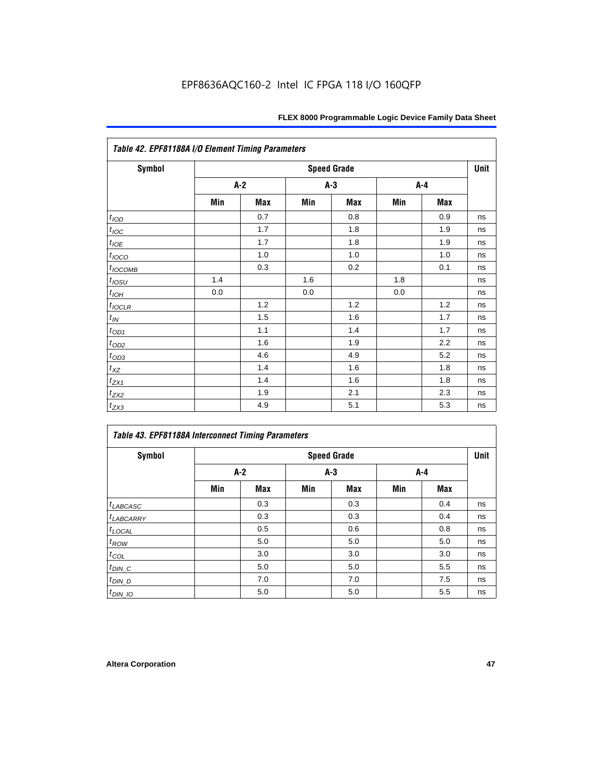| Table 42. EPF81188A I/O Element Timing Parameters |       |     |       |                    |       |     |      |  |  |  |
|---------------------------------------------------|-------|-----|-------|--------------------|-------|-----|------|--|--|--|
| <b>Symbol</b>                                     |       |     |       | <b>Speed Grade</b> |       |     | Unit |  |  |  |
|                                                   | $A-2$ |     | $A-3$ |                    | $A-4$ |     |      |  |  |  |
|                                                   | Min   | Max | Min   | Max                | Min   | Max |      |  |  |  |
| t <sub>IOD</sub>                                  |       | 0.7 |       | 0.8                |       | 0.9 | ns   |  |  |  |
| $t_{\underline{IOC}}$                             |       | 1.7 |       | 1.8                |       | 1.9 | ns   |  |  |  |
| $t_{IOE}$                                         |       | 1.7 |       | 1.8                |       | 1.9 | ns   |  |  |  |
| $t_{IOCO}$                                        |       | 1.0 |       | 1.0                |       | 1.0 | ns   |  |  |  |
| $t_{IOCOMB}$                                      |       | 0.3 |       | 0.2                |       | 0.1 | ns   |  |  |  |
| $t_{IOSU}$                                        | 1.4   |     | 1.6   |                    | 1.8   |     | ns   |  |  |  |
| $t_{IOL}$                                         | 0.0   |     | 0.0   |                    | 0.0   |     | ns   |  |  |  |
| $t_{IOCLR}$                                       |       | 1.2 |       | 1.2                |       | 1.2 | ns   |  |  |  |
| $t_{I\!N}$                                        |       | 1.5 |       | 1.6                |       | 1.7 | ns   |  |  |  |
| $t_{OD1}$                                         |       | 1.1 |       | 1.4                |       | 1.7 | ns   |  |  |  |
| $t_{OD2}$                                         |       | 1.6 |       | 1.9                |       | 2.2 | ns   |  |  |  |
| $t_{OD3}$                                         |       | 4.6 |       | 4.9                |       | 5.2 | ns   |  |  |  |
| $t_{X\!Z}$                                        |       | 1.4 |       | 1.6                |       | 1.8 | ns   |  |  |  |
| $t_{ZX1}$                                         |       | 1.4 |       | 1.6                |       | 1.8 | ns   |  |  |  |
| $t_{ZX2}$                                         |       | 1.9 |       | 2.1                |       | 2.3 | ns   |  |  |  |
| $t_{ZX3}$                                         |       | 4.9 |       | 5.1                |       | 5.3 | ns   |  |  |  |

| <b>Table 43. EPF81188A Interconnect Timing Parameters</b> |                    |     |       |            |     |            |    |  |  |  |
|-----------------------------------------------------------|--------------------|-----|-------|------------|-----|------------|----|--|--|--|
| Symbol                                                    | <b>Speed Grade</b> |     |       |            |     |            |    |  |  |  |
|                                                           | $A-2$              |     | $A-3$ |            | A-4 |            |    |  |  |  |
|                                                           | Min                | Max | Min   | <b>Max</b> | Min | <b>Max</b> |    |  |  |  |
| $t_{LABCASC}$                                             |                    | 0.3 |       | 0.3        |     | 0.4        | ns |  |  |  |
| $t_{LABCARY}$                                             |                    | 0.3 |       | 0.3        |     | 0.4        | ns |  |  |  |
| $t_{\text{LOCAL}}$                                        |                    | 0.5 |       | 0.6        |     | 0.8        | ns |  |  |  |
| $t_{ROW}$                                                 |                    | 5.0 |       | 5.0        |     | 5.0        | ns |  |  |  |
| $t_{COL}$                                                 |                    | 3.0 |       | 3.0        |     | 3.0        | ns |  |  |  |
| $t_{DIN\_C}$                                              |                    | 5.0 |       | 5.0        |     | 5.5        | ns |  |  |  |
| $t_{DIN\_D}$                                              |                    | 7.0 |       | 7.0        |     | 7.5        | ns |  |  |  |
| $t_{DIN}$ 10                                              |                    | 5.0 |       | 5.0        |     | 5.5        | ns |  |  |  |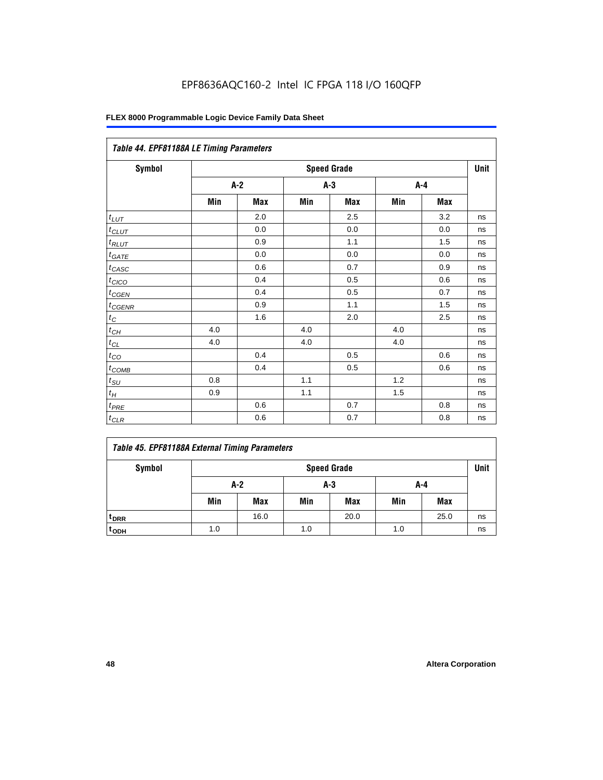| Table 44. EPF81188A LE Timing Parameters |                    |     |       |            |     |            |    |  |  |
|------------------------------------------|--------------------|-----|-------|------------|-----|------------|----|--|--|
| <b>Symbol</b>                            | <b>Speed Grade</b> |     |       |            |     |            |    |  |  |
|                                          | $A-2$              |     |       | $A-3$      |     | $A - 4$    |    |  |  |
|                                          | Min                | Max | Min   | <b>Max</b> | Min | <b>Max</b> |    |  |  |
| $t_{LUT}$                                |                    | 2.0 |       | 2.5        |     | 3.2        | ns |  |  |
| $t_{CLUT}$                               |                    | 0.0 |       | 0.0        |     | 0.0        | ns |  |  |
| $t_{RLUT}$                               |                    | 0.9 |       | 1.1        |     | 1.5        | ns |  |  |
| $t_{GATE}$                               |                    | 0.0 |       | 0.0        |     | 0.0        | ns |  |  |
| $t_{CASC}$                               |                    | 0.6 |       | 0.7        |     | 0.9        | ns |  |  |
| $t_{CICO}$                               |                    | 0.4 |       | 0.5        |     | 0.6        | ns |  |  |
| $t_{GEN}$                                |                    | 0.4 |       | 0.5        |     | 0.7        | ns |  |  |
| $t_{CGENR}$                              |                    | 0.9 |       | 1.1        |     | 1.5        | ns |  |  |
| $t_C$                                    |                    | 1.6 |       | 2.0        |     | 2.5        | ns |  |  |
| $t_{CH}$                                 | 4.0                |     | 4.0   |            | 4.0 |            | ns |  |  |
| $t_{CL}$                                 | 4.0                |     | 4.0   |            | 4.0 |            | ns |  |  |
| $t_{CO}$                                 |                    | 0.4 |       | 0.5        |     | 0.6        | ns |  |  |
| $t_{\text{COMB}}$                        |                    | 0.4 |       | 0.5        |     | 0.6        | ns |  |  |
| $t_{\text{SU}}$                          | 0.8                |     | 1.1   |            | 1.2 |            | ns |  |  |
| $t_H$                                    | 0.9                |     | $1.1$ |            | 1.5 |            | ns |  |  |
| $t_{PRE}$                                |                    | 0.6 |       | 0.7        |     | 0.8        | ns |  |  |
| $t_{CLR}$                                |                    | 0.6 |       | 0.7        |     | 0.8        | ns |  |  |

|  |  |  |  | Table 45. EPF81188A External Timing Parameters |
|--|--|--|--|------------------------------------------------|
|--|--|--|--|------------------------------------------------|

| Symbol           | <b>Speed Grade</b> |                     |     |            |     |            |    |  |  |
|------------------|--------------------|---------------------|-----|------------|-----|------------|----|--|--|
|                  |                    | $A-2$<br>A-3<br>A-4 |     |            |     |            |    |  |  |
|                  | Min                | <b>Max</b>          | Min | <b>Max</b> | Min | <b>Max</b> |    |  |  |
| t <sub>DRR</sub> |                    | 16.0                |     | 20.0       |     | 25.0       | ns |  |  |
| t <sub>ODH</sub> | 1.0                |                     | 1.0 |            | 1.0 |            | ns |  |  |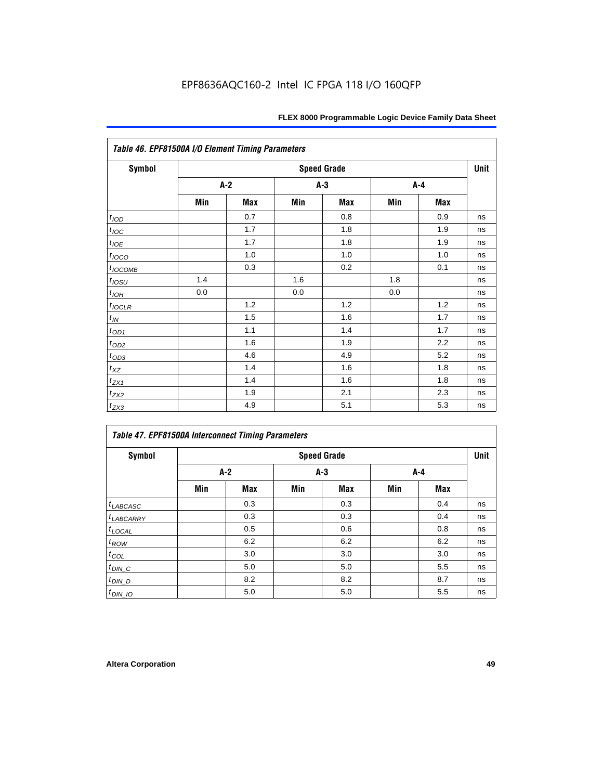| Table 46. EPF81500A I/O Element Timing Parameters |     |       |       |                    |       |            |      |  |  |  |
|---------------------------------------------------|-----|-------|-------|--------------------|-------|------------|------|--|--|--|
| <b>Symbol</b>                                     |     |       |       | <b>Speed Grade</b> |       |            | Unit |  |  |  |
|                                                   |     | $A-2$ | $A-3$ |                    | $A-4$ |            |      |  |  |  |
|                                                   | Min | Max   | Min   | <b>Max</b>         | Min   | <b>Max</b> |      |  |  |  |
| t <sub>IOD</sub>                                  |     | 0.7   |       | 0.8                |       | 0.9        | ns   |  |  |  |
| $t_{\text{IOC}}$                                  |     | 1.7   |       | 1.8                |       | 1.9        | ns   |  |  |  |
| $t_{IOE}$                                         |     | 1.7   |       | 1.8                |       | 1.9        | ns   |  |  |  |
| $t_{IOCO}$                                        |     | 1.0   |       | 1.0                |       | 1.0        | ns   |  |  |  |
| $t_{IOCOMB}$                                      |     | 0.3   |       | 0.2                |       | 0.1        | ns   |  |  |  |
| $t_{IQSU}$                                        | 1.4 |       | 1.6   |                    | 1.8   |            | ns   |  |  |  |
| $t_{IOH}$                                         | 0.0 |       | 0.0   |                    | 0.0   |            | ns   |  |  |  |
| $t_{IOCLR}$                                       |     | 1.2   |       | 1.2                |       | 1.2        | ns   |  |  |  |
| $t_{I\!N}$                                        |     | 1.5   |       | 1.6                |       | 1.7        | ns   |  |  |  |
| $t_{OD1}$                                         |     | 1.1   |       | 1.4                |       | 1.7        | ns   |  |  |  |
| $t_{\underline{OD2}}$                             |     | 1.6   |       | 1.9                |       | 2.2        | ns   |  |  |  |
| $t_{OD3}$                                         |     | 4.6   |       | 4.9                |       | 5.2        | ns   |  |  |  |
| $t_{XZ}$                                          |     | 1.4   |       | 1.6                |       | 1.8        | ns   |  |  |  |
| $t_{ZX1}$                                         |     | 1.4   |       | 1.6                |       | 1.8        | ns   |  |  |  |
| $t_{ZX2}$                                         |     | 1.9   |       | 2.1                |       | 2.3        | ns   |  |  |  |
| $t_{ZX3}$                                         |     | 4.9   |       | 5.1                |       | 5.3        | ns   |  |  |  |

| <b>Symbol</b>         |     | <b>Speed Grade</b> |       |            |     |     |    |  |  |  |
|-----------------------|-----|--------------------|-------|------------|-----|-----|----|--|--|--|
|                       | A-2 |                    | $A-3$ |            | A-4 |     |    |  |  |  |
|                       | Min | Max                | Min   | <b>Max</b> | Min | Max |    |  |  |  |
| $t_{LABCASC}$         |     | 0.3                |       | 0.3        |     | 0.4 | ns |  |  |  |
| <sup>t</sup> LABCARRY |     | 0.3                |       | 0.3        |     | 0.4 | ns |  |  |  |
| $t_{\text{LOCAL}}$    |     | 0.5                |       | 0.6        |     | 0.8 | ns |  |  |  |
| $t_{ROW}$             |     | 6.2                |       | 6.2        |     | 6.2 | ns |  |  |  |
| $t_{COL}$             |     | 3.0                |       | 3.0        |     | 3.0 | ns |  |  |  |
| $t_{DIN\_C}$          |     | 5.0                |       | 5.0        |     | 5.5 | ns |  |  |  |
| $t_{DIN\_D}$          |     | 8.2                |       | 8.2        |     | 8.7 | ns |  |  |  |
| $t_{DIN}$ 10          |     | 5.0                |       | 5.0        |     | 5.5 | ns |  |  |  |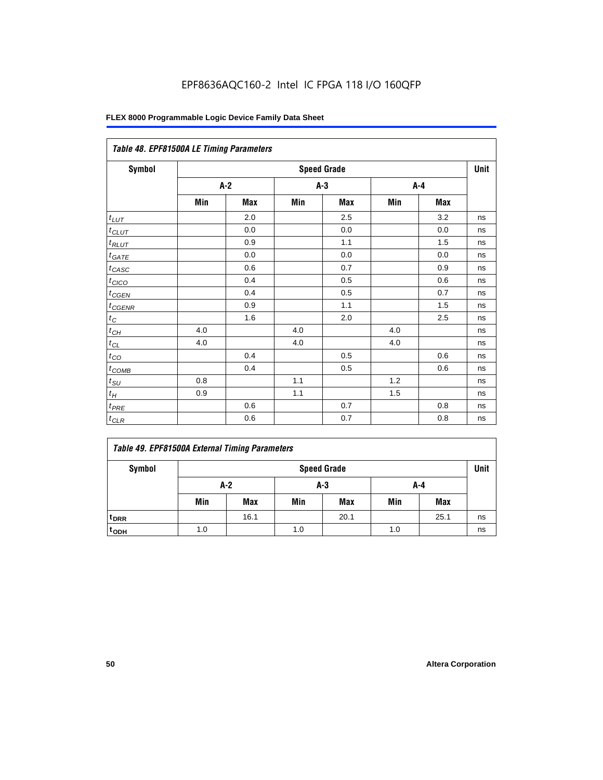| Table 48. EPF81500A LE Timing Parameters |                    |       |       |     |     |     |    |  |  |  |
|------------------------------------------|--------------------|-------|-------|-----|-----|-----|----|--|--|--|
| Symbol                                   | <b>Speed Grade</b> |       |       |     |     |     |    |  |  |  |
|                                          |                    | $A-2$ | $A-3$ |     | A-4 |     |    |  |  |  |
|                                          | Min                | Max   | Min   | Max | Min | Max |    |  |  |  |
| $t_{LUT}$                                |                    | 2.0   |       | 2.5 |     | 3.2 | ns |  |  |  |
| $t_{CLUT}$                               |                    | 0.0   |       | 0.0 |     | 0.0 | ns |  |  |  |
| $t_{RLUT}$                               |                    | 0.9   |       | 1.1 |     | 1.5 | ns |  |  |  |
| $t_{\underline{GATE}}$                   |                    | 0.0   |       | 0.0 |     | 0.0 | ns |  |  |  |
| $t_{CASC}$                               |                    | 0.6   |       | 0.7 |     | 0.9 | ns |  |  |  |
| $t_{CICO}$                               |                    | 0.4   |       | 0.5 |     | 0.6 | ns |  |  |  |
| $t_{CGEN}$                               |                    | 0.4   |       | 0.5 |     | 0.7 | ns |  |  |  |
| $t_{CGENR}$                              |                    | 0.9   |       | 1.1 |     | 1.5 | ns |  |  |  |
| $t_C$                                    |                    | 1.6   |       | 2.0 |     | 2.5 | ns |  |  |  |
| $t_{\mathit{CH}}$                        | 4.0                |       | 4.0   |     | 4.0 |     | ns |  |  |  |
| $t_{CL}$                                 | 4.0                |       | 4.0   |     | 4.0 |     | ns |  |  |  |
| $t_{\rm CO}$                             |                    | 0.4   |       | 0.5 |     | 0.6 | ns |  |  |  |
| $t_{\text{COMB}}$                        |                    | 0.4   |       | 0.5 |     | 0.6 | ns |  |  |  |
| $t_{\text{SU}}$                          | 0.8                |       | 1.1   |     | 1.2 |     | ns |  |  |  |
| $t_H$                                    | 0.9                |       | 1.1   |     | 1.5 |     | ns |  |  |  |
| $t_{PRE}$                                |                    | 0.6   |       | 0.7 |     | 0.8 | ns |  |  |  |
| $t_{CLR}$                                |                    | 0.6   |       | 0.7 |     | 0.8 | ns |  |  |  |

|  |  | Table 49. EPF81500A External Timing Parameters |
|--|--|------------------------------------------------|
|  |  |                                                |

| Symbol             | <b>Speed Grade</b> |            |     |            |     |            |    |  |
|--------------------|--------------------|------------|-----|------------|-----|------------|----|--|
|                    | A-2<br>A-3<br>A-4  |            |     |            |     |            |    |  |
|                    | Min                | <b>Max</b> | Min | <b>Max</b> | Min | <b>Max</b> |    |  |
| t <sub>DRR</sub>   |                    | 16.1       |     | 20.1       |     | 25.1       | ns |  |
| $t$ <sub>ODH</sub> | 1.0                |            | 1.0 |            | 1.0 |            | ns |  |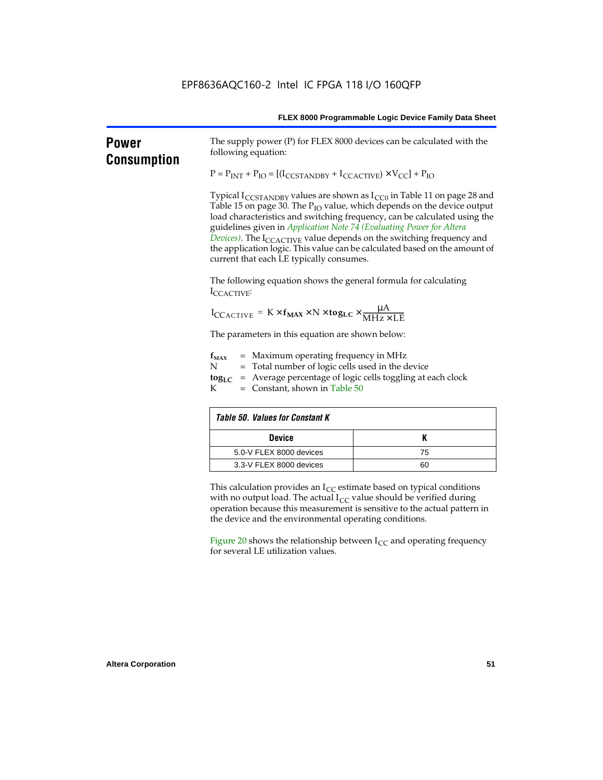| <b>Power</b><br><b>Consumption</b> | The supply power (P) for FLEX 8000 devices can be calculated with the<br>following equation:                                                                                                                                                                                                                                                                                                                                                                                                                                                     |    |  |  |  |  |  |
|------------------------------------|--------------------------------------------------------------------------------------------------------------------------------------------------------------------------------------------------------------------------------------------------------------------------------------------------------------------------------------------------------------------------------------------------------------------------------------------------------------------------------------------------------------------------------------------------|----|--|--|--|--|--|
|                                    | $P = P_{INT} + P_{IO} = [(I_{COSTANDBY} + I_{CCACTIVE}) \times V_{CC}] + P_{IO}$                                                                                                                                                                                                                                                                                                                                                                                                                                                                 |    |  |  |  |  |  |
|                                    | Typical $I_{\text{CCSTANDBY}}$ values are shown as $I_{\text{CC0}}$ in Table 11 on page 28 and<br>Table 15 on page 30. The $P_{IO}$ value, which depends on the device output<br>load characteristics and switching frequency, can be calculated using the<br>guidelines given in Application Note 74 (Evaluating Power for Altera<br>Devices). The I <sub>CCACTIVE</sub> value depends on the switching frequency and<br>the application logic. This value can be calculated based on the amount of<br>current that each LE typically consumes. |    |  |  |  |  |  |
|                                    | The following equation shows the general formula for calculating<br>ICCACTIVE:                                                                                                                                                                                                                                                                                                                                                                                                                                                                   |    |  |  |  |  |  |
|                                    | $I_{\text{CCACTIVE}} = K \times f_{\text{MAX}} \times N \times \text{togLC} \times \frac{\mu A}{\text{MHz} \times \text{LE}}$                                                                                                                                                                                                                                                                                                                                                                                                                    |    |  |  |  |  |  |
|                                    | The parameters in this equation are shown below:                                                                                                                                                                                                                                                                                                                                                                                                                                                                                                 |    |  |  |  |  |  |
|                                    | $=$ Maximum operating frequency in MHz<br>$f_{MAX}$<br>N<br>= Total number of logic cells used in the device<br>= Average percentage of logic cells toggling at each clock<br>$\log_{LC}$<br>$=$ Constant, shown in Table 50<br>K                                                                                                                                                                                                                                                                                                                |    |  |  |  |  |  |
|                                    | <b>Table 50. Values for Constant K</b>                                                                                                                                                                                                                                                                                                                                                                                                                                                                                                           |    |  |  |  |  |  |
|                                    | <b>Device</b>                                                                                                                                                                                                                                                                                                                                                                                                                                                                                                                                    | K  |  |  |  |  |  |
|                                    | 5.0-V FLEX 8000 devices                                                                                                                                                                                                                                                                                                                                                                                                                                                                                                                          | 75 |  |  |  |  |  |
|                                    | 3.3-V FLEX 8000 devices                                                                                                                                                                                                                                                                                                                                                                                                                                                                                                                          | 60 |  |  |  |  |  |
|                                    | This calculation provides an $I_{CC}$ estimate based on typical conditions<br>with no output load. The actual $I_{CC}$ value should be verified during<br>operation because this measurement is sensitive to the actual pattern in<br>the device and the environmental operating conditions.                                                                                                                                                                                                                                                     |    |  |  |  |  |  |
|                                    | Figure 20 shows the relationship between $I_{CC}$ and operating frequency<br>for several LE utilization values.                                                                                                                                                                                                                                                                                                                                                                                                                                  |    |  |  |  |  |  |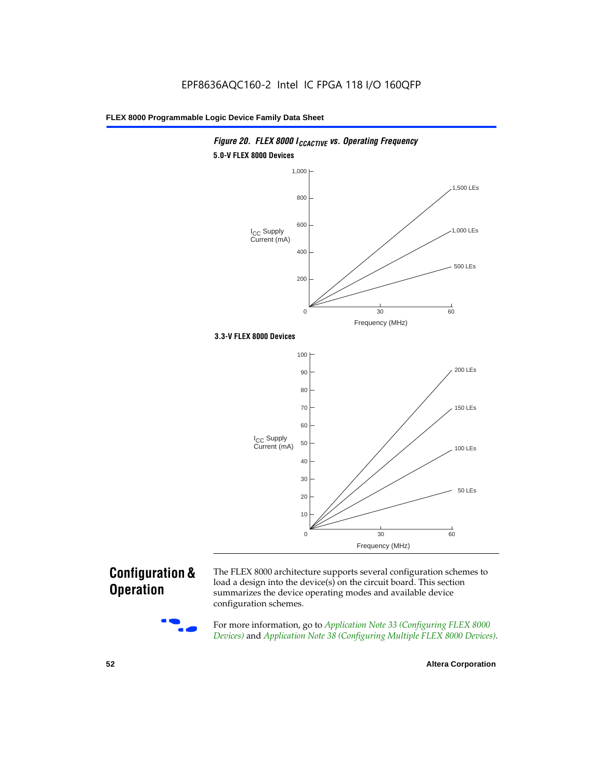

# *Figure 20. FLEX 8000 I<sub>CCACTIVE</sub> vs. Operating Frequency* **5.0-V FLEX 8000 Devices**

## **Configuration & Operation**

The FLEX 8000 architecture supports several configuration schemes to load a design into the device(s) on the circuit board. This section summarizes the device operating modes and available device configuration schemes.

For more information, go to *Application Note 33 (Configuring FLEX 8000 Devices)* and *Application Note 38 (Configuring Multiple FLEX 8000 Devices)*.

**52 Altera Corporation**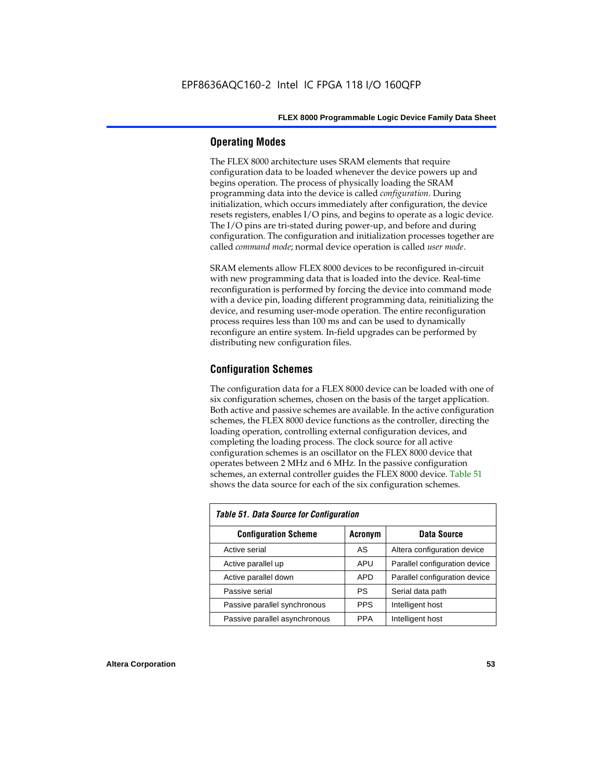#### **Operating Modes**

The FLEX 8000 architecture uses SRAM elements that require configuration data to be loaded whenever the device powers up and begins operation. The process of physically loading the SRAM programming data into the device is called *configuration*. During initialization, which occurs immediately after configuration, the device resets registers, enables I/O pins, and begins to operate as a logic device. The I/O pins are tri-stated during power-up, and before and during configuration. The configuration and initialization processes together are called *command mode*; normal device operation is called *user mode*.

SRAM elements allow FLEX 8000 devices to be reconfigured in-circuit with new programming data that is loaded into the device. Real-time reconfiguration is performed by forcing the device into command mode with a device pin, loading different programming data, reinitializing the device, and resuming user-mode operation. The entire reconfiguration process requires less than 100 ms and can be used to dynamically reconfigure an entire system. In-field upgrades can be performed by distributing new configuration files.

#### **Configuration Schemes**

The configuration data for a FLEX 8000 device can be loaded with one of six configuration schemes, chosen on the basis of the target application. Both active and passive schemes are available. In the active configuration schemes, the FLEX 8000 device functions as the controller, directing the loading operation, controlling external configuration devices, and completing the loading process. The clock source for all active configuration schemes is an oscillator on the FLEX 8000 device that operates between 2 MHz and 6 MHz. In the passive configuration schemes, an external controller guides the FLEX 8000 device. Table 51 shows the data source for each of the six configuration schemes.

| <b>Table 51. Data Source for Configuration</b> |                |                               |  |  |  |  |  |  |
|------------------------------------------------|----------------|-------------------------------|--|--|--|--|--|--|
| <b>Configuration Scheme</b>                    | <b>Acronym</b> | Data Source                   |  |  |  |  |  |  |
| Active serial                                  | AS             | Altera configuration device   |  |  |  |  |  |  |
| Active parallel up                             | APU            | Parallel configuration device |  |  |  |  |  |  |
| Active parallel down                           | <b>APD</b>     | Parallel configuration device |  |  |  |  |  |  |
| Passive serial                                 | PS             | Serial data path              |  |  |  |  |  |  |
| Passive parallel synchronous                   | <b>PPS</b>     | Intelligent host              |  |  |  |  |  |  |
| Passive parallel asynchronous                  | <b>PPA</b>     | Intelligent host              |  |  |  |  |  |  |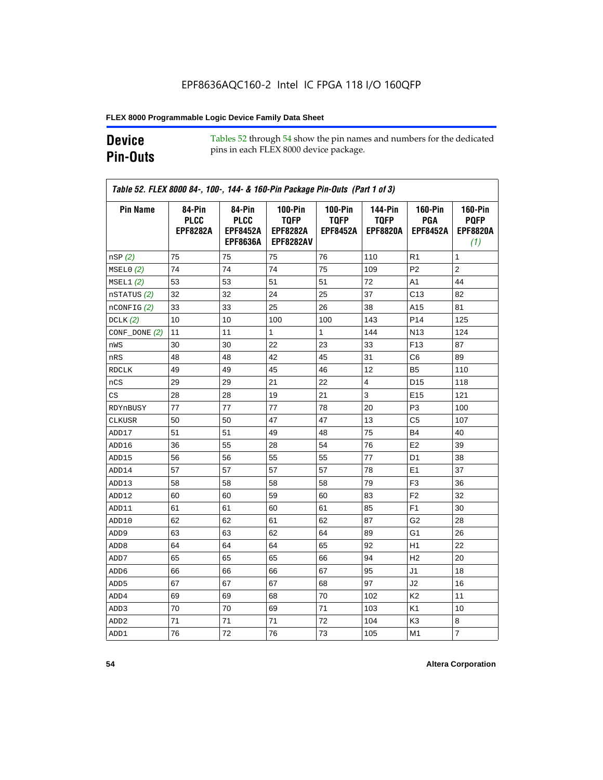## **Device Pin-Outs**

Tables 52 through 54 show the pin names and numbers for the dedicated pins in each FLEX 8000 device package.

|                  | 84-Pin                         | 84-Pin                         | <b>100-Pin</b>                 | <b>100-Pin</b>                 | <b>144-Pin</b>                 | <b>160-Pin</b>                | <b>160-Pin</b>                 |
|------------------|--------------------------------|--------------------------------|--------------------------------|--------------------------------|--------------------------------|-------------------------------|--------------------------------|
|                  | <b>PLCC</b><br><b>EPF8282A</b> | <b>PLCC</b><br><b>EPF8452A</b> | <b>TQFP</b><br><b>EPF8282A</b> | <b>TQFP</b><br><b>EPF8452A</b> | <b>TQFP</b><br><b>EPF8820A</b> | <b>PGA</b><br><b>EPF8452A</b> | <b>PQFP</b><br><b>EPF8820A</b> |
|                  |                                | <b>EPF8636A</b>                | <b>EPF8282AV</b>               |                                |                                |                               | (1)                            |
| nSP(2)           | 75                             | 75                             | 75                             | 76                             | 110                            | R <sub>1</sub>                | $\mathbf{1}$                   |
| MSELO(2)         | 74                             | 74                             | 74                             | 75                             | 109                            | P <sub>2</sub>                | $\overline{2}$                 |
| MSEL1(2)         | 53                             | 53                             | 51                             | 51                             | 72                             | A1                            | 44                             |
| nSTATUS (2)      | 32                             | 32                             | 24                             | 25                             | 37                             | C13                           | 82                             |
| $n$ CONFIG $(2)$ | 33                             | 33                             | 25                             | 26                             | 38                             | A15                           | 81                             |
| DCLK $(2)$       | 10                             | 10                             | 100                            | 100                            | 143                            | P <sub>14</sub>               | 125                            |
| CONF_DONE (2)    | 11                             | 11                             | 1                              | $\mathbf{1}$                   | 144                            | N <sub>13</sub>               | 124                            |
| nWS              | 30                             | 30                             | 22                             | 23                             | 33                             | F <sub>13</sub>               | 87                             |
| nRS              | 48                             | 48                             | 42                             | 45                             | 31                             | C6                            | 89                             |
| <b>RDCLK</b>     | 49                             | 49                             | 45                             | 46                             | 12                             | B5                            | 110                            |
| nCS              | 29                             | 29                             | 21                             | 22                             | $\overline{4}$                 | D <sub>15</sub>               | 118                            |
| CS               | 28                             | 28                             | 19                             | 21                             | 3                              | E <sub>15</sub>               | 121                            |
| RDYnBUSY         | 77                             | 77                             | 77                             | 78                             | 20                             | P <sub>3</sub>                | 100                            |
| <b>CLKUSR</b>    | 50                             | 50                             | 47                             | 47                             | 13                             | C <sub>5</sub>                | 107                            |
| ADD17            | 51                             | 51                             | 49                             | 48                             | 75                             | B4                            | 40                             |
| ADD16            | 36                             | 55                             | 28                             | 54                             | 76                             | E <sub>2</sub>                | 39                             |
| ADD15            | 56                             | 56                             | 55                             | 55                             | 77                             | D <sub>1</sub>                | 38                             |
| ADD14            | 57                             | 57                             | 57                             | 57                             | 78                             | E1                            | 37                             |
| ADD13            | 58                             | 58                             | 58                             | 58                             | 79                             | F <sub>3</sub>                | 36                             |
| ADD12            | 60                             | 60                             | 59                             | 60                             | 83                             | F <sub>2</sub>                | 32                             |
| ADD11            | 61                             | 61                             | 60                             | 61                             | 85                             | F <sub>1</sub>                | 30                             |
| ADD10            | 62                             | 62                             | 61                             | 62                             | 87                             | G2                            | 28                             |
| ADD <sub>9</sub> | 63                             | 63                             | 62                             | 64                             | 89                             | G1                            | 26                             |
| ADD <sub>8</sub> | 64                             | 64                             | 64                             | 65                             | 92                             | H1                            | 22                             |
| ADD7             | 65                             | 65                             | 65                             | 66                             | 94                             | H <sub>2</sub>                | 20                             |
| ADD <sub>6</sub> | 66                             | 66                             | 66                             | 67                             | 95                             | J1                            | 18                             |
| ADD <sub>5</sub> | 67                             | 67                             | 67                             | 68                             | 97                             | J2                            | 16                             |
| ADD4             | 69                             | 69                             | 68                             | 70                             | 102                            | K <sub>2</sub>                | 11                             |
| ADD3             | 70                             | 70                             | 69                             | 71                             | 103                            | K <sub>1</sub>                | 10                             |
| ADD <sub>2</sub> | 71                             | 71                             | 71                             | 72                             | 104                            | K3                            | 8                              |
|                  |                                |                                |                                |                                |                                |                               |                                |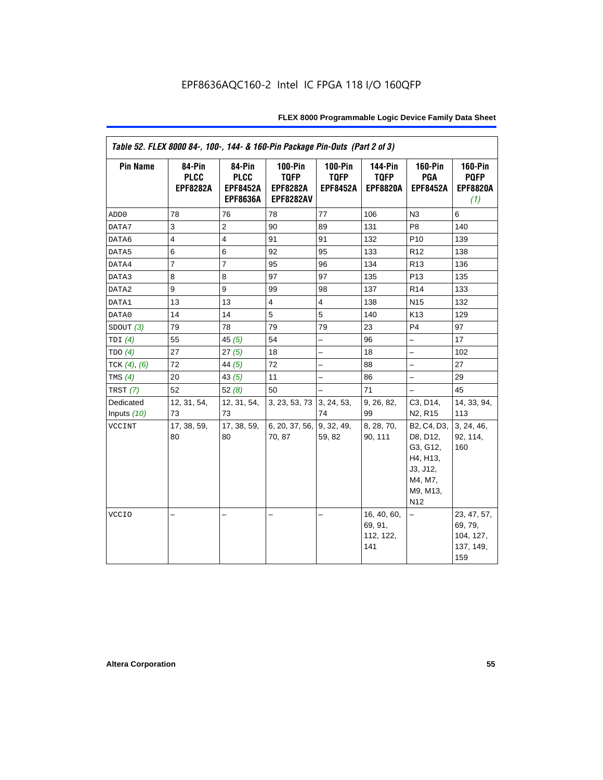|                   | Table 52. FLEX 8000 84-, 100-, 144- & 160-Pin Package Pin-Outs (Part 2 of 3) |                                                             |                                                                      |                                                  |                                                  |                                                                                                       |                                                         |
|-------------------|------------------------------------------------------------------------------|-------------------------------------------------------------|----------------------------------------------------------------------|--------------------------------------------------|--------------------------------------------------|-------------------------------------------------------------------------------------------------------|---------------------------------------------------------|
| <b>Pin Name</b>   | 84-Pin<br><b>PLCC</b><br><b>EPF8282A</b>                                     | 84-Pin<br><b>PLCC</b><br><b>EPF8452A</b><br><b>EPF8636A</b> | <b>100-Pin</b><br><b>TQFP</b><br><b>EPF8282A</b><br><b>EPF8282AV</b> | <b>100-Pin</b><br><b>TQFP</b><br><b>EPF8452A</b> | <b>144-Pin</b><br><b>TQFP</b><br><b>EPF8820A</b> | <b>160-Pin</b><br>PGA<br><b>EPF8452A</b>                                                              | <b>160-Pin</b><br><b>PQFP</b><br><b>EPF8820A</b><br>(1) |
| ADD <sub>0</sub>  | 78                                                                           | 76                                                          | 78                                                                   | 77                                               | 106                                              | N3                                                                                                    | 6                                                       |
| DATA7             | 3                                                                            | $\overline{2}$                                              | 90                                                                   | 89                                               | 131                                              | P <sub>8</sub>                                                                                        | 140                                                     |
| DATA6             | $\overline{4}$                                                               | $\overline{4}$                                              | 91                                                                   | 91                                               | 132                                              | P <sub>10</sub>                                                                                       | 139                                                     |
| DATA5             | 6                                                                            | 6                                                           | 92                                                                   | 95                                               | 133                                              | R <sub>12</sub>                                                                                       | 138                                                     |
| DATA4             | $\overline{7}$                                                               | $\overline{7}$                                              | 95                                                                   | 96                                               | 134                                              | R <sub>13</sub>                                                                                       | 136                                                     |
| DATA3             | 8                                                                            | 8                                                           | 97                                                                   | 97                                               | 135                                              | P <sub>13</sub>                                                                                       | 135                                                     |
| DATA2             | 9                                                                            | 9                                                           | 99                                                                   | 98                                               | 137                                              | R <sub>14</sub>                                                                                       | 133                                                     |
| DATA1             | 13                                                                           | 13                                                          | $\overline{4}$                                                       | $\overline{4}$                                   | 138                                              | N <sub>15</sub>                                                                                       | 132                                                     |
| DATA0             | 14                                                                           | 14                                                          | 5                                                                    | 5                                                | 140                                              | K <sub>13</sub>                                                                                       | 129                                                     |
| SDOUT(3)          | 79                                                                           | 78                                                          | 79                                                                   | 79                                               | 23                                               | P <sub>4</sub>                                                                                        | 97                                                      |
| TDI $(4)$         | 55                                                                           | 45 $(5)$                                                    | 54                                                                   | L,                                               | 96                                               | $\overline{\phantom{0}}$                                                                              | 17                                                      |
| TDO(4)            | 27                                                                           | 27(5)                                                       | 18                                                                   |                                                  | 18                                               | —                                                                                                     | 102                                                     |
| TCK $(4)$ , $(6)$ | 72                                                                           | 44 $(5)$                                                    | 72                                                                   |                                                  | 88                                               |                                                                                                       | 27                                                      |
| TMS $(4)$         | 20                                                                           | 43 $(5)$                                                    | 11                                                                   | $\overline{\phantom{0}}$                         | 86                                               | $\qquad \qquad -$                                                                                     | 29                                                      |
| TRST $(7)$        | 52                                                                           | 52(8)                                                       | 50                                                                   | $\overline{\phantom{0}}$                         | 71                                               | $\qquad \qquad -$                                                                                     | 45                                                      |
| Dedicated         | 12, 31, 54,                                                                  | 12, 31, 54,                                                 | 3, 23, 53, 73 3, 24, 53,                                             |                                                  | 9, 26, 82,                                       | C3, D14,                                                                                              | 14, 33, 94,                                             |
| Inputs (10)       | 73                                                                           | 73                                                          |                                                                      | 74                                               | 99                                               | N <sub>2</sub> , R <sub>15</sub>                                                                      | 113                                                     |
| VCCINT            | 17, 38, 59,<br>80                                                            | 17, 38, 59,<br>80                                           | 6, 20, 37, 56, 9, 32, 49,<br>70, 87                                  | 59, 82                                           | 8, 28, 70,<br>90, 111                            | B2, C4, D3,<br>D8, D12,<br>G3, G12,<br>H4, H13,<br>J3, J12,<br>M4, M7,<br>M9, M13,<br>N <sub>12</sub> | 3, 24, 46,<br>92, 114,<br>160                           |
| <b>VCCIO</b>      |                                                                              |                                                             | -                                                                    |                                                  | 16, 40, 60,<br>69, 91,<br>112, 122,<br>141       | -                                                                                                     | 23, 47, 57,<br>69, 79,<br>104, 127,<br>137, 149,<br>159 |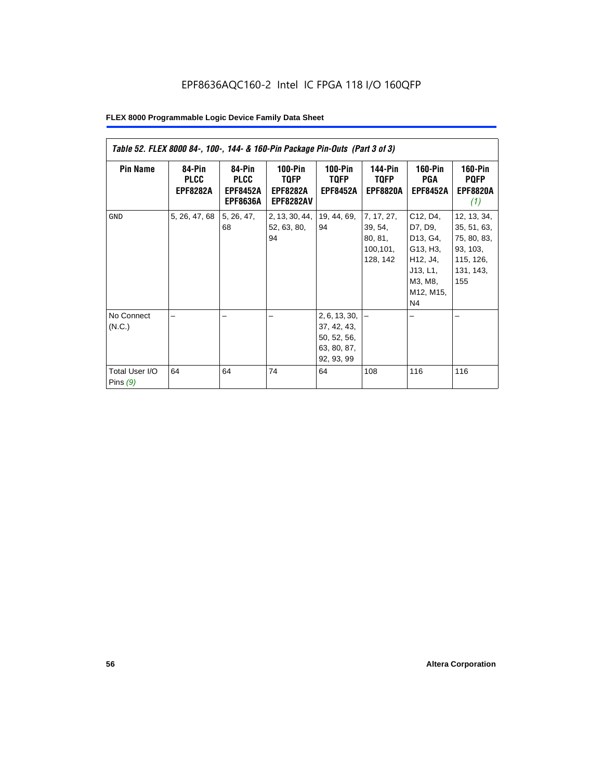| Table 52. FLEX 8000 84-, 100-, 144- & 160-Pin Package Pin-Outs (Part 3 of 3) |                                          |                                                             |                                                          |                                                                                |                                                           |                                                                                                               |                                                                                        |  |  |  |
|------------------------------------------------------------------------------|------------------------------------------|-------------------------------------------------------------|----------------------------------------------------------|--------------------------------------------------------------------------------|-----------------------------------------------------------|---------------------------------------------------------------------------------------------------------------|----------------------------------------------------------------------------------------|--|--|--|
| <b>Pin Name</b>                                                              | 84-Pin<br><b>PLCC</b><br><b>EPF8282A</b> | 84-Pin<br><b>PLCC</b><br><b>EPF8452A</b><br><b>EPF8636A</b> | $100-Pin$<br>TQFP<br><b>EPF8282A</b><br><b>EPF8282AV</b> | $100-Pin$<br><b>TQFP</b><br><b>EPF8452A</b>                                    | <b>144-Pin</b><br><b>TQFP</b><br><b>EPF8820A</b>          | <b>160-Pin</b><br>PGA<br><b>EPF8452A</b>                                                                      | <b>160-Pin</b><br><b>PQFP</b><br><b>EPF8820A</b><br>(1)                                |  |  |  |
| <b>GND</b>                                                                   | 5, 26, 47, 68                            | 5, 26, 47,<br>68                                            | 2, 13, 30, 44,<br>52, 63, 80,<br>94                      | 19, 44, 69,<br>94                                                              | 7, 17, 27,<br>39, 54,<br>80, 81,<br>100, 101,<br>128, 142 | C12, D4,<br>D7, D9,<br>D13, G4,<br>G13, H3,<br>H12, J4,<br>J13, L1,<br>M3, M8,<br>M12, M15,<br>N <sub>4</sub> | 12, 13, 34,<br>35, 51, 63,<br>75, 80, 83,<br>93, 103,<br>115, 126,<br>131, 143,<br>155 |  |  |  |
| No Connect<br>(N.C.)<br>Total User I/O<br>Pins $(9)$                         | 64                                       | 64                                                          | 74                                                       | 2, 6, 13, 30,<br>37, 42, 43,<br>50, 52, 56,<br>63, 80, 87,<br>92, 93, 99<br>64 | 108                                                       | 116                                                                                                           | 116                                                                                    |  |  |  |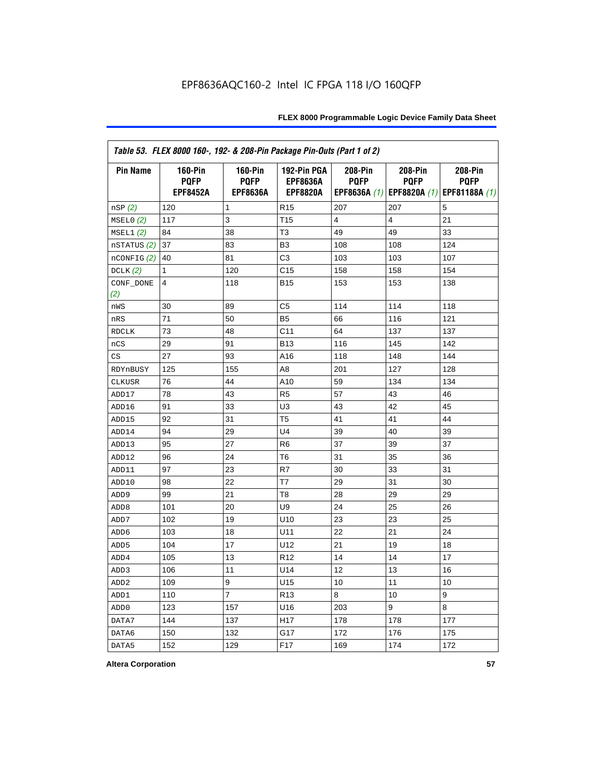|                  | Table 53. FLEX 8000 160-, 192- & 208-Pin Package Pin-Outs (Part 1 of 2) |                                                  |                                                   |                        |                        |                                                                   |  |  |  |
|------------------|-------------------------------------------------------------------------|--------------------------------------------------|---------------------------------------------------|------------------------|------------------------|-------------------------------------------------------------------|--|--|--|
| <b>Pin Name</b>  | <b>160-Pin</b><br><b>PQFP</b><br><b>EPF8452A</b>                        | <b>160-Pin</b><br><b>PQFP</b><br><b>EPF8636A</b> | 192-Pin PGA<br><b>EPF8636A</b><br><b>EPF8820A</b> | 208-Pin<br><b>PQFP</b> | 208-Pin<br><b>PQFP</b> | 208-Pin<br><b>PQFP</b><br>EPF8636A (1) EPF8820A (1) EPF81188A (1) |  |  |  |
| nSP (2)          | 120                                                                     | 1                                                | R <sub>15</sub>                                   | 207                    | 207                    | 5                                                                 |  |  |  |
| MSELO(2)         | 117                                                                     | 3                                                | T <sub>15</sub>                                   | 4                      | 4                      | 21                                                                |  |  |  |
| MSEL1(2)         | 84                                                                      | 38                                               | T <sub>3</sub>                                    | 49                     | 49                     | 33                                                                |  |  |  |
| nSTATUS (2)      | 37                                                                      | 83                                               | B <sub>3</sub>                                    | 108                    | 108                    | 124                                                               |  |  |  |
| nCONFIG (2)      | 40                                                                      | 81                                               | C <sub>3</sub>                                    | 103                    | 103                    | 107                                                               |  |  |  |
| DCLK $(2)$       | 1                                                                       | 120                                              | C <sub>15</sub>                                   | 158                    | 158                    | 154                                                               |  |  |  |
| CONF_DONE<br>(2) | 4                                                                       | 118                                              | <b>B15</b>                                        | 153                    | 153                    | 138                                                               |  |  |  |
| nWS              | 30                                                                      | 89                                               | C5                                                | 114                    | 114                    | 118                                                               |  |  |  |
| nRS              | 71                                                                      | 50                                               | B <sub>5</sub>                                    | 66                     | 116                    | 121                                                               |  |  |  |
| <b>RDCLK</b>     | 73                                                                      | 48                                               | C <sub>11</sub>                                   | 64                     | 137                    | 137                                                               |  |  |  |
| nCS              | 29                                                                      | 91                                               | <b>B13</b>                                        | 116                    | 145                    | 142                                                               |  |  |  |
| CS               | 27                                                                      | 93                                               | A16                                               | 118                    | 148                    | 144                                                               |  |  |  |
| RDYnBUSY         | 125                                                                     | 155                                              | A <sub>8</sub>                                    | 201                    | 127                    | 128                                                               |  |  |  |
| CLKUSR           | 76                                                                      | 44                                               | A10                                               | 59                     | 134                    | 134                                                               |  |  |  |
| ADD17            | 78                                                                      | 43                                               | R <sub>5</sub>                                    | 57                     | 43                     | 46                                                                |  |  |  |
| ADD16            | 91                                                                      | 33                                               | U <sub>3</sub>                                    | 43                     | 42                     | 45                                                                |  |  |  |
| ADD15            | 92                                                                      | 31                                               | T <sub>5</sub>                                    | 41                     | 41                     | 44                                                                |  |  |  |
| ADD14            | 94                                                                      | 29                                               | U <sub>4</sub>                                    | 39                     | 40                     | 39                                                                |  |  |  |
| ADD13            | 95                                                                      | 27                                               | R <sub>6</sub>                                    | 37                     | 39                     | 37                                                                |  |  |  |
| ADD12            | 96                                                                      | 24                                               | T <sub>6</sub>                                    | 31                     | 35                     | 36                                                                |  |  |  |
| ADD11            | 97                                                                      | 23                                               | R7                                                | 30                     | 33                     | 31                                                                |  |  |  |
| ADD10            | 98                                                                      | 22                                               | T7                                                | 29                     | 31                     | 30                                                                |  |  |  |
| ADD <sub>9</sub> | 99                                                                      | 21                                               | T <sub>8</sub>                                    | 28                     | 29                     | 29                                                                |  |  |  |
| ADD <sub>8</sub> | 101                                                                     | 20                                               | U <sub>9</sub>                                    | 24                     | 25                     | 26                                                                |  |  |  |
| ADD7             | 102                                                                     | 19                                               | U10                                               | 23                     | 23                     | 25                                                                |  |  |  |
| ADD <sub>6</sub> | 103                                                                     | 18                                               | U11                                               | 22                     | 21                     | 24                                                                |  |  |  |
| ADD <sub>5</sub> | 104                                                                     | 17                                               | U12                                               | 21                     | 19                     | 18                                                                |  |  |  |
| ADD4             | 105                                                                     | 13                                               | R <sub>12</sub>                                   | 14                     | 14                     | 17                                                                |  |  |  |
| ADD <sub>3</sub> | 106                                                                     | 11                                               | U14                                               | 12                     | 13                     | 16                                                                |  |  |  |
| ADD <sub>2</sub> | 109                                                                     | 9                                                | U15                                               | 10                     | 11                     | 10                                                                |  |  |  |
| ADD1             | 110                                                                     | $\overline{7}$                                   | R <sub>13</sub>                                   | 8                      | 10                     | 9                                                                 |  |  |  |
| ADD <sub>0</sub> | 123                                                                     | 157                                              | U16                                               | 203                    | 9                      | 8                                                                 |  |  |  |
| DATA7            | 144                                                                     | 137                                              | H <sub>17</sub>                                   | 178                    | 178                    | 177                                                               |  |  |  |
| DATA6            | 150                                                                     | 132                                              | G17                                               | 172                    | 176                    | 175                                                               |  |  |  |
| DATA5            | 152                                                                     | 129                                              | F <sub>17</sub>                                   | 169                    | 174                    | 172                                                               |  |  |  |

**Altera Corporation 57**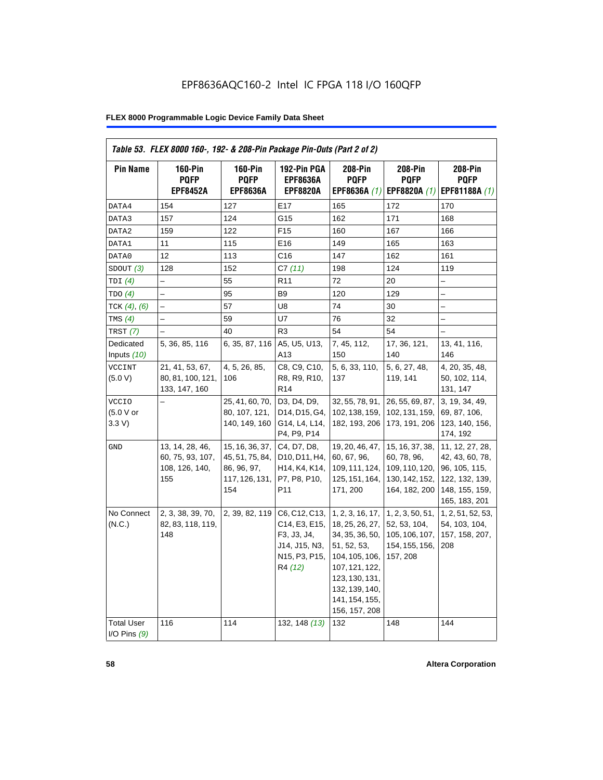| <b>Pin Name</b>                     | <b>160-Pin</b><br><b>PQFP</b>                                | $160-Pin$<br><b>PQFP</b>                                                   | 192-Pin PGA<br><b>EPF8636A</b>                                                                                                                     | 208-Pin<br><b>PQFP</b>                                                                                                                                                           | 208-Pin<br><b>PQFP</b>                                                              | 208-Pin<br><b>PQFP</b>                                                                                   |
|-------------------------------------|--------------------------------------------------------------|----------------------------------------------------------------------------|----------------------------------------------------------------------------------------------------------------------------------------------------|----------------------------------------------------------------------------------------------------------------------------------------------------------------------------------|-------------------------------------------------------------------------------------|----------------------------------------------------------------------------------------------------------|
|                                     | <b>EPF8452A</b>                                              | <b>EPF8636A</b>                                                            | <b>EPF8820A</b>                                                                                                                                    | EPF8636A (1)                                                                                                                                                                     | EPF8820A (1)                                                                        | EPF81188A (1)                                                                                            |
| DATA4                               | 154                                                          | 127                                                                        | E17                                                                                                                                                | 165                                                                                                                                                                              | 172                                                                                 | 170                                                                                                      |
| DATA3                               | 157                                                          | 124                                                                        | G15                                                                                                                                                | 162                                                                                                                                                                              | 171                                                                                 | 168                                                                                                      |
| DATA2                               | 159                                                          | 122                                                                        | F <sub>15</sub>                                                                                                                                    | 160                                                                                                                                                                              | 167                                                                                 | 166                                                                                                      |
| DATA1                               | 11                                                           | 115                                                                        | E16                                                                                                                                                | 149                                                                                                                                                                              | 165                                                                                 | 163                                                                                                      |
| DATA0                               | 12                                                           | 113                                                                        | C <sub>16</sub>                                                                                                                                    | 147                                                                                                                                                                              | 162                                                                                 | 161                                                                                                      |
| SDOUT(3)                            | 128                                                          | 152                                                                        | C7(11)                                                                                                                                             | 198                                                                                                                                                                              | 124                                                                                 | 119                                                                                                      |
| TDI(4)                              | $\equiv$                                                     | 55                                                                         | R <sub>11</sub>                                                                                                                                    | 72                                                                                                                                                                               | 20                                                                                  | $\overline{\phantom{0}}$                                                                                 |
| TDO(4)                              | $\overline{\phantom{0}}$                                     | 95                                                                         | B <sub>9</sub>                                                                                                                                     | 120                                                                                                                                                                              | 129                                                                                 | -                                                                                                        |
| TCK $(4)$ , $(6)$                   |                                                              | 57                                                                         | U8                                                                                                                                                 | 74                                                                                                                                                                               | 30                                                                                  | -                                                                                                        |
| TMS $(4)$                           |                                                              | 59                                                                         | U7                                                                                                                                                 | 76                                                                                                                                                                               | 32                                                                                  | $\overline{\phantom{0}}$                                                                                 |
| TRST(7)                             |                                                              | 40                                                                         | R <sub>3</sub>                                                                                                                                     | 54                                                                                                                                                                               | 54                                                                                  |                                                                                                          |
| Dedicated<br>Inputs (10)            | 5, 36, 85, 116                                               | 6, 35, 87, 116                                                             | A5, U5, U13,<br>A13                                                                                                                                | 7, 45, 112,<br>150                                                                                                                                                               | 17, 36, 121,<br>140                                                                 | 13, 41, 116,<br>146                                                                                      |
| <b>VCCINT</b><br>(5.0 V)            | 21, 41, 53, 67,<br>80, 81, 100, 121,<br>133, 147, 160        | 4, 5, 26, 85,<br>106                                                       | C8, C9, C10,<br>R8, R9, R10,<br>R <sub>14</sub>                                                                                                    | 5, 6, 33, 110,<br>137                                                                                                                                                            | 5, 6, 27, 48,<br>119, 141                                                           | 4, 20, 35, 48,<br>50, 102, 114,<br>131, 147                                                              |
| <b>VCCIO</b><br>(5.0 V or<br>3.3 V  |                                                              | 25, 41, 60, 70,<br>80, 107, 121,<br>140, 149, 160                          | D3, D4, D9,<br>D14, D15, G4,<br>G14, L4, L14,<br>P4, P9, P14                                                                                       | 32, 55, 78, 91,<br>102, 138, 159,<br>182, 193, 206                                                                                                                               | 26, 55, 69, 87,<br>102, 131, 159,<br>173, 191, 206                                  | 3, 19, 34, 49,<br>69, 87, 106,<br>123, 140, 156,<br>174, 192                                             |
| GND                                 | 13, 14, 28, 46,<br>60, 75, 93, 107,<br>108, 126, 140,<br>155 | 15, 16, 36, 37,<br>45, 51, 75, 84,<br>86, 96, 97,<br>117, 126, 131,<br>154 | C4, D7, D8,<br>D <sub>10</sub> , D <sub>11</sub> , H <sub>4</sub> ,<br>H <sub>14</sub> , K <sub>4</sub> , K <sub>14</sub> ,<br>P7, P8, P10,<br>P11 | 19, 20, 46, 47,<br>60, 67, 96,<br>109, 111, 124,<br>125, 151, 164,<br>171, 200                                                                                                   | 15, 16, 37, 38,<br>60, 78, 96,<br>109, 110, 120,<br>130, 142, 152,<br>164, 182, 200 | 11, 12, 27, 28,<br>42, 43, 60, 78,<br>96, 105, 115,<br>122, 132, 139,<br>148, 155, 159,<br>165, 183, 201 |
| No Connect<br>(N.C.)                | 2, 3, 38, 39, 70,<br>82, 83, 118, 119,<br>148                | 2, 39, 82, 119                                                             | C6, C12, C13,<br>C14, E3, E15,<br>F3, J3, J4,<br>J14, J15, N3,<br>N15, P3, P15,<br>R4 (12)                                                         | 1, 2, 3, 16, 17,<br>18, 25, 26, 27,<br>34, 35, 36, 50,<br>51, 52, 53,<br>104, 105, 106,<br>107, 121, 122,<br>123, 130, 131,<br>132, 139, 140,<br>141, 154, 155,<br>156, 157, 208 | 1, 2, 3, 50, 51,<br>52, 53, 104,<br>105, 106, 107,<br>154, 155, 156,<br>157, 208    | 1, 2, 51, 52, 53,<br>54, 103, 104,<br>157, 158, 207,<br>208                                              |
| <b>Total User</b><br>I/O Pins $(9)$ | 116                                                          | 114                                                                        | 132, 148 (13)                                                                                                                                      | 132                                                                                                                                                                              | 148                                                                                 | 144                                                                                                      |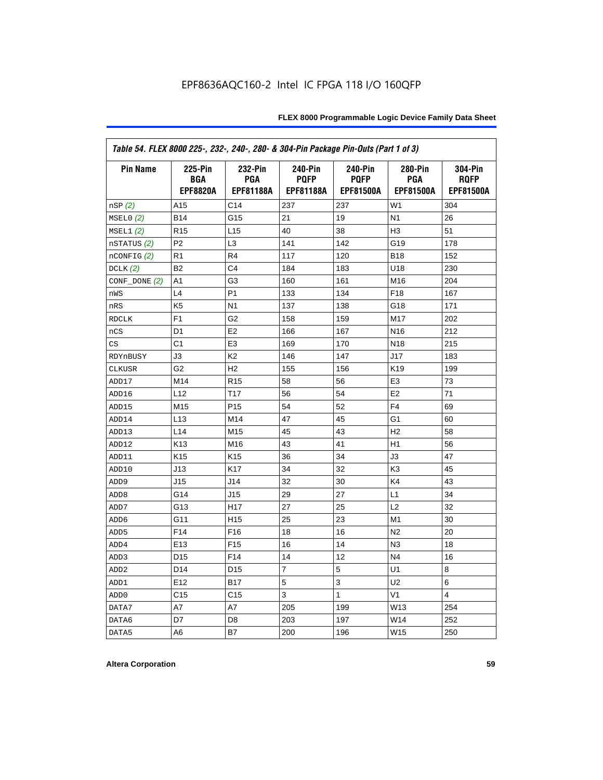| Table 54. FLEX 8000 225-, 232-, 240-, 280- & 304-Pin Package Pin-Outs (Part 1 of 3) |                                          |                                           |                                                   |                                            |                                           |                                            |
|-------------------------------------------------------------------------------------|------------------------------------------|-------------------------------------------|---------------------------------------------------|--------------------------------------------|-------------------------------------------|--------------------------------------------|
| <b>Pin Name</b>                                                                     | <b>225-Pin</b><br>BGA<br><b>EPF8820A</b> | 232-Pin<br><b>PGA</b><br><b>EPF81188A</b> | <b>240-Pin</b><br><b>PQFP</b><br><b>EPF81188A</b> | 240-Pin<br><b>PQFP</b><br><b>EPF81500A</b> | 280-Pin<br><b>PGA</b><br><b>EPF81500A</b> | 304-Pin<br><b>ROFP</b><br><b>EPF81500A</b> |
| nSP(2)                                                                              | A15                                      | C14                                       | 237                                               | 237                                        | W <sub>1</sub>                            | 304                                        |
| MSELO(2)                                                                            | <b>B14</b>                               | G15                                       | 21                                                | 19                                         | N <sub>1</sub>                            | 26                                         |
| MSEL1(2)                                                                            | R <sub>15</sub>                          | L <sub>15</sub>                           | 40                                                | 38                                         | H <sub>3</sub>                            | 51                                         |
| nSTATUS (2)                                                                         | P <sub>2</sub>                           | L <sub>3</sub>                            | 141                                               | 142                                        | G19                                       | 178                                        |
| $n$ CONFIG $(2)$                                                                    | R1                                       | R <sub>4</sub>                            | 117                                               | 120                                        | <b>B18</b>                                | 152                                        |
| DCLK(2)                                                                             | B <sub>2</sub>                           | C <sub>4</sub>                            | 184                                               | 183                                        | U18                                       | 230                                        |
| $CONF$ DONE $(2)$                                                                   | A1                                       | G3                                        | 160                                               | 161                                        | M16                                       | 204                                        |
| nWS                                                                                 | L4                                       | P <sub>1</sub>                            | 133                                               | 134                                        | F18                                       | 167                                        |
| nRS                                                                                 | K <sub>5</sub>                           | N <sub>1</sub>                            | 137                                               | 138                                        | G18                                       | 171                                        |
| <b>RDCLK</b>                                                                        | F <sub>1</sub>                           | G <sub>2</sub>                            | 158                                               | 159                                        | M <sub>17</sub>                           | 202                                        |
| nCS                                                                                 | D <sub>1</sub>                           | E <sub>2</sub>                            | 166                                               | 167                                        | N <sub>16</sub>                           | 212                                        |
| CS                                                                                  | C <sub>1</sub>                           | E <sub>3</sub>                            | 169                                               | 170                                        | N <sub>18</sub>                           | 215                                        |
| RDYnBUSY                                                                            | J3                                       | K <sub>2</sub>                            | 146                                               | 147                                        | J17                                       | 183                                        |
| <b>CLKUSR</b>                                                                       | G <sub>2</sub>                           | H <sub>2</sub>                            | 155                                               | 156                                        | K <sub>19</sub>                           | 199                                        |
| ADD17                                                                               | M14                                      | R <sub>15</sub>                           | 58                                                | 56                                         | E <sub>3</sub>                            | 73                                         |
| ADD16                                                                               | L12                                      | T17                                       | 56                                                | 54                                         | E <sub>2</sub>                            | 71                                         |
| ADD15                                                                               | M15                                      | P <sub>15</sub>                           | 54                                                | 52                                         | F <sub>4</sub>                            | 69                                         |
| ADD14                                                                               | L13                                      | M14                                       | 47                                                | 45                                         | G1                                        | 60                                         |
| ADD13                                                                               | L14                                      | M15                                       | 45                                                | 43                                         | H <sub>2</sub>                            | 58                                         |
| ADD12                                                                               | K <sub>13</sub>                          | M16                                       | 43                                                | 41                                         | H1                                        | 56                                         |
| ADD11                                                                               | K <sub>15</sub>                          | K <sub>15</sub>                           | 36                                                | 34                                         | JЗ                                        | 47                                         |
| ADD10                                                                               | J13                                      | K <sub>17</sub>                           | 34                                                | 32                                         | K <sub>3</sub>                            | 45                                         |
| ADD <sub>9</sub>                                                                    | J15                                      | J14                                       | 32                                                | 30                                         | K4                                        | 43                                         |
| ADD <sub>8</sub>                                                                    | G14                                      | J15                                       | 29                                                | 27                                         | L1                                        | 34                                         |
| ADD7                                                                                | G13                                      | H <sub>17</sub>                           | 27                                                | 25                                         | L2                                        | 32                                         |
| ADD <sub>6</sub>                                                                    | G11                                      | H <sub>15</sub>                           | 25                                                | 23                                         | M1                                        | 30                                         |
| ADD <sub>5</sub>                                                                    | F14                                      | F <sub>16</sub>                           | 18                                                | 16                                         | N <sub>2</sub>                            | 20                                         |
| ADD4                                                                                | E <sub>13</sub>                          | F <sub>15</sub>                           | 16                                                | 14                                         | N <sub>3</sub>                            | 18                                         |
| ADD3                                                                                | D <sub>15</sub>                          | F14                                       | 14                                                | 12                                         | N <sub>4</sub>                            | 16                                         |
| ADD <sub>2</sub>                                                                    | D <sub>14</sub>                          | D <sub>15</sub>                           | 7                                                 | 5                                          | U1                                        | 8                                          |
| ADD1                                                                                | E12                                      | <b>B17</b>                                | 5                                                 | 3                                          | U <sub>2</sub>                            | 6                                          |
| ADD <sub>0</sub>                                                                    | C <sub>15</sub>                          | C <sub>15</sub>                           | 3                                                 | 1                                          | V <sub>1</sub>                            | 4                                          |
| DATA7                                                                               | A7                                       | A7                                        | 205                                               | 199                                        | W13                                       | 254                                        |
| DATA6                                                                               | D7                                       | D8                                        | 203                                               | 197                                        | W14                                       | 252                                        |
| DATA5                                                                               | A6                                       | B7                                        | 200                                               | 196                                        | W15                                       | 250                                        |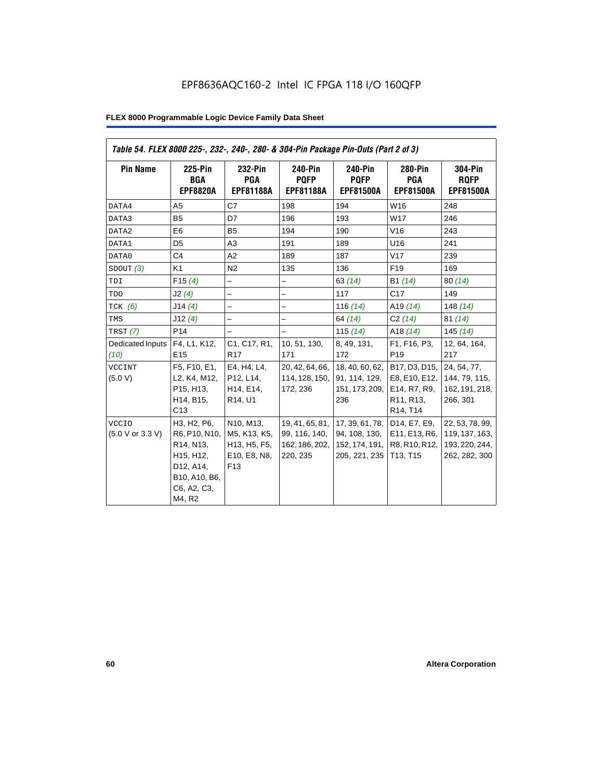| Table 54. FLEX 8000 225-, 232-, 240-, 280- & 304-Pin Package Pin-Outs (Part 2 of 3) |                                                                                                               |                                                                                                                     |                                                                |                                                                                |                                                                                                                            |                                                                      |
|-------------------------------------------------------------------------------------|---------------------------------------------------------------------------------------------------------------|---------------------------------------------------------------------------------------------------------------------|----------------------------------------------------------------|--------------------------------------------------------------------------------|----------------------------------------------------------------------------------------------------------------------------|----------------------------------------------------------------------|
| <b>Pin Name</b>                                                                     | 225-Pin<br>BGA<br><b>EPF8820A</b>                                                                             | 232-Pin<br><b>PGA</b><br><b>EPF81188A</b>                                                                           | 240-Pin<br><b>POFP</b><br><b>EPF81188A</b>                     | 240-Pin<br><b>POFP</b><br><b>EPF81500A</b>                                     | <b>280-Pin</b><br><b>PGA</b><br><b>EPF81500A</b>                                                                           | <b>304-Pin</b><br><b>RQFP</b><br><b>EPF81500A</b>                    |
| DATA4                                                                               | A <sub>5</sub>                                                                                                | C7                                                                                                                  | 198                                                            | 194                                                                            | W16                                                                                                                        | 248                                                                  |
| DATA3                                                                               | B <sub>5</sub>                                                                                                | D7                                                                                                                  | 196                                                            | 193                                                                            | W17                                                                                                                        | 246                                                                  |
| DATA2                                                                               | E <sub>6</sub>                                                                                                | B <sub>5</sub>                                                                                                      | 194                                                            | 190                                                                            | V16                                                                                                                        | 243                                                                  |
| DATA1                                                                               | D <sub>5</sub>                                                                                                | A3                                                                                                                  | 191                                                            | 189                                                                            | U16                                                                                                                        | 241                                                                  |
| DATA0                                                                               | C <sub>4</sub>                                                                                                | A2                                                                                                                  | 189                                                            | 187                                                                            | V17                                                                                                                        | 239                                                                  |
| SDOUT $(3)$                                                                         | K <sub>1</sub>                                                                                                | N <sub>2</sub>                                                                                                      | 135                                                            | 136                                                                            | F <sub>19</sub>                                                                                                            | 169                                                                  |
| TDI                                                                                 | F15(4)                                                                                                        | $\overline{\phantom{0}}$                                                                                            | $\overline{\phantom{0}}$                                       | 63(14)                                                                         | B1 (14)                                                                                                                    | 80(14)                                                               |
| <b>TDO</b>                                                                          | J2(4)                                                                                                         | $\overline{\phantom{0}}$                                                                                            | $\overline{\phantom{0}}$                                       | 117                                                                            | C17                                                                                                                        | 149                                                                  |
| TCK $(6)$                                                                           | J14(4)                                                                                                        |                                                                                                                     | -                                                              | 116 $(14)$                                                                     | A <sub>19</sub> $(14)$                                                                                                     | 148 $(14)$                                                           |
| TMS                                                                                 | J12(4)                                                                                                        |                                                                                                                     | -                                                              | 64 (14)                                                                        | C2(14)                                                                                                                     | 81(14)                                                               |
| <b>TRST</b> (7)                                                                     | P <sub>14</sub>                                                                                               | $\overline{\phantom{0}}$                                                                                            | $\overline{\phantom{0}}$                                       | 115(14)                                                                        | A18 $(14)$                                                                                                                 | 145(14)                                                              |
| Dedicated Inputs<br>(10)                                                            | F4, L1, K12,<br>E <sub>15</sub>                                                                               | C1, C17, R1,<br>R <sub>17</sub>                                                                                     | 10, 51, 130,<br>171                                            | 8, 49, 131,<br>172                                                             | F1, F16, P3,<br>P <sub>19</sub>                                                                                            | 12, 64, 164,<br>217                                                  |
| <b>VCCINT</b><br>(5.0 V)                                                            | F5, F10, E1,<br>L2, K4, M12,<br>P15, H13,<br>H14, B15,<br>C <sub>13</sub>                                     | E4. H4. L4.<br>P12, L14,<br>H14, E14,<br>R14, U1                                                                    | 20, 42, 64, 66,<br>114, 128, 150,<br>172, 236                  | 18, 40, 60, 62,<br>91, 114, 129,<br>151, 173, 209,<br>236                      | B17, D3, D15,<br>E8, E10, E12,<br>E14, R7, R9,<br>R <sub>11</sub> , R <sub>13</sub> ,<br>R <sub>14</sub> , T <sub>14</sub> | 24, 54, 77,<br>144, 79, 115,<br>162, 191, 218,<br>266, 301           |
| <b>VCCIO</b><br>(5.0 V or 3.3 V)                                                    | H3, H2, P6,<br>R6, P10, N10,<br>R14, N13,<br>H15, H12,<br>D12, A14,<br>B10, A10, B6,<br>C6, A2, C3,<br>M4, R2 | N10, M13,<br>M5, K13, K5,<br>H <sub>13</sub> , H <sub>5</sub> , F <sub>5</sub> ,<br>E10, E8, N8,<br>F <sub>13</sub> | 19, 41, 65, 81,<br>99, 116, 140,<br>162, 186, 202,<br>220, 235 | 17, 39, 61, 78, 1<br>94, 108, 130,<br>152, 174, 191,<br>205, 221, 235 T13, T15 | D14, E7, E9,<br>E11, E13, R6,<br>R8, R10, R12,                                                                             | 22, 53, 78, 99,<br>119, 137, 163,<br>193, 220, 244,<br>262, 282, 300 |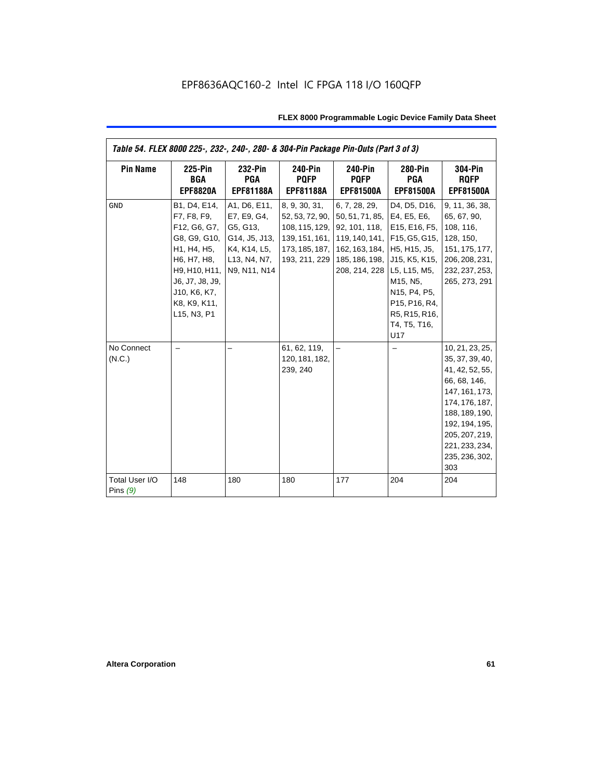| Table 54. FLEX 8000 225-, 232-, 240-, 280- & 304-Pin Package Pin-Outs (Part 3 of 3) |                                                                                                                                                                              |                                                                                                          |                                                                                                         |                                                                                                                                                              |                                                                                                                                                                                                                                  |                                                                                                                                                                                                            |
|-------------------------------------------------------------------------------------|------------------------------------------------------------------------------------------------------------------------------------------------------------------------------|----------------------------------------------------------------------------------------------------------|---------------------------------------------------------------------------------------------------------|--------------------------------------------------------------------------------------------------------------------------------------------------------------|----------------------------------------------------------------------------------------------------------------------------------------------------------------------------------------------------------------------------------|------------------------------------------------------------------------------------------------------------------------------------------------------------------------------------------------------------|
| <b>Pin Name</b>                                                                     | <b>225-Pin</b><br>BGA<br><b>EPF8820A</b>                                                                                                                                     | 232-Pin<br><b>PGA</b><br><b>EPF81188A</b>                                                                | <b>240-Pin</b><br><b>PQFP</b><br><b>EPF81188A</b>                                                       | 240-Pin<br><b>PQFP</b><br><b>EPF81500A</b>                                                                                                                   | <b>280-Pin</b><br><b>PGA</b><br><b>EPF81500A</b>                                                                                                                                                                                 | <b>304-Pin</b><br><b>RQFP</b><br><b>EPF81500A</b>                                                                                                                                                          |
| <b>GND</b>                                                                          | B1, D4, E14,<br>F7, F8, F9,<br>F12, G6, G7,<br>G8, G9, G10,<br>H1, H4, H5,<br>H6, H7, H8,<br>H9, H10, H11,<br>J6, J7, J8, J9,<br>J10, K6, K7,<br>K8, K9, K11,<br>L15, N3, P1 | A1, D6, E11,<br>E7, E9, G4,<br>G5, G13,<br>G14, J5, J13,<br>K4, K14, L5,<br>L13, N4, N7,<br>N9, N11, N14 | 8, 9, 30, 31,<br>52, 53, 72, 90,<br>108, 115, 129,<br>139, 151, 161,<br>173, 185, 187,<br>193, 211, 229 | 6, 7, 28, 29,<br>50, 51, 71, 85, E4, E5, E6,<br>92, 101, 118,<br>162, 163, 184, H5, H15, J5,<br>185, 186, 198, J15, K5, K15,<br>208, 214, 228   L5, L15, M5, | D4, D5, D16,<br>E15, E16, F5,<br>119, 140, 141, F15, G5, G15,<br>M15, N5,<br>N <sub>15</sub> , P <sub>4</sub> , P <sub>5</sub> ,<br>P <sub>15</sub> , P <sub>16</sub> , R <sub>4</sub> ,<br>R5, R15, R16,<br>T4, T5, T16,<br>U17 | 9, 11, 36, 38,<br>65, 67, 90,<br>108, 116,<br>128, 150,<br>151, 175, 177,<br>206, 208, 231,<br>232, 237, 253,<br>265, 273, 291                                                                             |
| No Connect<br>(N.C.)                                                                |                                                                                                                                                                              |                                                                                                          | 61, 62, 119,<br>120, 181, 182,<br>239, 240                                                              |                                                                                                                                                              |                                                                                                                                                                                                                                  | 10, 21, 23, 25,<br>35, 37, 39, 40,<br>41, 42, 52, 55,<br>66, 68, 146,<br>147, 161, 173,<br>174, 176, 187,<br>188, 189, 190,<br>192, 194, 195,<br>205, 207, 219,<br>221, 233, 234,<br>235, 236, 302,<br>303 |
| Total User I/O<br>Pins $(9)$                                                        | 148                                                                                                                                                                          | 180                                                                                                      | 180                                                                                                     | 177                                                                                                                                                          | 204                                                                                                                                                                                                                              | 204                                                                                                                                                                                                        |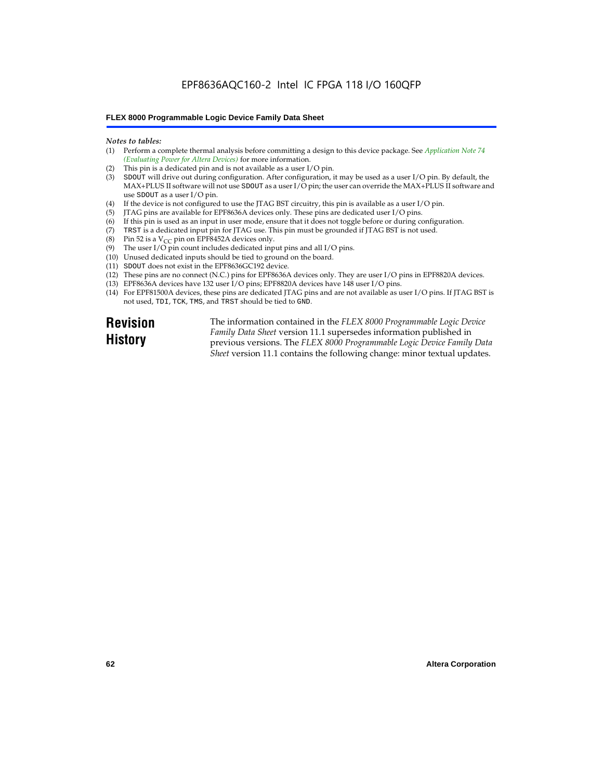## EPF8636AQC160-2 Intel IC FPGA 118 I/O 160QFP

#### **FLEX 8000 Programmable Logic Device Family Data Sheet**

#### *Notes to tables:*

- (1) Perform a complete thermal analysis before committing a design to this device package. See *Application Note 74 (Evaluating Power for Altera Devices)* for more information.
- (2) This pin is a dedicated pin and is not available as a user I/O pin.
- (3) SDOUT will drive out during configuration. After configuration, it may be used as a user I/O pin. By default, the MAX+PLUS II software will not use SDOUT as a user I/O pin; the user can override the MAX+PLUS II software and use SDOUT as a user I/O pin.
- (4) If the device is not configured to use the JTAG BST circuitry, this pin is available as a user I/O pin.
- (5) JTAG pins are available for EPF8636A devices only. These pins are dedicated user I/O pins.
- (6) If this pin is used as an input in user mode, ensure that it does not toggle before or during configuration.
- (7) TRST is a dedicated input pin for JTAG use. This pin must be grounded if JTAG BST is not used.
- (8) Pin 52 is a  $V_{CC}$  pin on EPF8452A devices only.
- (9) The user I/O pin count includes dedicated input pins and all I/O pins.
- (10) Unused dedicated inputs should be tied to ground on the board.
- (11) SDOUT does not exist in the EPF8636GC192 device.
- (12) These pins are no connect (N.C.) pins for EPF8636A devices only. They are user I/O pins in EPF8820A devices.
- (13) EPF8636A devices have 132 user I/O pins; EPF8820A devices have 148 user I/O pins.
- (14) For EPF81500A devices, these pins are dedicated JTAG pins and are not available as user I/O pins. If JTAG BST is not used, TDI, TCK, TMS, and TRST should be tied to GND.

**Revision History**

The information contained in the *FLEX 8000 Programmable Logic Device Family Data Sheet* version 11.1 supersedes information published in previous versions. The *FLEX 8000 Programmable Logic Device Family Data Sheet* version 11.1 contains the following change: minor textual updates.